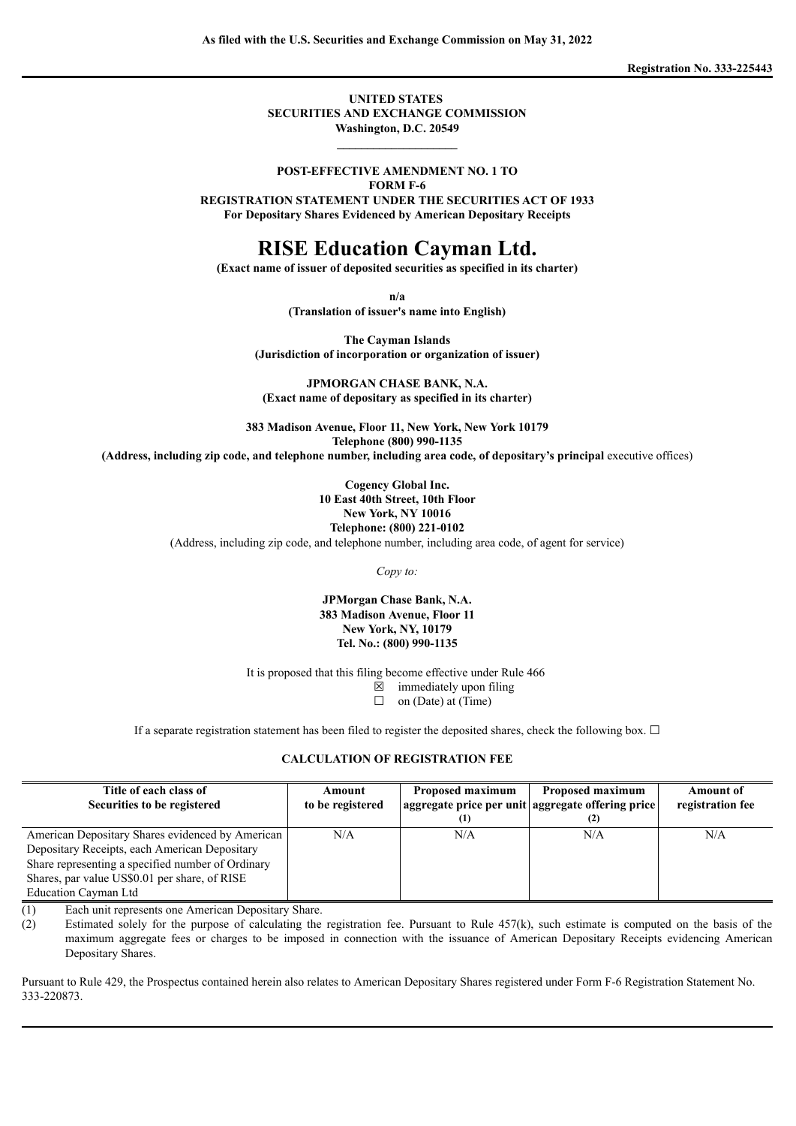**Registration No. 333-225443**

**UNITED STATES SECURITIES AND EXCHANGE COMMISSION Washington, D.C. 20549**

## **POST-EFFECTIVE AMENDMENT NO. 1 TO**

**\_\_\_\_\_\_\_\_\_\_\_\_\_\_\_\_\_\_\_\_**

**FORM F-6**

**REGISTRATION STATEMENT UNDER THE SECURITIES ACT OF 1933 For Depositary Shares Evidenced by American Depositary Receipts**

## **RISE Education Cayman Ltd.**

**(Exact name of issuer of deposited securities as specified in its charter)**

**n/a**

**(Translation of issuer's name into English)**

**The Cayman Islands (Jurisdiction of incorporation or organization of issuer)**

**JPMORGAN CHASE BANK, N.A. (Exact name of depositary as specified in its charter)**

**383 Madison Avenue, Floor 11, New York, New York 10179 Telephone (800) 990-1135**

**(Address, including zip code, and telephone number, including area code, of depositary's principal** executive offices)

**Cogency Global Inc. 10 East 40th Street, 10th Floor New York, NY 10016 Telephone: (800) 221-0102** (Address, including zip code, and telephone number, including area code, of agent for service)

*Copy to:*

**JPMorgan Chase Bank, N.A. 383 Madison Avenue, Floor 11 New York, NY, 10179 Tel. No.: (800) 990-1135**

It is proposed that this filing become effective under Rule 466

 $\boxtimes$  immediately upon filing

 $\Box$  on (Date) at (Time)

If a separate registration statement has been filed to register the deposited shares, check the following box.  $\Box$ 

### **CALCULATION OF REGISTRATION FEE**

| Title of each class of                                                                                                                                                                                                          | Amount           | Proposed maximum | Proposed maximum                                  | <b>Amount of</b> |
|---------------------------------------------------------------------------------------------------------------------------------------------------------------------------------------------------------------------------------|------------------|------------------|---------------------------------------------------|------------------|
| Securities to be registered                                                                                                                                                                                                     | to be registered |                  | aggregate price per unit aggregate offering price | registration fee |
| American Depositary Shares evidenced by American<br>Depositary Receipts, each American Depositary<br>Share representing a specified number of Ordinary<br>Shares, par value US\$0.01 per share, of RISE<br>Education Cayman Ltd | N/A              | N/A              | N/A                                               | N/A              |

(1) Each unit represents one American Depositary Share.

(2) Estimated solely for the purpose of calculating the registration fee. Pursuant to Rule 457(k), such estimate is computed on the basis of the maximum aggregate fees or charges to be imposed in connection with the issuance of American Depositary Receipts evidencing American Depositary Shares.

Pursuant to Rule 429, the Prospectus contained herein also relates to American Depositary Shares registered under Form F-6 Registration Statement No. 333-220873.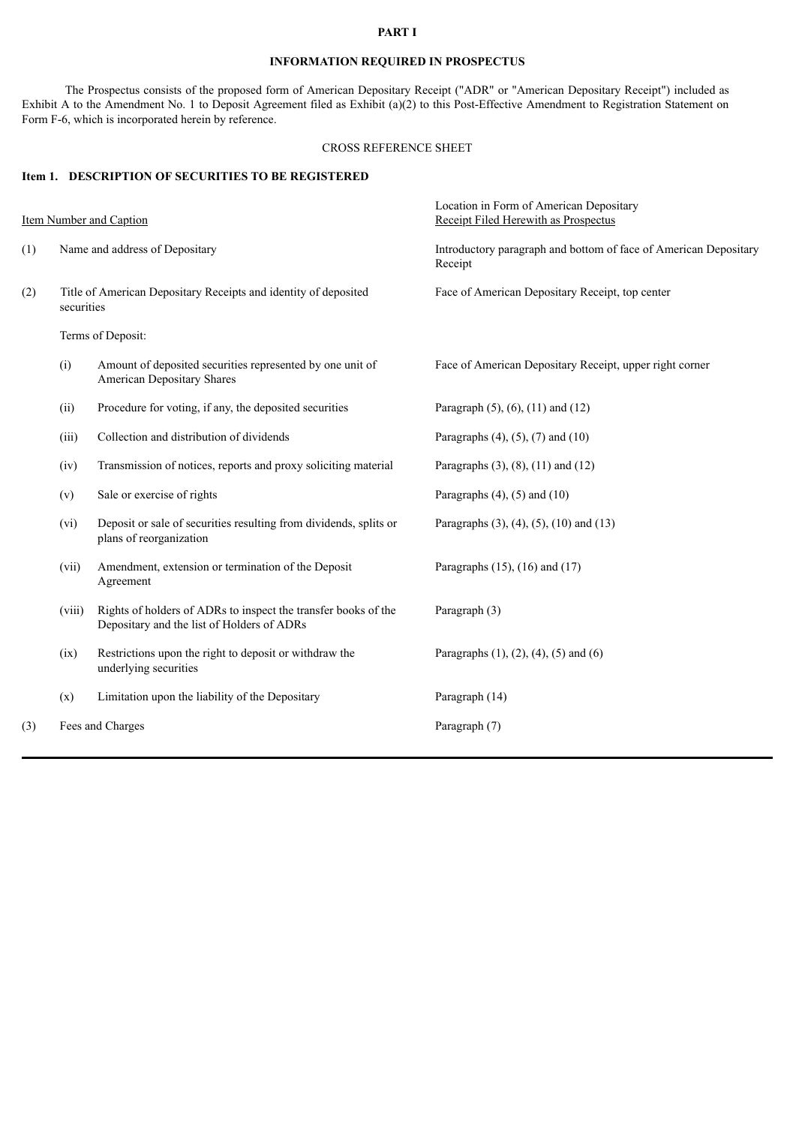## **PART I**

## **INFORMATION REQUIRED IN PROSPECTUS**

The Prospectus consists of the proposed form of American Depositary Receipt ("ADR" or "American Depositary Receipt") included as Exhibit A to the Amendment No. 1 to Deposit Agreement filed as Exhibit (a)(2) to this Post-Effective Amendment to Registration Statement on Form F-6, which is incorporated herein by reference.

## CROSS REFERENCE SHEET

## **Item 1. DESCRIPTION OF SECURITIES TO BE REGISTERED**

|     |                                                                               | <b>Item Number and Caption</b>                                                                               | Location in Form of American Depositary<br>Receipt Filed Herewith as Prospectus |  |
|-----|-------------------------------------------------------------------------------|--------------------------------------------------------------------------------------------------------------|---------------------------------------------------------------------------------|--|
| (1) | Name and address of Depositary                                                |                                                                                                              | Introductory paragraph and bottom of face of American Depositary<br>Receipt     |  |
| (2) | Title of American Depositary Receipts and identity of deposited<br>securities |                                                                                                              | Face of American Depositary Receipt, top center                                 |  |
|     |                                                                               | Terms of Deposit:                                                                                            |                                                                                 |  |
|     | (i)                                                                           | Amount of deposited securities represented by one unit of<br><b>American Depositary Shares</b>               | Face of American Depositary Receipt, upper right corner                         |  |
|     | (ii)                                                                          | Procedure for voting, if any, the deposited securities                                                       | Paragraph (5), (6), (11) and (12)                                               |  |
|     | (iii)                                                                         | Collection and distribution of dividends                                                                     | Paragraphs $(4)$ , $(5)$ , $(7)$ and $(10)$                                     |  |
|     | (iv)                                                                          | Transmission of notices, reports and proxy soliciting material                                               | Paragraphs $(3)$ , $(8)$ , $(11)$ and $(12)$                                    |  |
|     | (v)                                                                           | Sale or exercise of rights                                                                                   | Paragraphs $(4)$ , $(5)$ and $(10)$                                             |  |
|     | (vi)                                                                          | Deposit or sale of securities resulting from dividends, splits or<br>plans of reorganization                 | Paragraphs (3), (4), (5), (10) and (13)                                         |  |
|     | (vii)                                                                         | Amendment, extension or termination of the Deposit<br>Agreement                                              | Paragraphs $(15)$ , $(16)$ and $(17)$                                           |  |
|     | (viii)                                                                        | Rights of holders of ADRs to inspect the transfer books of the<br>Depositary and the list of Holders of ADRs | Paragraph (3)                                                                   |  |
|     | (ix)                                                                          | Restrictions upon the right to deposit or withdraw the<br>underlying securities                              | Paragraphs $(1)$ , $(2)$ , $(4)$ , $(5)$ and $(6)$                              |  |
|     | (x)                                                                           | Limitation upon the liability of the Depositary                                                              | Paragraph (14)                                                                  |  |
| (3) |                                                                               | Fees and Charges                                                                                             | Paragraph (7)                                                                   |  |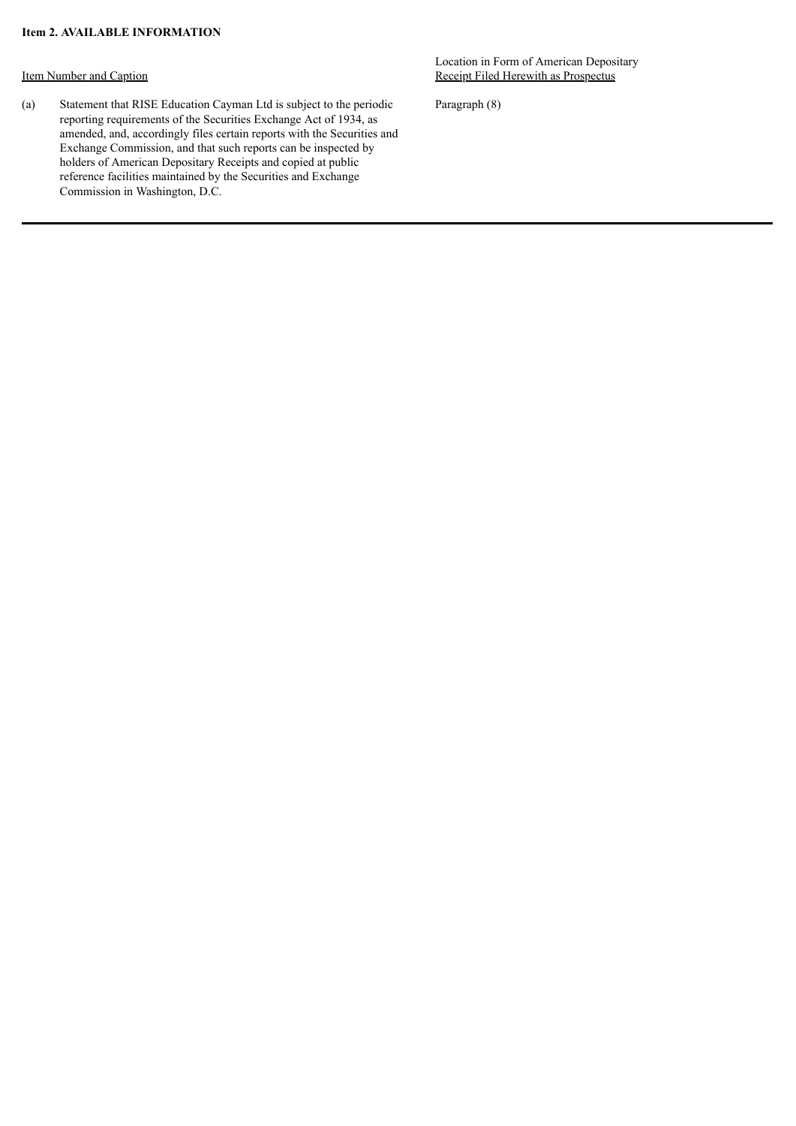## Item Number and Caption

(a) Statement that RISE Education Cayman Ltd is subject to the periodic reporting requirements of the Securities Exchange Act of 1934, as amended, and, accordingly files certain reports with the Securities and Exchange Commission, and that such reports can be inspected by holders of American Depositary Receipts and copied at public reference facilities maintained by the Securities and Exchange Commission in Washington, D.C.

Location in Form of American Depositary Receipt Filed Herewith as Prospectus

Paragraph (8)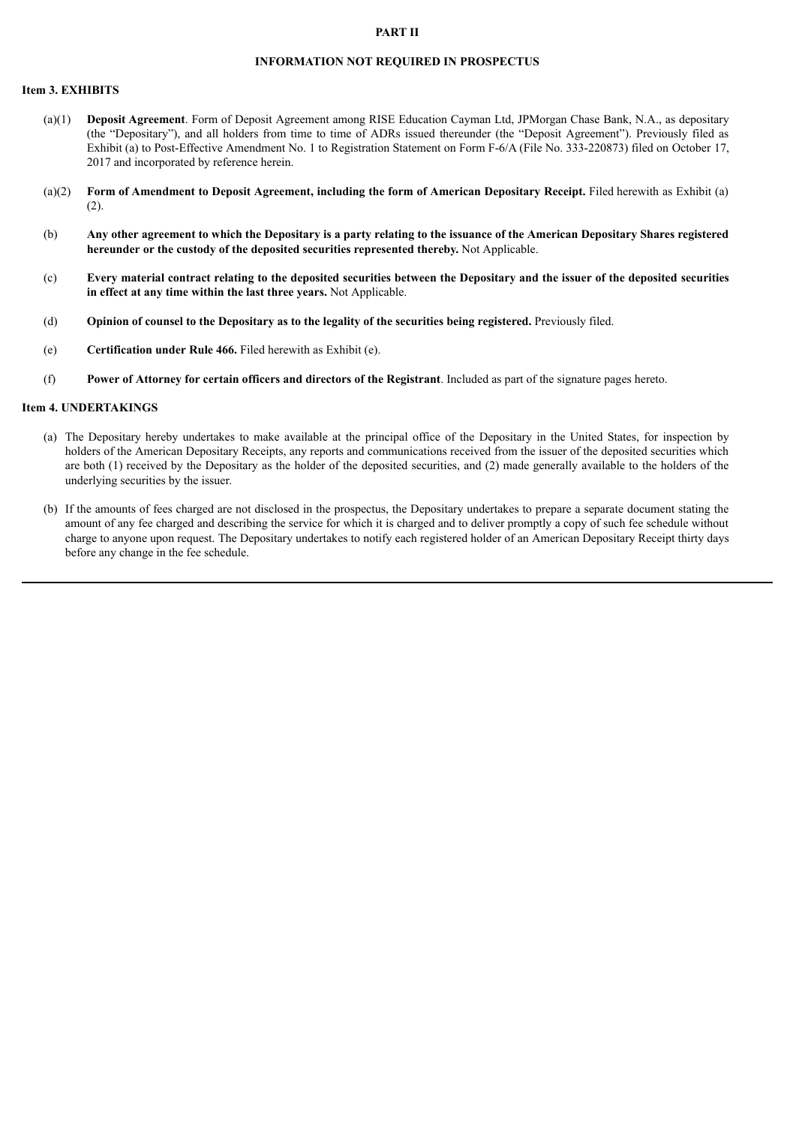### **PART II**

### **INFORMATION NOT REQUIRED IN PROSPECTUS**

#### **Item 3. EXHIBITS**

- (a)(1) **Deposit Agreement**. Form of Deposit Agreement among RISE Education Cayman Ltd, JPMorgan Chase Bank, N.A., as depositary (the "Depositary"), and all holders from time to time of ADRs issued thereunder (the "Deposit Agreement"). Previously filed as Exhibit (a) to Post-Effective Amendment No. 1 to Registration Statement on Form F-6/A (File No. 333-220873) filed on October 17, 2017 and incorporated by reference herein.
- (a)(2) **Form of Amendment to Deposit Agreement, including the form of American Depositary Receipt.** Filed herewith as Exhibit (a) (2).
- (b) Any other agreement to which the Depositary is a party relating to the issuance of the American Depositary Shares registered **hereunder or the custody of the deposited securities represented thereby.** Not Applicable.
- (c) Every material contract relating to the deposited securities between the Depositary and the issuer of the deposited securities **in effect at any time within the last three years.** Not Applicable.
- (d) **Opinion of counsel to the Depositary as to the legality of the securities being registered.** Previously filed.
- (e) **Certification under Rule 466.** Filed herewith as Exhibit (e).
- (f) **Power of Attorney for certain officers and directors of the Registrant**. Included as part of the signature pages hereto.

#### **Item 4. UNDERTAKINGS**

- (a) The Depositary hereby undertakes to make available at the principal office of the Depositary in the United States, for inspection by holders of the American Depositary Receipts, any reports and communications received from the issuer of the deposited securities which are both (1) received by the Depositary as the holder of the deposited securities, and (2) made generally available to the holders of the underlying securities by the issuer.
- (b) If the amounts of fees charged are not disclosed in the prospectus, the Depositary undertakes to prepare a separate document stating the amount of any fee charged and describing the service for which it is charged and to deliver promptly a copy of such fee schedule without charge to anyone upon request. The Depositary undertakes to notify each registered holder of an American Depositary Receipt thirty days before any change in the fee schedule.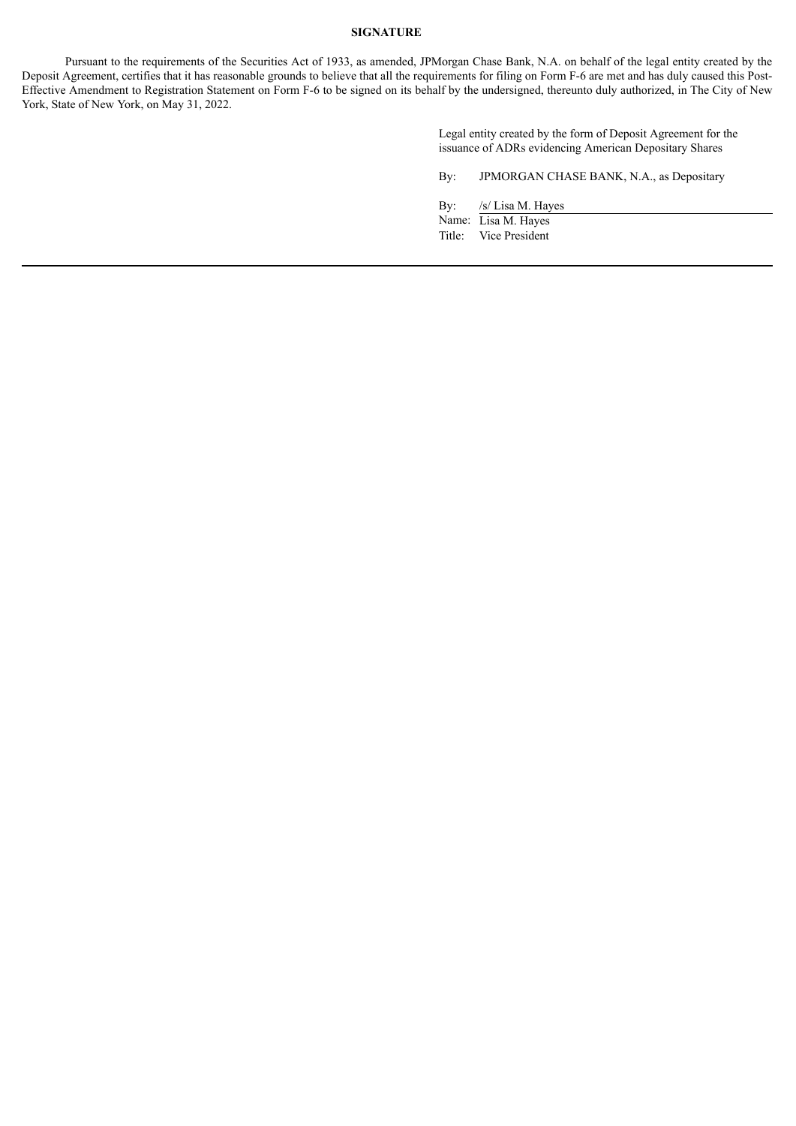## **SIGNATURE**

Pursuant to the requirements of the Securities Act of 1933, as amended, JPMorgan Chase Bank, N.A. on behalf of the legal entity created by the Deposit Agreement, certifies that it has reasonable grounds to believe that all the requirements for filing on Form F-6 are met and has duly caused this Post-Effective Amendment to Registration Statement on Form F-6 to be signed on its behalf by the undersigned, thereunto duly authorized, in The City of New York, State of New York, on May 31, 2022.

> Legal entity created by the form of Deposit Agreement for the issuance of ADRs evidencing American Depositary Shares

By: JPMORGAN CHASE BANK, N.A., as Depositary

By: /s/ Lisa M. Hayes

Name: Lisa M. Hayes Title: Vice President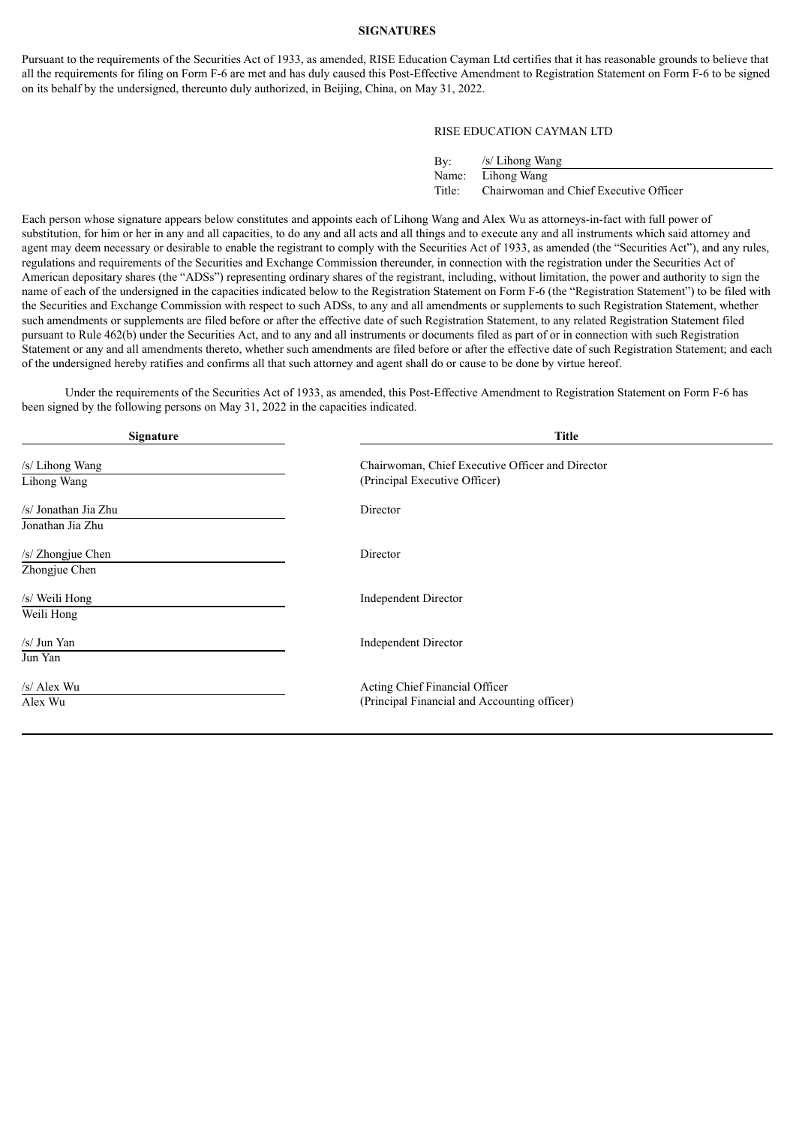#### **SIGNATURES**

Pursuant to the requirements of the Securities Act of 1933, as amended, RISE Education Cayman Ltd certifies that it has reasonable grounds to believe that all the requirements for filing on Form F-6 are met and has duly caused this Post-Effective Amendment to Registration Statement on Form F-6 to be signed on its behalf by the undersigned, thereunto duly authorized, in Beijing, China, on May 31, 2022.

#### RISE EDUCATION CAYMAN LTD

| By:    | $/s$ Lihong Wang                       |
|--------|----------------------------------------|
| Name:  | Lihong Wang                            |
| Title: | Chairwoman and Chief Executive Officer |

Each person whose signature appears below constitutes and appoints each of Lihong Wang and Alex Wu as attorneys-in-fact with full power of substitution, for him or her in any and all capacities, to do any and all acts and all things and to execute any and all instruments which said attorney and agent may deem necessary or desirable to enable the registrant to comply with the Securities Act of 1933, as amended (the "Securities Act"), and any rules, regulations and requirements of the Securities and Exchange Commission thereunder, in connection with the registration under the Securities Act of American depositary shares (the "ADSs") representing ordinary shares of the registrant, including, without limitation, the power and authority to sign the name of each of the undersigned in the capacities indicated below to the Registration Statement on Form F-6 (the "Registration Statement") to be filed with the Securities and Exchange Commission with respect to such ADSs, to any and all amendments or supplements to such Registration Statement, whether such amendments or supplements are filed before or after the effective date of such Registration Statement, to any related Registration Statement filed pursuant to Rule 462(b) under the Securities Act, and to any and all instruments or documents filed as part of or in connection with such Registration Statement or any and all amendments thereto, whether such amendments are filed before or after the effective date of such Registration Statement; and each of the undersigned hereby ratifies and confirms all that such attorney and agent shall do or cause to be done by virtue hereof.

Under the requirements of the Securities Act of 1933, as amended, this Post-Effective Amendment to Registration Statement on Form F-6 has been signed by the following persons on May 31, 2022 in the capacities indicated.

| Signature                                | <b>Title</b>                                                                      |  |  |
|------------------------------------------|-----------------------------------------------------------------------------------|--|--|
| /s/ Lihong Wang<br>Lihong Wang           | Chairwoman, Chief Executive Officer and Director<br>(Principal Executive Officer) |  |  |
| /s/ Jonathan Jia Zhu<br>Jonathan Jia Zhu | Director                                                                          |  |  |
| /s/ Zhongjue Chen<br>Zhongjue Chen       | Director                                                                          |  |  |
| /s/ Weili Hong<br>Weili Hong             | <b>Independent Director</b>                                                       |  |  |
| /s/ Jun Yan<br>Jun Yan                   | <b>Independent Director</b>                                                       |  |  |
| /s/ Alex Wu<br>Alex Wu                   | Acting Chief Financial Officer<br>(Principal Financial and Accounting officer)    |  |  |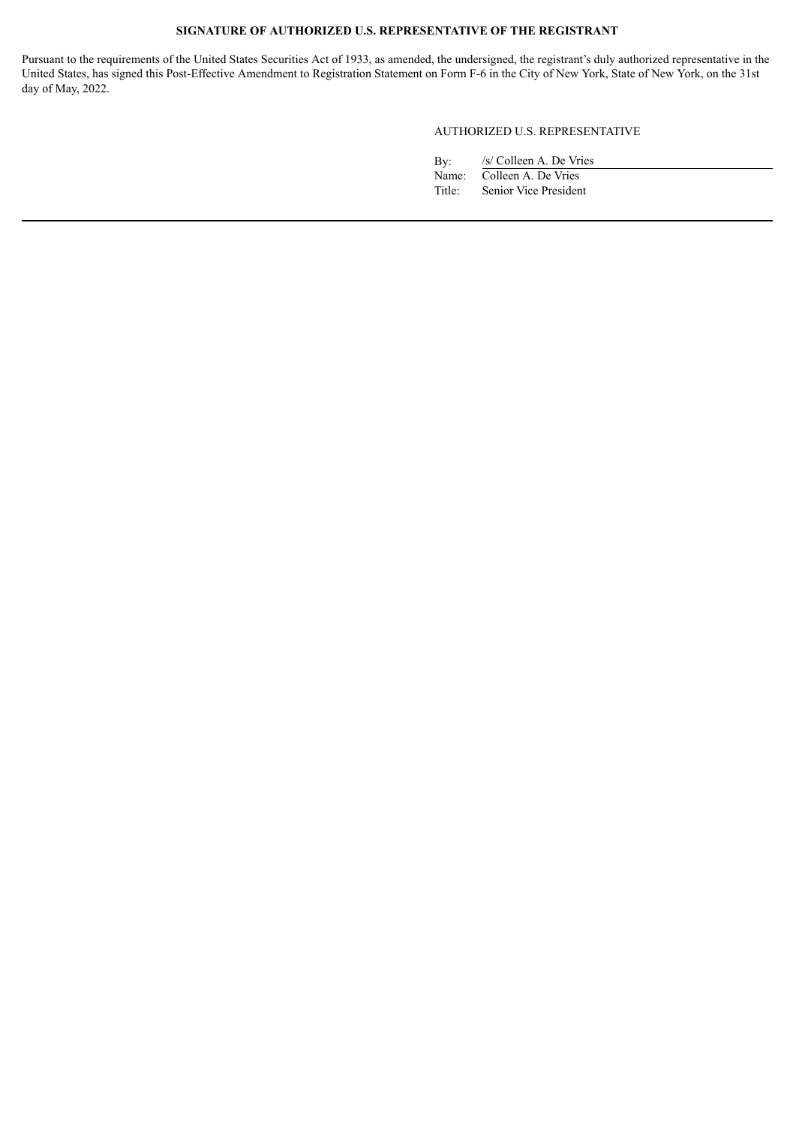## **SIGNATURE OF AUTHORIZED U.S. REPRESENTATIVE OF THE REGISTRANT**

Pursuant to the requirements of the United States Securities Act of 1933, as amended, the undersigned, the registrant's duly authorized representative in the United States, has signed this Post-Effective Amendment to Registration Statement on Form F-6 in the City of New York, State of New York, on the 31st day of May, 2022.

## AUTHORIZED U.S. REPRESENTATIVE

| By:    | /s/ Colleen A. De Vries   |
|--------|---------------------------|
|        | Name: Colleen A. De Vries |
| Title: | Senior Vice President     |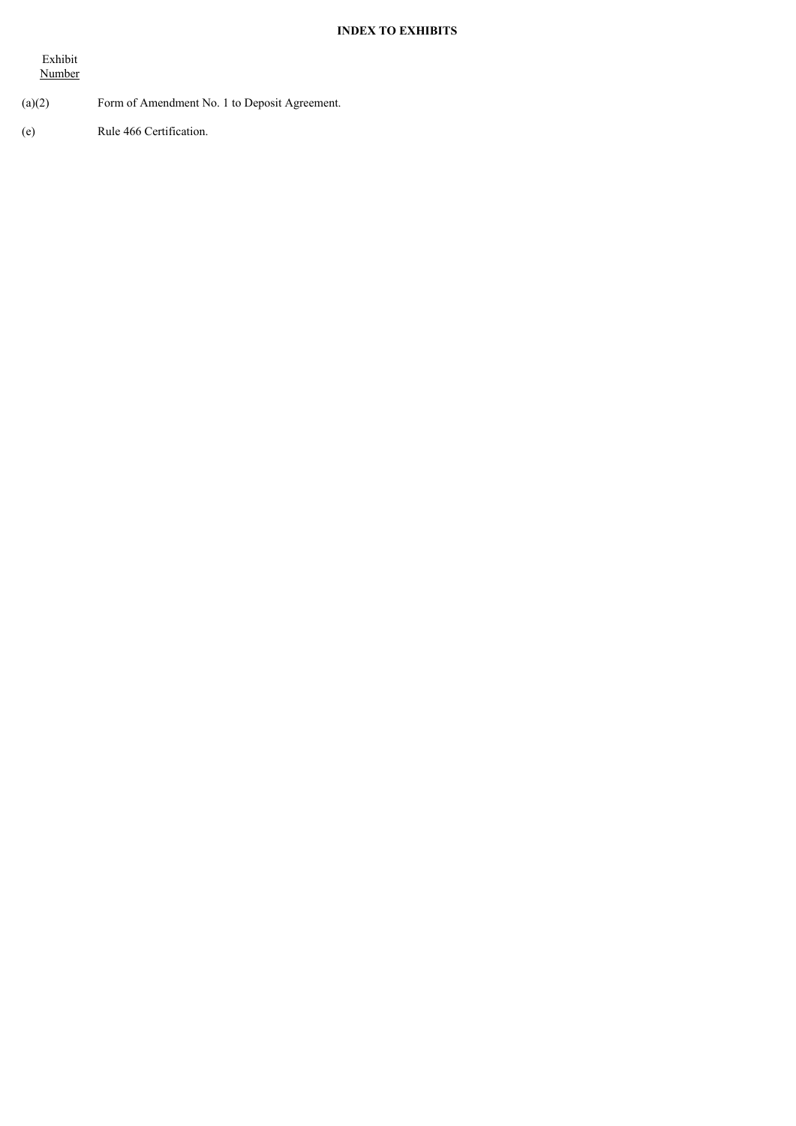## **INDEX TO EXHIBITS**

Exhibit Number

## (a)(2) Form of Amendment No. 1 to Deposit Agreement.

(e) Rule 466 Certification.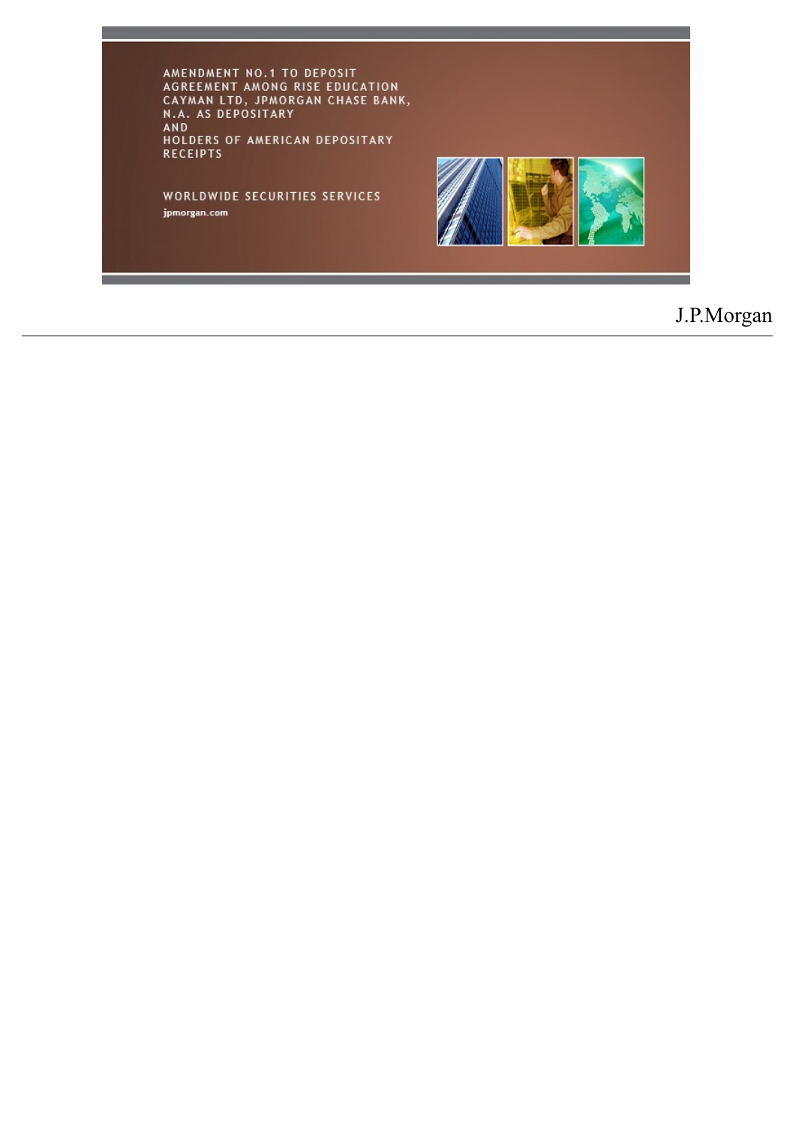AMENDMENT NO.1 TO DEPOSIT<br>AGREEMENT AMONG RISE EDUCATION<br>CAYMAN LTD, JPMORGAN CHASE BANK,<br>N.A. AS DEPOSITARY<br>AND<br>HOLDERS OF AMERICAN DEPOSITARY<br>RECEIPTS

WORLDWIDE SECURITIES SERVICES jpmorgan.com



# J.P.Morgan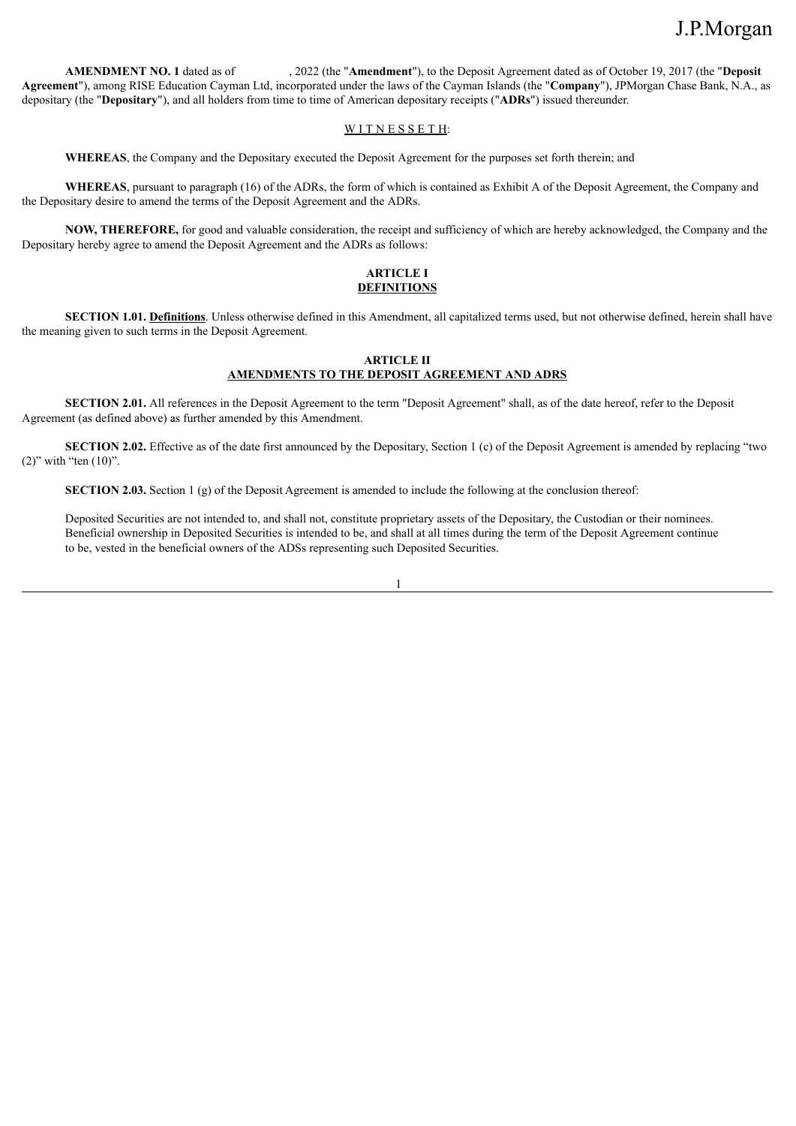**AMENDMENT NO. 1** dated as of , 2022 (the "**Amendment**"), to the Deposit Agreement dated as of October 19, 2017 (the "**Deposit Agreement**"), among RISE Education Cayman Ltd, incorporated under the laws of the Cayman Islands (the "**Company**"), JPMorgan Chase Bank, N.A., as depositary (the "**Depositary**"), and all holders from time to time of American depositary receipts ("**ADRs**") issued thereunder.

## WITNESSETH:

**WHEREAS**, the Company and the Depositary executed the Deposit Agreement for the purposes set forth therein; and

**WHEREAS**, pursuant to paragraph (16) of the ADRs, the form of which is contained as Exhibit A of the Deposit Agreement, the Company and the Depositary desire to amend the terms of the Deposit Agreement and the ADRs.

**NOW, THEREFORE,** for good and valuable consideration, the receipt and sufficiency of which are hereby acknowledged, the Company and the Depositary hereby agree to amend the Deposit Agreement and the ADRs as follows:

### **ARTICLE I DEFINITIONS**

**SECTION 1.01. Definitions**. Unless otherwise defined in this Amendment, all capitalized terms used, but not otherwise defined, herein shall have the meaning given to such terms in the Deposit Agreement.

### **ARTICLE II AMENDMENTS TO THE DEPOSIT AGREEMENT AND ADRS**

**SECTION 2.01.** All references in the Deposit Agreement to the term "Deposit Agreement" shall, as of the date hereof, refer to the Deposit Agreement (as defined above) as further amended by this Amendment.

**SECTION 2.02.** Effective as of the date first announced by the Depositary, Section 1 (c) of the Deposit Agreement is amended by replacing "two  $(2)$ " with "ten  $(10)$ ".

**SECTION 2.03.** Section 1 (g) of the Deposit Agreement is amended to include the following at the conclusion thereof:

Deposited Securities are not intended to, and shall not, constitute proprietary assets of the Depositary, the Custodian or their nominees. Beneficial ownership in Deposited Securities is intended to be, and shall at all times during the term of the Deposit Agreement continue to be, vested in the beneficial owners of the ADSs representing such Deposited Securities.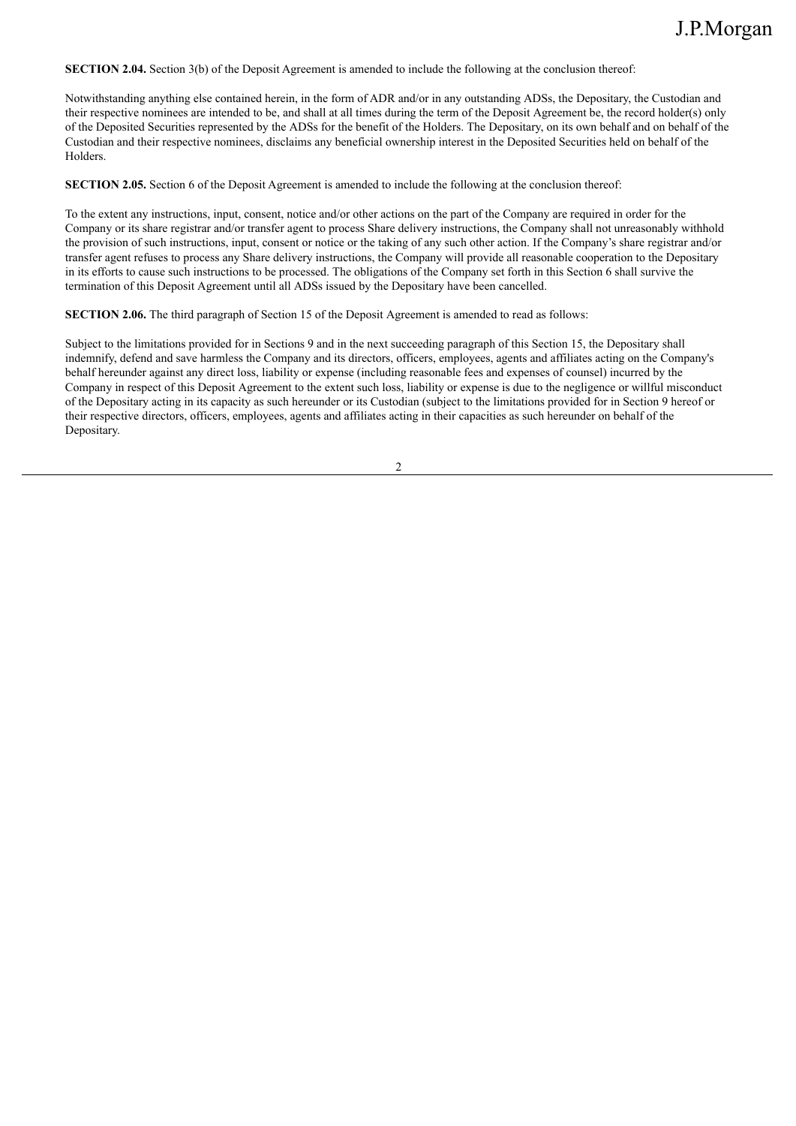**SECTION 2.04.** Section 3(b) of the Deposit Agreement is amended to include the following at the conclusion thereof:

Notwithstanding anything else contained herein, in the form of ADR and/or in any outstanding ADSs, the Depositary, the Custodian and their respective nominees are intended to be, and shall at all times during the term of the Deposit Agreement be, the record holder(s) only of the Deposited Securities represented by the ADSs for the benefit of the Holders. The Depositary, on its own behalf and on behalf of the Custodian and their respective nominees, disclaims any beneficial ownership interest in the Deposited Securities held on behalf of the Holders.

**SECTION 2.05.** Section 6 of the Deposit Agreement is amended to include the following at the conclusion thereof:

To the extent any instructions, input, consent, notice and/or other actions on the part of the Company are required in order for the Company or its share registrar and/or transfer agent to process Share delivery instructions, the Company shall not unreasonably withhold the provision of such instructions, input, consent or notice or the taking of any such other action. If the Company's share registrar and/or transfer agent refuses to process any Share delivery instructions, the Company will provide all reasonable cooperation to the Depositary in its efforts to cause such instructions to be processed. The obligations of the Company set forth in this Section 6 shall survive the termination of this Deposit Agreement until all ADSs issued by the Depositary have been cancelled.

**SECTION 2.06.** The third paragraph of Section 15 of the Deposit Agreement is amended to read as follows:

Subject to the limitations provided for in Sections 9 and in the next succeeding paragraph of this Section 15, the Depositary shall indemnify, defend and save harmless the Company and its directors, officers, employees, agents and affiliates acting on the Company's behalf hereunder against any direct loss, liability or expense (including reasonable fees and expenses of counsel) incurred by the Company in respect of this Deposit Agreement to the extent such loss, liability or expense is due to the negligence or willful misconduct of the Depositary acting in its capacity as such hereunder or its Custodian (subject to the limitations provided for in Section 9 hereof or their respective directors, officers, employees, agents and affiliates acting in their capacities as such hereunder on behalf of the Depositary.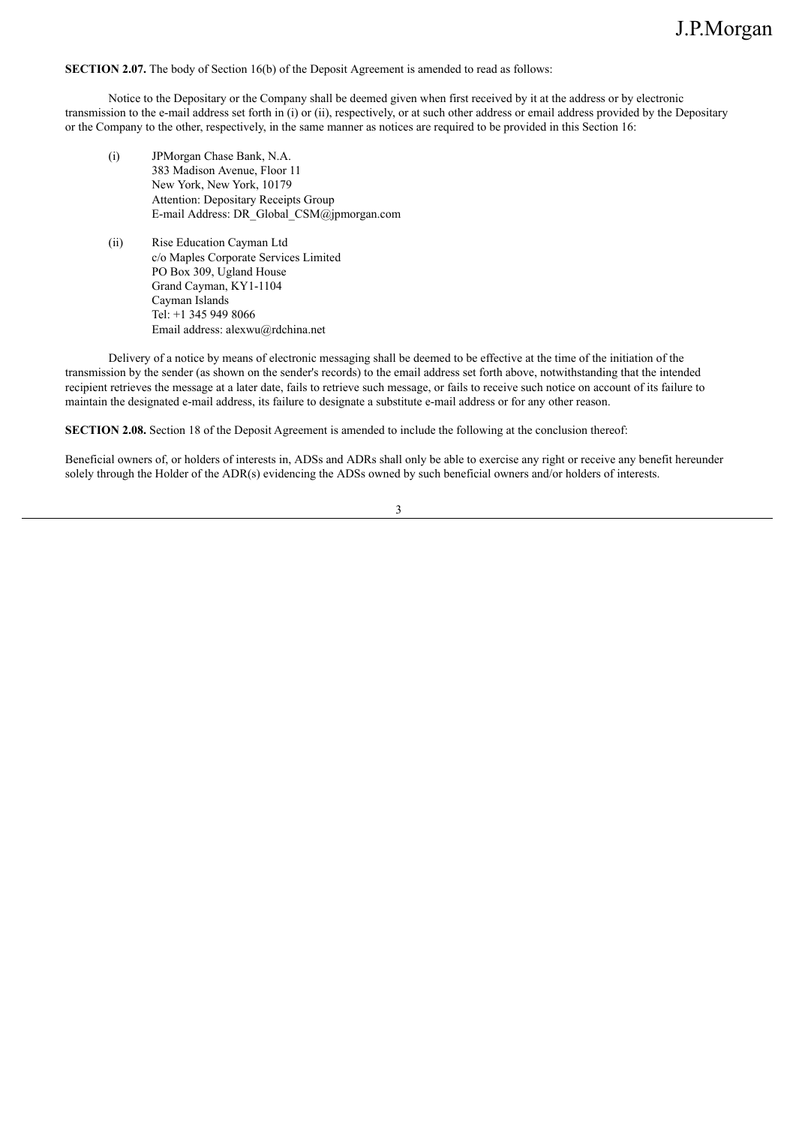**SECTION 2.07.** The body of Section 16(b) of the Deposit Agreement is amended to read as follows:

Notice to the Depositary or the Company shall be deemed given when first received by it at the address or by electronic transmission to the e-mail address set forth in (i) or (ii), respectively, or at such other address or email address provided by the Depositary or the Company to the other, respectively, in the same manner as notices are required to be provided in this Section 16:

- (i) JPMorgan Chase Bank, N.A. 383 Madison Avenue, Floor 11 New York, New York, 10179 Attention: Depositary Receipts Group E-mail Address: DR\_Global\_CSM@jpmorgan.com
- (ii) Rise Education Cayman Ltd c/o Maples Corporate Services Limited PO Box 309, Ugland House Grand Cayman, KY1-1104 Cayman Islands Tel: +1 345 949 8066 Email address: alexwu@rdchina.net

Delivery of a notice by means of electronic messaging shall be deemed to be effective at the time of the initiation of the transmission by the sender (as shown on the sender's records) to the email address set forth above, notwithstanding that the intended recipient retrieves the message at a later date, fails to retrieve such message, or fails to receive such notice on account of its failure to maintain the designated e-mail address, its failure to designate a substitute e-mail address or for any other reason.

**SECTION 2.08.** Section 18 of the Deposit Agreement is amended to include the following at the conclusion thereof:

Beneficial owners of, or holders of interests in, ADSs and ADRs shall only be able to exercise any right or receive any benefit hereunder solely through the Holder of the ADR(s) evidencing the ADSs owned by such beneficial owners and/or holders of interests.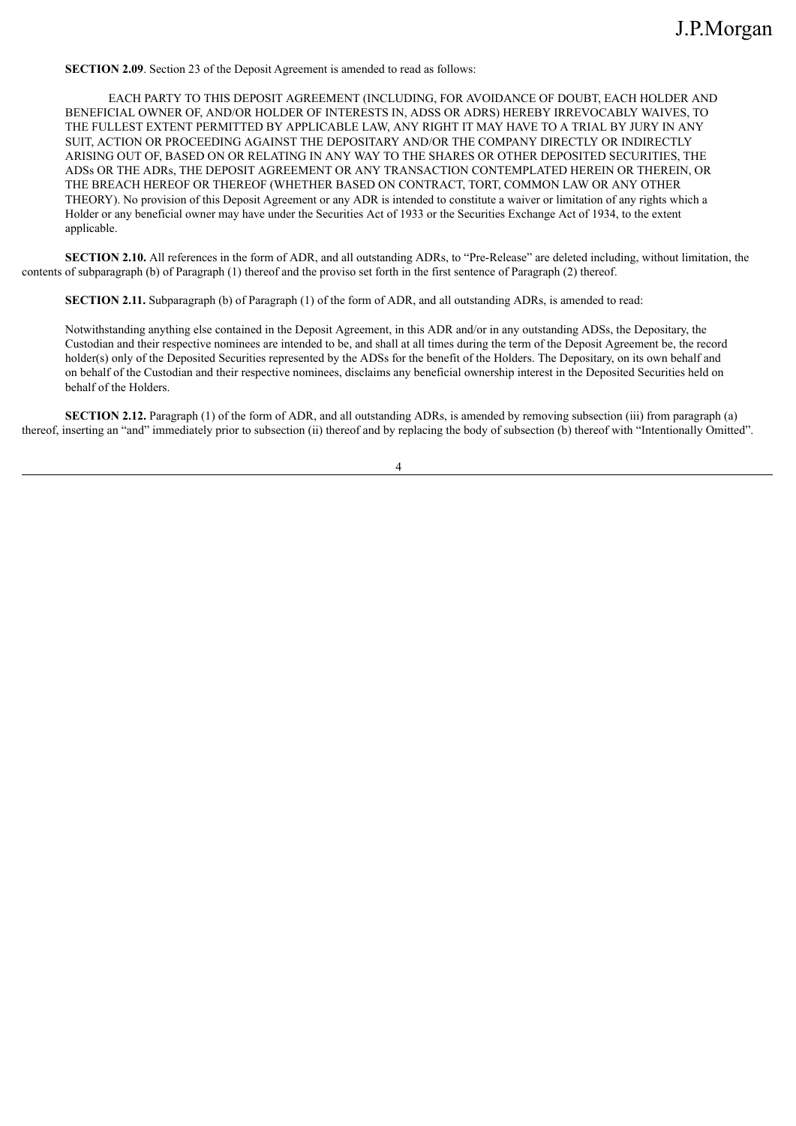**SECTION 2.09**. Section 23 of the Deposit Agreement is amended to read as follows:

EACH PARTY TO THIS DEPOSIT AGREEMENT (INCLUDING, FOR AVOIDANCE OF DOUBT, EACH HOLDER AND BENEFICIAL OWNER OF, AND/OR HOLDER OF INTERESTS IN, ADSS OR ADRS) HEREBY IRREVOCABLY WAIVES, TO THE FULLEST EXTENT PERMITTED BY APPLICABLE LAW, ANY RIGHT IT MAY HAVE TO A TRIAL BY JURY IN ANY SUIT, ACTION OR PROCEEDING AGAINST THE DEPOSITARY AND/OR THE COMPANY DIRECTLY OR INDIRECTLY ARISING OUT OF, BASED ON OR RELATING IN ANY WAY TO THE SHARES OR OTHER DEPOSITED SECURITIES, THE ADSs OR THE ADRs, THE DEPOSIT AGREEMENT OR ANY TRANSACTION CONTEMPLATED HEREIN OR THEREIN, OR THE BREACH HEREOF OR THEREOF (WHETHER BASED ON CONTRACT, TORT, COMMON LAW OR ANY OTHER THEORY). No provision of this Deposit Agreement or any ADR is intended to constitute a waiver or limitation of any rights which a Holder or any beneficial owner may have under the Securities Act of 1933 or the Securities Exchange Act of 1934, to the extent applicable.

**SECTION 2.10.** All references in the form of ADR, and all outstanding ADRs, to "Pre-Release" are deleted including, without limitation, the contents of subparagraph (b) of Paragraph (1) thereof and the proviso set forth in the first sentence of Paragraph (2) thereof.

**SECTION 2.11.** Subparagraph (b) of Paragraph (1) of the form of ADR, and all outstanding ADRs, is amended to read:

Notwithstanding anything else contained in the Deposit Agreement, in this ADR and/or in any outstanding ADSs, the Depositary, the Custodian and their respective nominees are intended to be, and shall at all times during the term of the Deposit Agreement be, the record holder(s) only of the Deposited Securities represented by the ADSs for the benefit of the Holders. The Depositary, on its own behalf and on behalf of the Custodian and their respective nominees, disclaims any beneficial ownership interest in the Deposited Securities held on behalf of the Holders.

**SECTION 2.12.** Paragraph (1) of the form of ADR, and all outstanding ADRs, is amended by removing subsection (iii) from paragraph (a) thereof, inserting an "and" immediately prior to subsection (ii) thereof and by replacing the body of subsection (b) thereof with "Intentionally Omitted".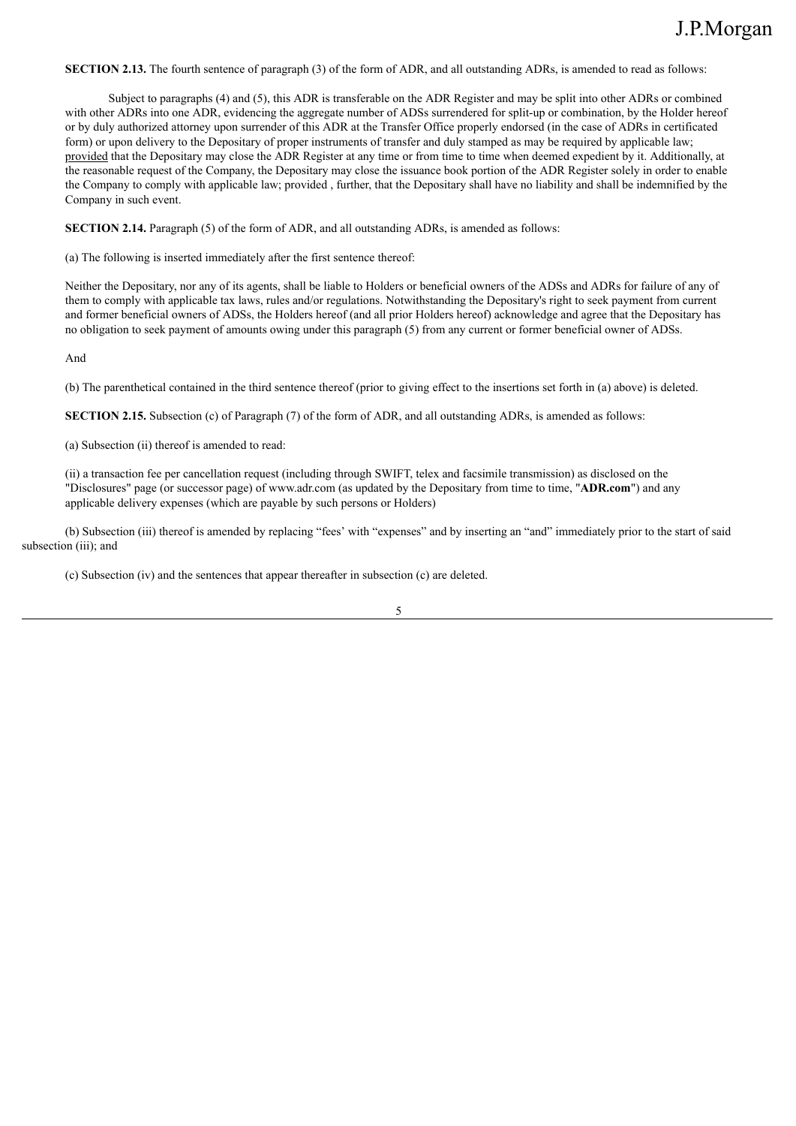**SECTION 2.13.** The fourth sentence of paragraph (3) of the form of ADR, and all outstanding ADRs, is amended to read as follows:

Subject to paragraphs (4) and (5), this ADR is transferable on the ADR Register and may be split into other ADRs or combined with other ADRs into one ADR, evidencing the aggregate number of ADSs surrendered for split-up or combination, by the Holder hereof or by duly authorized attorney upon surrender of this ADR at the Transfer Office properly endorsed (in the case of ADRs in certificated form) or upon delivery to the Depositary of proper instruments of transfer and duly stamped as may be required by applicable law; provided that the Depositary may close the ADR Register at any time or from time to time when deemed expedient by it. Additionally, at the reasonable request of the Company, the Depositary may close the issuance book portion of the ADR Register solely in order to enable the Company to comply with applicable law; provided , further, that the Depositary shall have no liability and shall be indemnified by the Company in such event.

**SECTION 2.14.** Paragraph (5) of the form of ADR, and all outstanding ADRs, is amended as follows:

(a) The following is inserted immediately after the first sentence thereof:

Neither the Depositary, nor any of its agents, shall be liable to Holders or beneficial owners of the ADSs and ADRs for failure of any of them to comply with applicable tax laws, rules and/or regulations. Notwithstanding the Depositary's right to seek payment from current and former beneficial owners of ADSs, the Holders hereof (and all prior Holders hereof) acknowledge and agree that the Depositary has no obligation to seek payment of amounts owing under this paragraph (5) from any current or former beneficial owner of ADSs.

And

(b) The parenthetical contained in the third sentence thereof (prior to giving effect to the insertions set forth in (a) above) is deleted.

**SECTION 2.15.** Subsection (c) of Paragraph (7) of the form of ADR, and all outstanding ADRs, is amended as follows:

(a) Subsection (ii) thereof is amended to read:

(ii) a transaction fee per cancellation request (including through SWIFT, telex and facsimile transmission) as disclosed on the "Disclosures" page (or successor page) of www.adr.com (as updated by the Depositary from time to time, "**ADR.com**") and any applicable delivery expenses (which are payable by such persons or Holders)

(b) Subsection (iii) thereof is amended by replacing "fees' with "expenses" and by inserting an "and" immediately prior to the start of said subsection (iii); and

(c) Subsection (iv) and the sentences that appear thereafter in subsection (c) are deleted.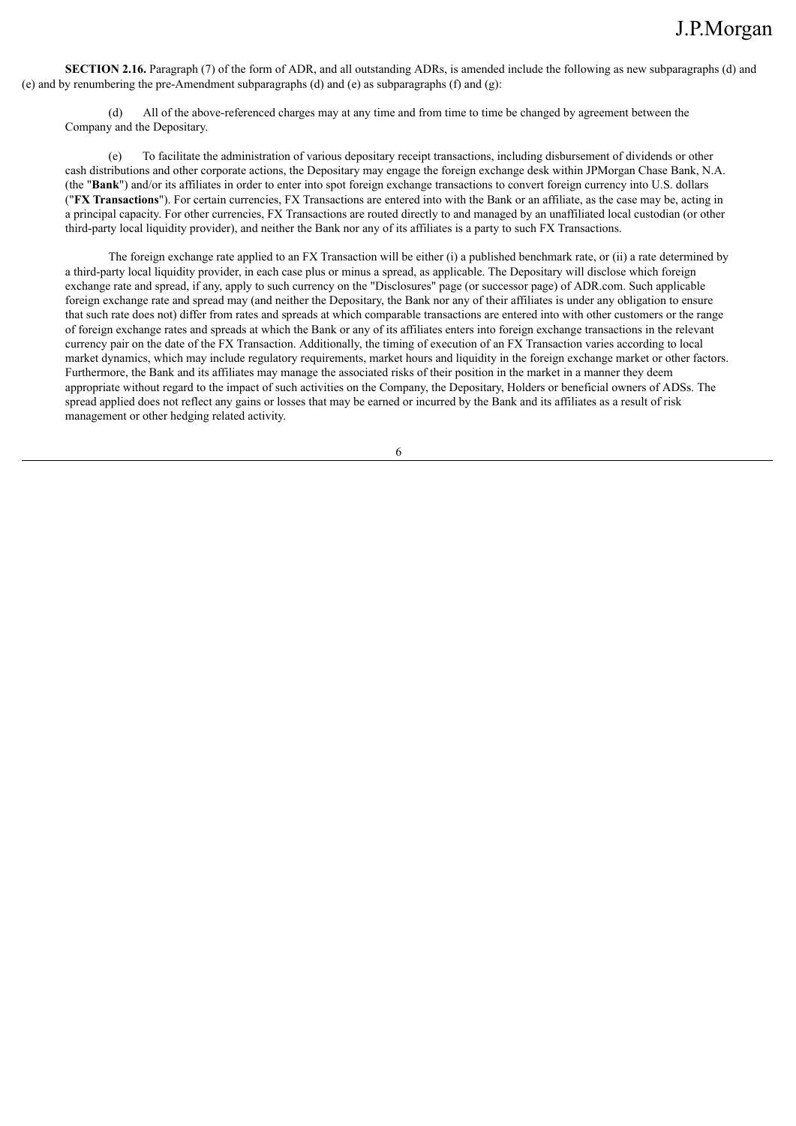**SECTION 2.16.** Paragraph (7) of the form of ADR, and all outstanding ADRs, is amended include the following as new subparagraphs (d) and (e) and by renumbering the pre-Amendment subparagraphs (d) and (e) as subparagraphs (f) and (g):

All of the above-referenced charges may at any time and from time to time be changed by agreement between the Company and the Depositary.

(e) To facilitate the administration of various depositary receipt transactions, including disbursement of dividends or other cash distributions and other corporate actions, the Depositary may engage the foreign exchange desk within JPMorgan Chase Bank, N.A. (the "**Bank**") and/or its affiliates in order to enter into spot foreign exchange transactions to convert foreign currency into U.S. dollars ("**FX Transactions**"). For certain currencies, FX Transactions are entered into with the Bank or an affiliate, as the case may be, acting in a principal capacity. For other currencies, FX Transactions are routed directly to and managed by an unaffiliated local custodian (or other third-party local liquidity provider), and neither the Bank nor any of its affiliates is a party to such FX Transactions.

The foreign exchange rate applied to an FX Transaction will be either (i) a published benchmark rate, or (ii) a rate determined by a third-party local liquidity provider, in each case plus or minus a spread, as applicable. The Depositary will disclose which foreign exchange rate and spread, if any, apply to such currency on the "Disclosures" page (or successor page) of ADR.com. Such applicable foreign exchange rate and spread may (and neither the Depositary, the Bank nor any of their affiliates is under any obligation to ensure that such rate does not) differ from rates and spreads at which comparable transactions are entered into with other customers or the range of foreign exchange rates and spreads at which the Bank or any of its affiliates enters into foreign exchange transactions in the relevant currency pair on the date of the FX Transaction. Additionally, the timing of execution of an FX Transaction varies according to local market dynamics, which may include regulatory requirements, market hours and liquidity in the foreign exchange market or other factors. Furthermore, the Bank and its affiliates may manage the associated risks of their position in the market in a manner they deem appropriate without regard to the impact of such activities on the Company, the Depositary, Holders or beneficial owners of ADSs. The spread applied does not reflect any gains or losses that may be earned or incurred by the Bank and its affiliates as a result of risk management or other hedging related activity.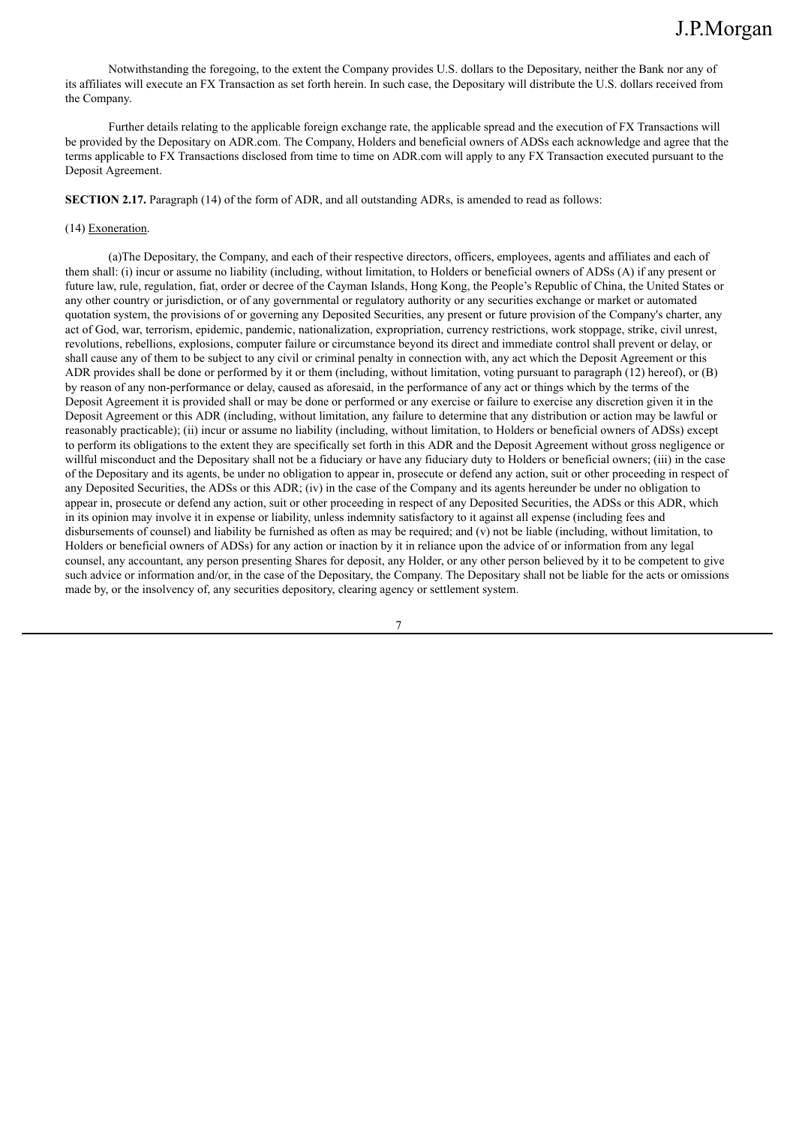Notwithstanding the foregoing, to the extent the Company provides U.S. dollars to the Depositary, neither the Bank nor any of its affiliates will execute an FX Transaction as set forth herein. In such case, the Depositary will distribute the U.S. dollars received from the Company.

Further details relating to the applicable foreign exchange rate, the applicable spread and the execution of FX Transactions will be provided by the Depositary on ADR.com. The Company, Holders and beneficial owners of ADSs each acknowledge and agree that the terms applicable to FX Transactions disclosed from time to time on ADR.com will apply to any FX Transaction executed pursuant to the Deposit Agreement.

**SECTION 2.17.** Paragraph (14) of the form of ADR, and all outstanding ADRs, is amended to read as follows:

### (14) Exoneration.

(a)The Depositary, the Company, and each of their respective directors, officers, employees, agents and affiliates and each of them shall: (i) incur or assume no liability (including, without limitation, to Holders or beneficial owners of ADSs (A) if any present or future law, rule, regulation, fiat, order or decree of the Cayman Islands, Hong Kong, the People's Republic of China, the United States or any other country or jurisdiction, or of any governmental or regulatory authority or any securities exchange or market or automated quotation system, the provisions of or governing any Deposited Securities, any present or future provision of the Company's charter, any act of God, war, terrorism, epidemic, pandemic, nationalization, expropriation, currency restrictions, work stoppage, strike, civil unrest, revolutions, rebellions, explosions, computer failure or circumstance beyond its direct and immediate control shall prevent or delay, or shall cause any of them to be subject to any civil or criminal penalty in connection with, any act which the Deposit Agreement or this ADR provides shall be done or performed by it or them (including, without limitation, voting pursuant to paragraph (12) hereof), or (B) by reason of any non-performance or delay, caused as aforesaid, in the performance of any act or things which by the terms of the Deposit Agreement it is provided shall or may be done or performed or any exercise or failure to exercise any discretion given it in the Deposit Agreement or this ADR (including, without limitation, any failure to determine that any distribution or action may be lawful or reasonably practicable); (ii) incur or assume no liability (including, without limitation, to Holders or beneficial owners of ADSs) except to perform its obligations to the extent they are specifically set forth in this ADR and the Deposit Agreement without gross negligence or willful misconduct and the Depositary shall not be a fiduciary or have any fiduciary duty to Holders or beneficial owners; (iii) in the case of the Depositary and its agents, be under no obligation to appear in, prosecute or defend any action, suit or other proceeding in respect of any Deposited Securities, the ADSs or this ADR; (iv) in the case of the Company and its agents hereunder be under no obligation to appear in, prosecute or defend any action, suit or other proceeding in respect of any Deposited Securities, the ADSs or this ADR, which in its opinion may involve it in expense or liability, unless indemnity satisfactory to it against all expense (including fees and disbursements of counsel) and liability be furnished as often as may be required; and (v) not be liable (including, without limitation, to Holders or beneficial owners of ADSs) for any action or inaction by it in reliance upon the advice of or information from any legal counsel, any accountant, any person presenting Shares for deposit, any Holder, or any other person believed by it to be competent to give such advice or information and/or, in the case of the Depositary, the Company. The Depositary shall not be liable for the acts or omissions made by, or the insolvency of, any securities depository, clearing agency or settlement system.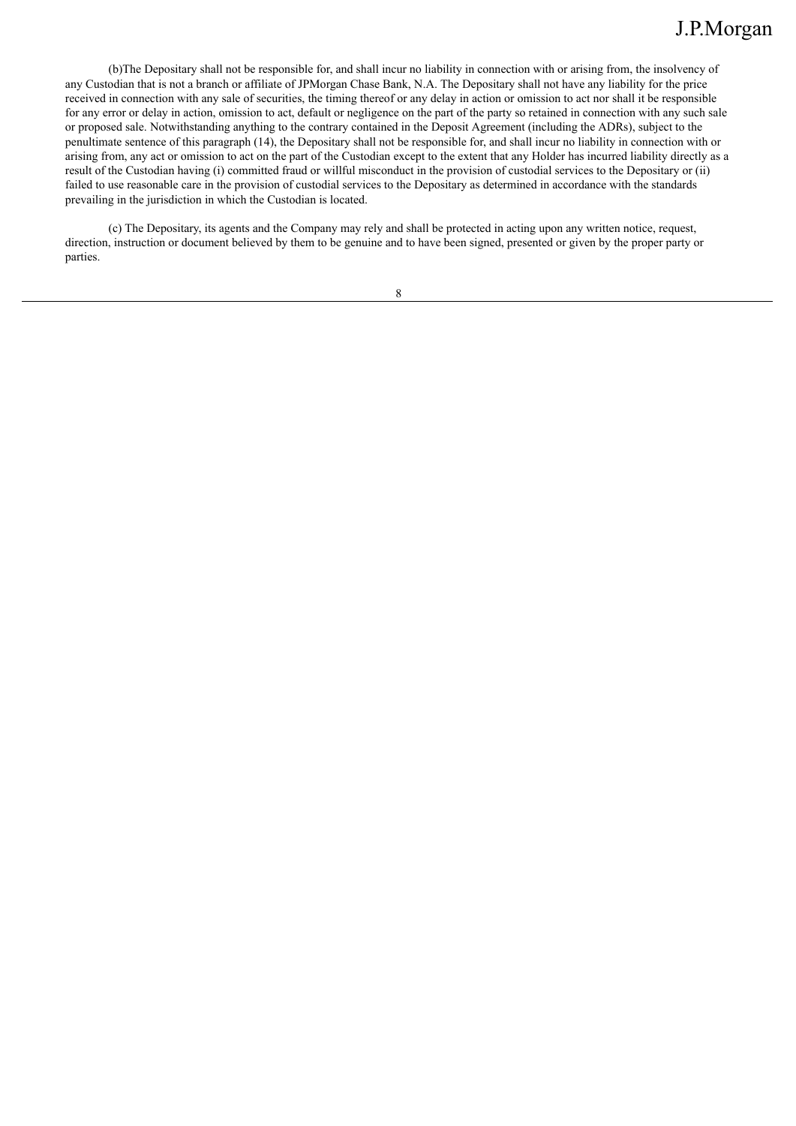(b)The Depositary shall not be responsible for, and shall incur no liability in connection with or arising from, the insolvency of any Custodian that is not a branch or affiliate of JPMorgan Chase Bank, N.A. The Depositary shall not have any liability for the price received in connection with any sale of securities, the timing thereof or any delay in action or omission to act nor shall it be responsible for any error or delay in action, omission to act, default or negligence on the part of the party so retained in connection with any such sale or proposed sale. Notwithstanding anything to the contrary contained in the Deposit Agreement (including the ADRs), subject to the penultimate sentence of this paragraph (14), the Depositary shall not be responsible for, and shall incur no liability in connection with or arising from, any act or omission to act on the part of the Custodian except to the extent that any Holder has incurred liability directly as a result of the Custodian having (i) committed fraud or willful misconduct in the provision of custodial services to the Depositary or (ii) failed to use reasonable care in the provision of custodial services to the Depositary as determined in accordance with the standards prevailing in the jurisdiction in which the Custodian is located.

(c) The Depositary, its agents and the Company may rely and shall be protected in acting upon any written notice, request, direction, instruction or document believed by them to be genuine and to have been signed, presented or given by the proper party or parties.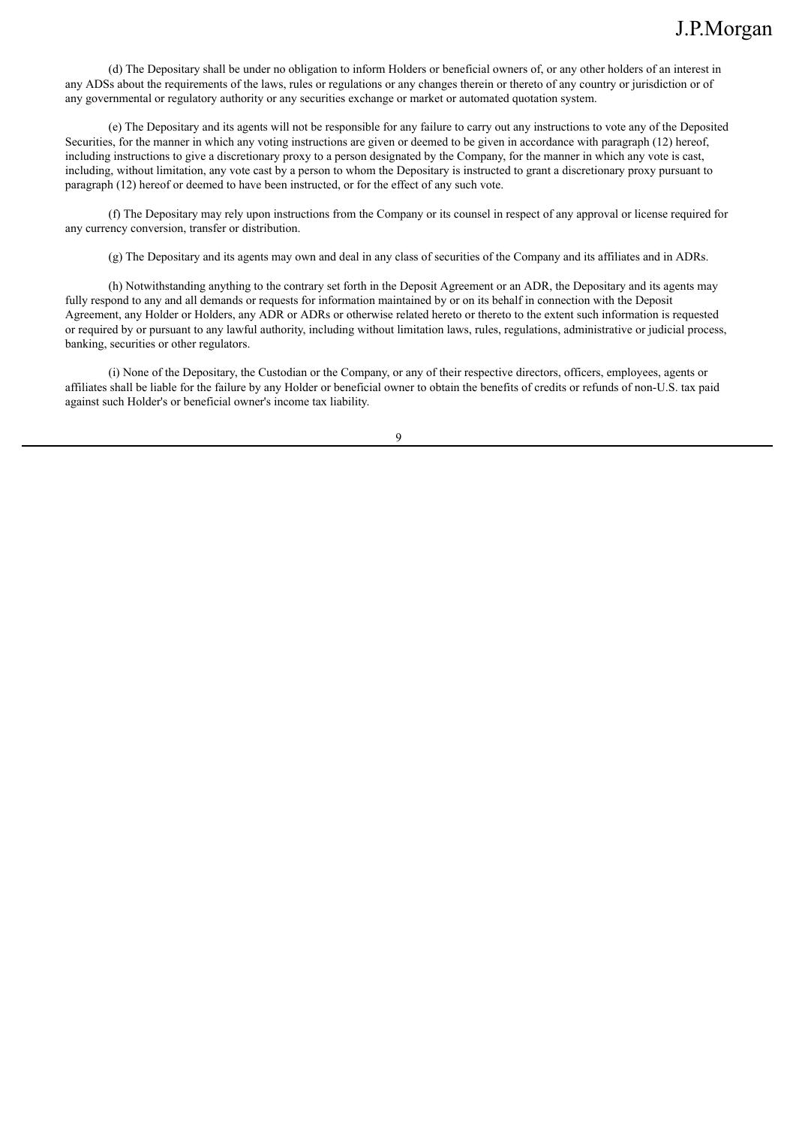(d) The Depositary shall be under no obligation to inform Holders or beneficial owners of, or any other holders of an interest in any ADSs about the requirements of the laws, rules or regulations or any changes therein or thereto of any country or jurisdiction or of any governmental or regulatory authority or any securities exchange or market or automated quotation system.

(e) The Depositary and its agents will not be responsible for any failure to carry out any instructions to vote any of the Deposited Securities, for the manner in which any voting instructions are given or deemed to be given in accordance with paragraph (12) hereof, including instructions to give a discretionary proxy to a person designated by the Company, for the manner in which any vote is cast, including, without limitation, any vote cast by a person to whom the Depositary is instructed to grant a discretionary proxy pursuant to paragraph (12) hereof or deemed to have been instructed, or for the effect of any such vote.

(f) The Depositary may rely upon instructions from the Company or its counsel in respect of any approval or license required for any currency conversion, transfer or distribution.

(g) The Depositary and its agents may own and deal in any class of securities of the Company and its affiliates and in ADRs.

(h) Notwithstanding anything to the contrary set forth in the Deposit Agreement or an ADR, the Depositary and its agents may fully respond to any and all demands or requests for information maintained by or on its behalf in connection with the Deposit Agreement, any Holder or Holders, any ADR or ADRs or otherwise related hereto or thereto to the extent such information is requested or required by or pursuant to any lawful authority, including without limitation laws, rules, regulations, administrative or judicial process, banking, securities or other regulators.

(i) None of the Depositary, the Custodian or the Company, or any of their respective directors, officers, employees, agents or affiliates shall be liable for the failure by any Holder or beneficial owner to obtain the benefits of credits or refunds of non-U.S. tax paid against such Holder's or beneficial owner's income tax liability.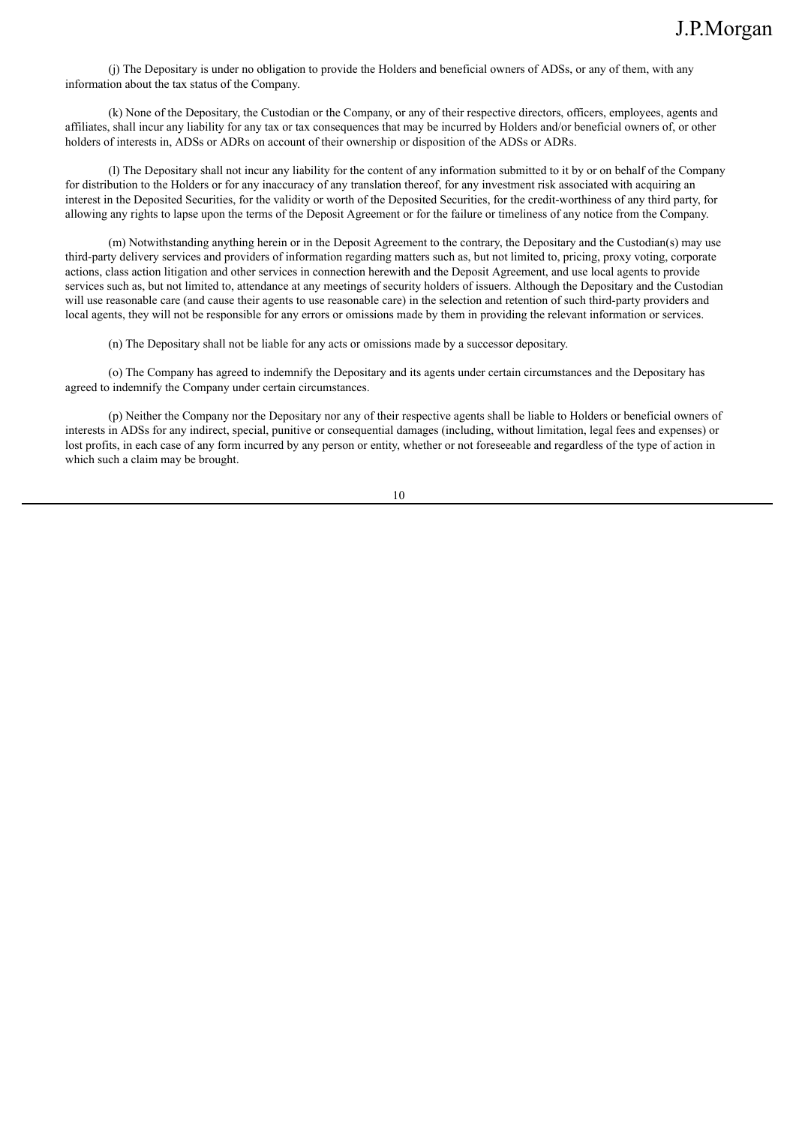(j) The Depositary is under no obligation to provide the Holders and beneficial owners of ADSs, or any of them, with any information about the tax status of the Company.

(k) None of the Depositary, the Custodian or the Company, or any of their respective directors, officers, employees, agents and affiliates, shall incur any liability for any tax or tax consequences that may be incurred by Holders and/or beneficial owners of, or other holders of interests in, ADSs or ADRs on account of their ownership or disposition of the ADSs or ADRs.

(l) The Depositary shall not incur any liability for the content of any information submitted to it by or on behalf of the Company for distribution to the Holders or for any inaccuracy of any translation thereof, for any investment risk associated with acquiring an interest in the Deposited Securities, for the validity or worth of the Deposited Securities, for the credit-worthiness of any third party, for allowing any rights to lapse upon the terms of the Deposit Agreement or for the failure or timeliness of any notice from the Company.

(m) Notwithstanding anything herein or in the Deposit Agreement to the contrary, the Depositary and the Custodian(s) may use third-party delivery services and providers of information regarding matters such as, but not limited to, pricing, proxy voting, corporate actions, class action litigation and other services in connection herewith and the Deposit Agreement, and use local agents to provide services such as, but not limited to, attendance at any meetings of security holders of issuers. Although the Depositary and the Custodian will use reasonable care (and cause their agents to use reasonable care) in the selection and retention of such third-party providers and local agents, they will not be responsible for any errors or omissions made by them in providing the relevant information or services.

(n) The Depositary shall not be liable for any acts or omissions made by a successor depositary.

(o) The Company has agreed to indemnify the Depositary and its agents under certain circumstances and the Depositary has agreed to indemnify the Company under certain circumstances.

(p) Neither the Company nor the Depositary nor any of their respective agents shall be liable to Holders or beneficial owners of interests in ADSs for any indirect, special, punitive or consequential damages (including, without limitation, legal fees and expenses) or lost profits, in each case of any form incurred by any person or entity, whether or not foreseeable and regardless of the type of action in which such a claim may be brought.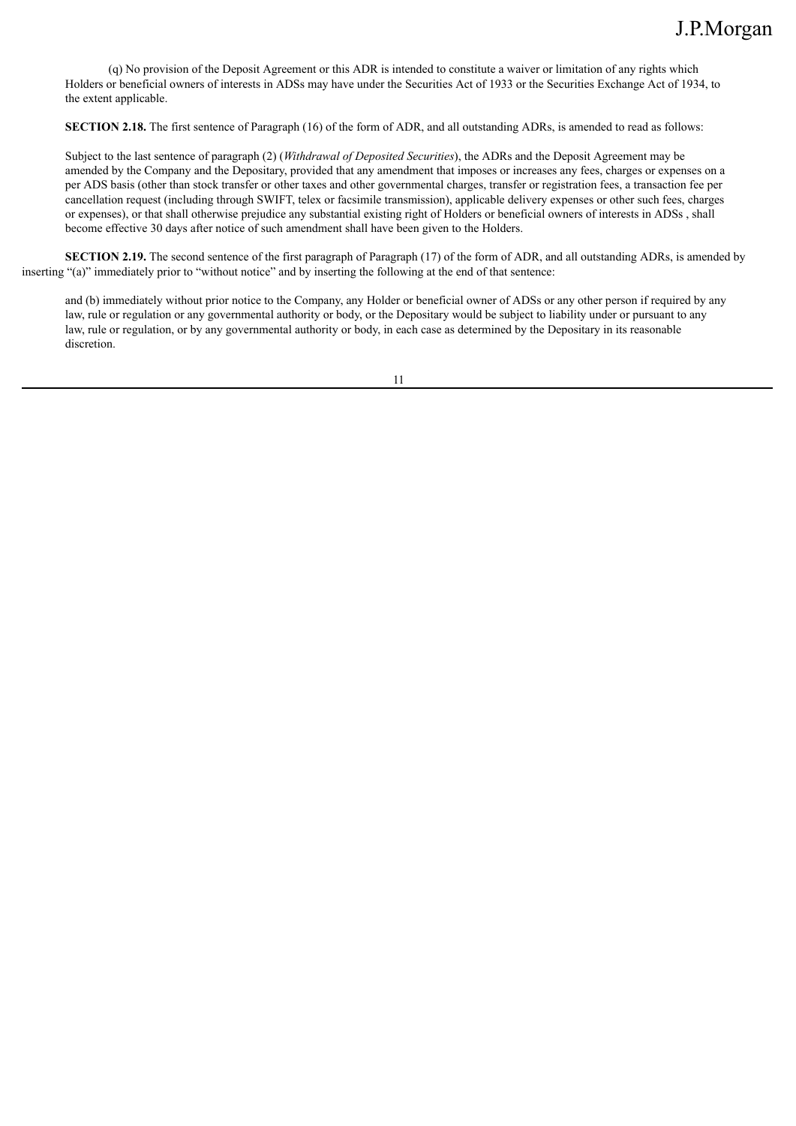(q) No provision of the Deposit Agreement or this ADR is intended to constitute a waiver or limitation of any rights which Holders or beneficial owners of interests in ADSs may have under the Securities Act of 1933 or the Securities Exchange Act of 1934, to the extent applicable.

**SECTION 2.18.** The first sentence of Paragraph (16) of the form of ADR, and all outstanding ADRs, is amended to read as follows:

Subject to the last sentence of paragraph (2) (*Withdrawal of Deposited Securities*), the ADRs and the Deposit Agreement may be amended by the Company and the Depositary, provided that any amendment that imposes or increases any fees, charges or expenses on a per ADS basis (other than stock transfer or other taxes and other governmental charges, transfer or registration fees, a transaction fee per cancellation request (including through SWIFT, telex or facsimile transmission), applicable delivery expenses or other such fees, charges or expenses), or that shall otherwise prejudice any substantial existing right of Holders or beneficial owners of interests in ADSs , shall become effective 30 days after notice of such amendment shall have been given to the Holders.

**SECTION 2.19.** The second sentence of the first paragraph of Paragraph (17) of the form of ADR, and all outstanding ADRs, is amended by inserting "(a)" immediately prior to "without notice" and by inserting the following at the end of that sentence:

and (b) immediately without prior notice to the Company, any Holder or beneficial owner of ADSs or any other person if required by any law, rule or regulation or any governmental authority or body, or the Depositary would be subject to liability under or pursuant to any law, rule or regulation, or by any governmental authority or body, in each case as determined by the Depositary in its reasonable discretion.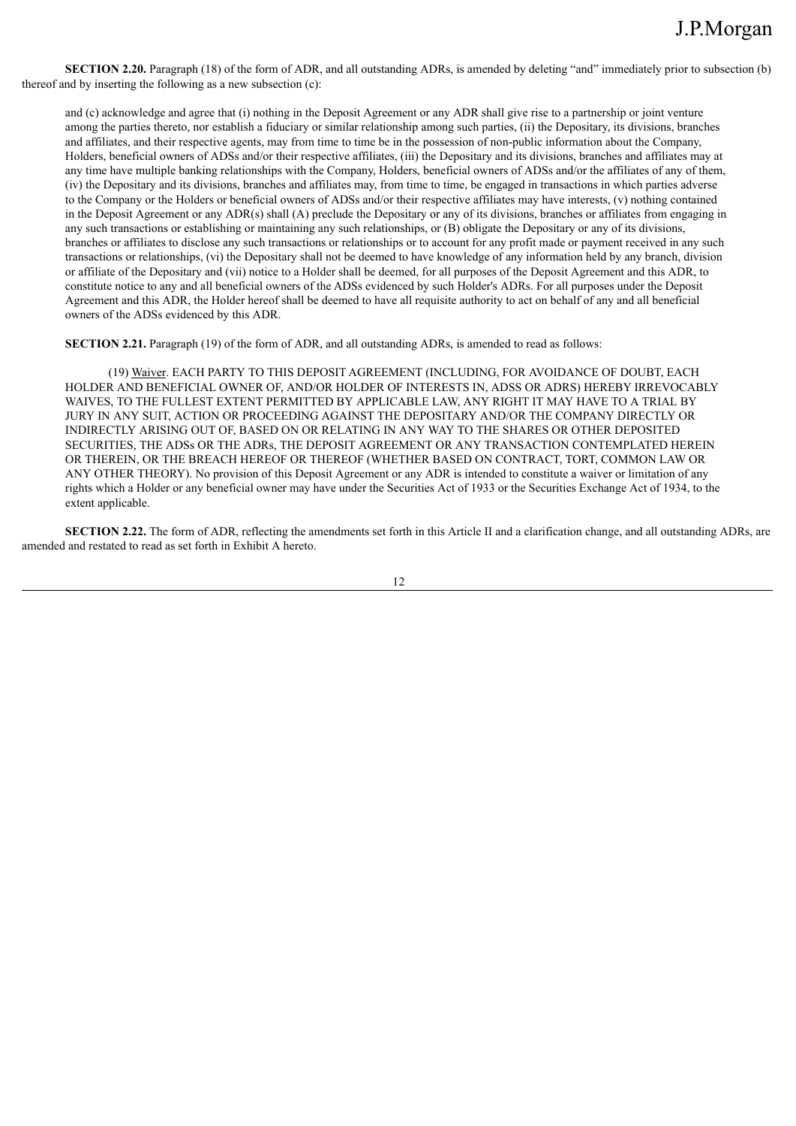**SECTION 2.20.** Paragraph (18) of the form of ADR, and all outstanding ADRs, is amended by deleting "and" immediately prior to subsection (b) thereof and by inserting the following as a new subsection (c):

and (c) acknowledge and agree that (i) nothing in the Deposit Agreement or any ADR shall give rise to a partnership or joint venture among the parties thereto, nor establish a fiduciary or similar relationship among such parties, (ii) the Depositary, its divisions, branches and affiliates, and their respective agents, may from time to time be in the possession of non-public information about the Company, Holders, beneficial owners of ADSs and/or their respective affiliates, (iii) the Depositary and its divisions, branches and affiliates may at any time have multiple banking relationships with the Company, Holders, beneficial owners of ADSs and/or the affiliates of any of them, (iv) the Depositary and its divisions, branches and affiliates may, from time to time, be engaged in transactions in which parties adverse to the Company or the Holders or beneficial owners of ADSs and/or their respective affiliates may have interests, (v) nothing contained in the Deposit Agreement or any ADR(s) shall (A) preclude the Depositary or any of its divisions, branches or affiliates from engaging in any such transactions or establishing or maintaining any such relationships, or (B) obligate the Depositary or any of its divisions, branches or affiliates to disclose any such transactions or relationships or to account for any profit made or payment received in any such transactions or relationships, (vi) the Depositary shall not be deemed to have knowledge of any information held by any branch, division or affiliate of the Depositary and (vii) notice to a Holder shall be deemed, for all purposes of the Deposit Agreement and this ADR, to constitute notice to any and all beneficial owners of the ADSs evidenced by such Holder's ADRs. For all purposes under the Deposit Agreement and this ADR, the Holder hereof shall be deemed to have all requisite authority to act on behalf of any and all beneficial owners of the ADSs evidenced by this ADR.

**SECTION 2.21.** Paragraph (19) of the form of ADR, and all outstanding ADRs, is amended to read as follows:

(19) Waiver. EACH PARTY TO THIS DEPOSIT AGREEMENT (INCLUDING, FOR AVOIDANCE OF DOUBT, EACH HOLDER AND BENEFICIAL OWNER OF, AND/OR HOLDER OF INTERESTS IN, ADSS OR ADRS) HEREBY IRREVOCABLY WAIVES, TO THE FULLEST EXTENT PERMITTED BY APPLICABLE LAW, ANY RIGHT IT MAY HAVE TO A TRIAL BY JURY IN ANY SUIT, ACTION OR PROCEEDING AGAINST THE DEPOSITARY AND/OR THE COMPANY DIRECTLY OR INDIRECTLY ARISING OUT OF, BASED ON OR RELATING IN ANY WAY TO THE SHARES OR OTHER DEPOSITED SECURITIES, THE ADSs OR THE ADRs, THE DEPOSIT AGREEMENT OR ANY TRANSACTION CONTEMPLATED HEREIN OR THEREIN, OR THE BREACH HEREOF OR THEREOF (WHETHER BASED ON CONTRACT, TORT, COMMON LAW OR ANY OTHER THEORY). No provision of this Deposit Agreement or any ADR is intended to constitute a waiver or limitation of any rights which a Holder or any beneficial owner may have under the Securities Act of 1933 or the Securities Exchange Act of 1934, to the extent applicable.

**SECTION 2.22.** The form of ADR, reflecting the amendments set forth in this Article II and a clarification change, and all outstanding ADRs, are amended and restated to read as set forth in Exhibit A hereto.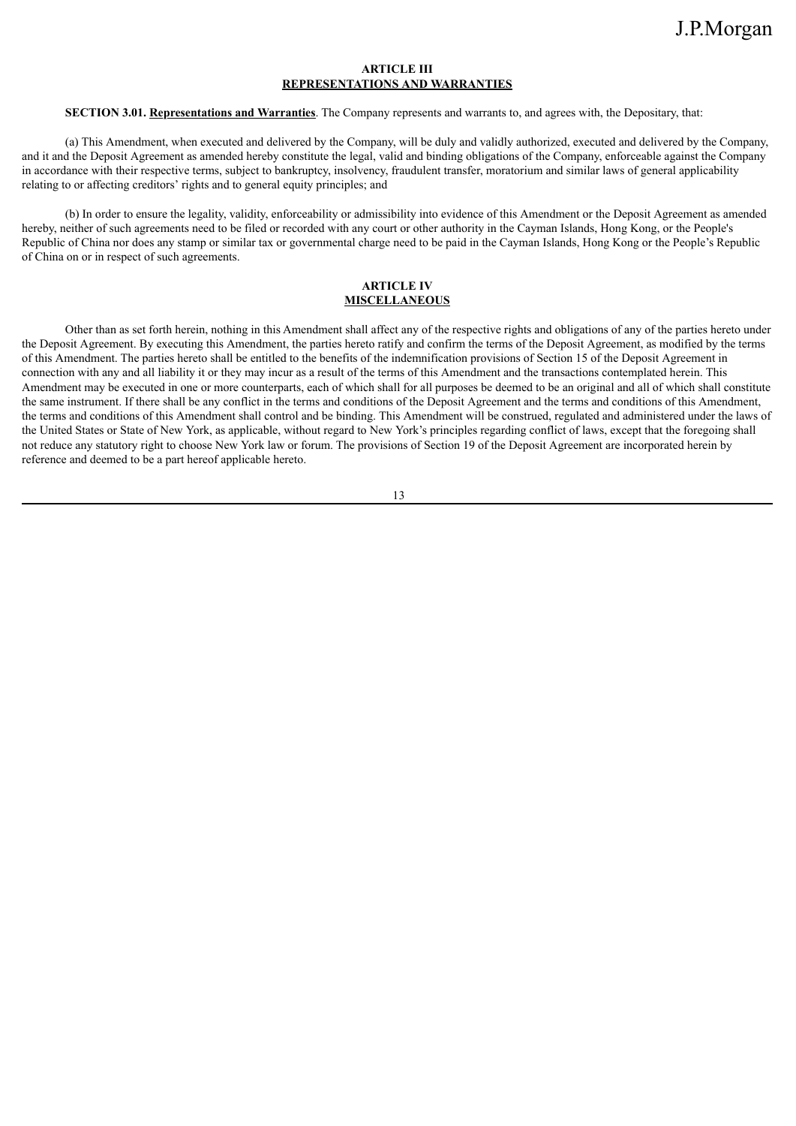## **ARTICLE III REPRESENTATIONS AND WARRANTIES**

#### **SECTION 3.01. Representations and Warranties**. The Company represents and warrants to, and agrees with, the Depositary, that:

(a) This Amendment, when executed and delivered by the Company, will be duly and validly authorized, executed and delivered by the Company, and it and the Deposit Agreement as amended hereby constitute the legal, valid and binding obligations of the Company, enforceable against the Company in accordance with their respective terms, subject to bankruptcy, insolvency, fraudulent transfer, moratorium and similar laws of general applicability relating to or affecting creditors' rights and to general equity principles; and

(b) In order to ensure the legality, validity, enforceability or admissibility into evidence of this Amendment or the Deposit Agreement as amended hereby, neither of such agreements need to be filed or recorded with any court or other authority in the Cayman Islands, Hong Kong, or the People's Republic of China nor does any stamp or similar tax or governmental charge need to be paid in the Cayman Islands, Hong Kong or the People's Republic of China on or in respect of such agreements.

### **ARTICLE IV MISCELLANEOUS**

Other than as set forth herein, nothing in this Amendment shall affect any of the respective rights and obligations of any of the parties hereto under the Deposit Agreement. By executing this Amendment, the parties hereto ratify and confirm the terms of the Deposit Agreement, as modified by the terms of this Amendment. The parties hereto shall be entitled to the benefits of the indemnification provisions of Section 15 of the Deposit Agreement in connection with any and all liability it or they may incur as a result of the terms of this Amendment and the transactions contemplated herein. This Amendment may be executed in one or more counterparts, each of which shall for all purposes be deemed to be an original and all of which shall constitute the same instrument. If there shall be any conflict in the terms and conditions of the Deposit Agreement and the terms and conditions of this Amendment, the terms and conditions of this Amendment shall control and be binding. This Amendment will be construed, regulated and administered under the laws of the United States or State of New York, as applicable, without regard to New York's principles regarding conflict of laws, except that the foregoing shall not reduce any statutory right to choose New York law or forum. The provisions of Section 19 of the Deposit Agreement are incorporated herein by reference and deemed to be a part hereof applicable hereto.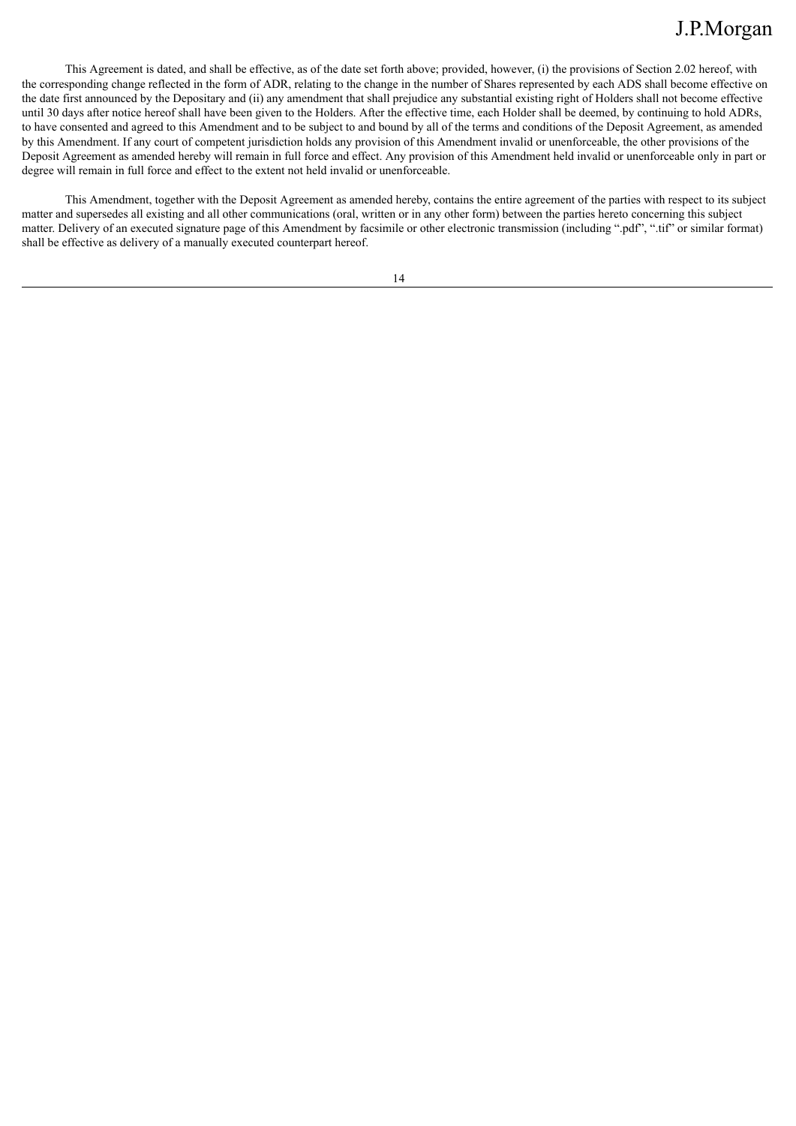This Agreement is dated, and shall be effective, as of the date set forth above; provided, however, (i) the provisions of Section 2.02 hereof, with the corresponding change reflected in the form of ADR, relating to the change in the number of Shares represented by each ADS shall become effective on the date first announced by the Depositary and (ii) any amendment that shall prejudice any substantial existing right of Holders shall not become effective until 30 days after notice hereof shall have been given to the Holders. After the effective time, each Holder shall be deemed, by continuing to hold ADRs, to have consented and agreed to this Amendment and to be subject to and bound by all of the terms and conditions of the Deposit Agreement, as amended by this Amendment. If any court of competent jurisdiction holds any provision of this Amendment invalid or unenforceable, the other provisions of the Deposit Agreement as amended hereby will remain in full force and effect. Any provision of this Amendment held invalid or unenforceable only in part or degree will remain in full force and effect to the extent not held invalid or unenforceable.

This Amendment, together with the Deposit Agreement as amended hereby, contains the entire agreement of the parties with respect to its subject matter and supersedes all existing and all other communications (oral, written or in any other form) between the parties hereto concerning this subject matter. Delivery of an executed signature page of this Amendment by facsimile or other electronic transmission (including ".pdf", ".tif" or similar format) shall be effective as delivery of a manually executed counterpart hereof.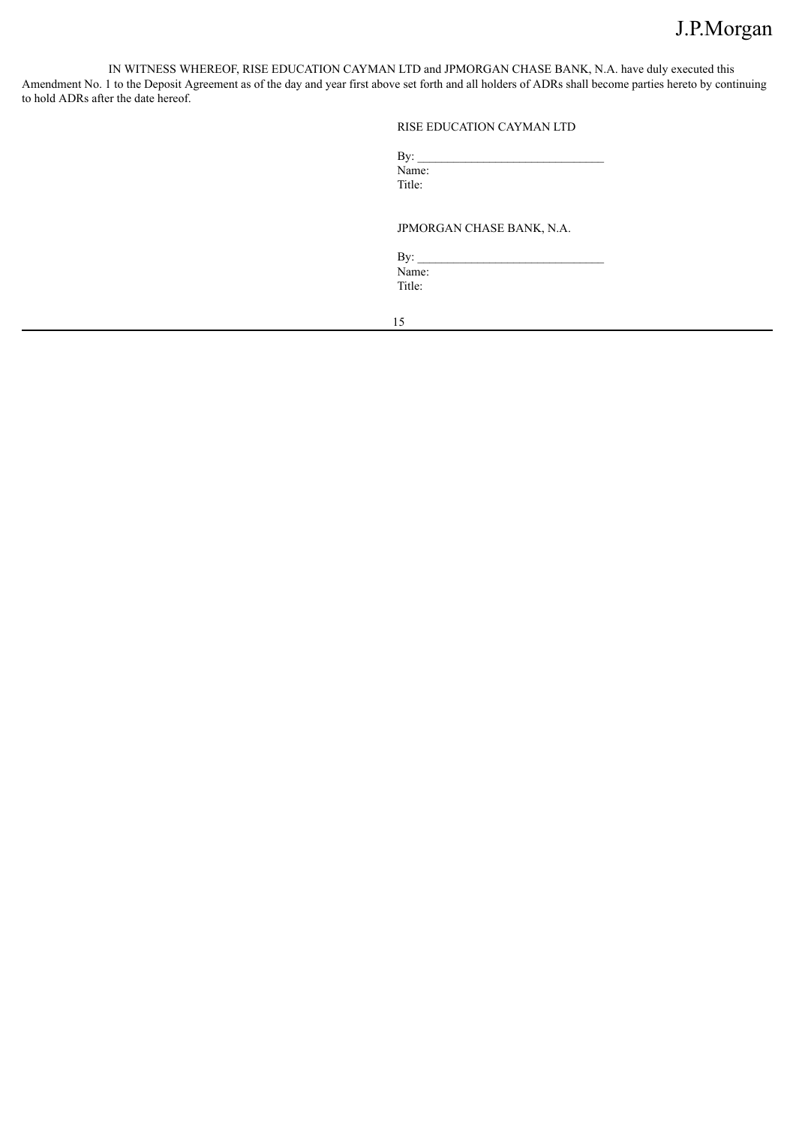IN WITNESS WHEREOF, RISE EDUCATION CAYMAN LTD and JPMORGAN CHASE BANK, N.A. have duly executed this Amendment No. 1 to the Deposit Agreement as of the day and year first above set forth and all holders of ADRs shall become parties hereto by continuing to hold ADRs after the date hereof.

## RISE EDUCATION CAYMAN LTD

| By:    |  |  |
|--------|--|--|
| Name:  |  |  |
| Title: |  |  |

JPMORGAN CHASE BANK, N.A.

By:  $\angle$ Name: Title: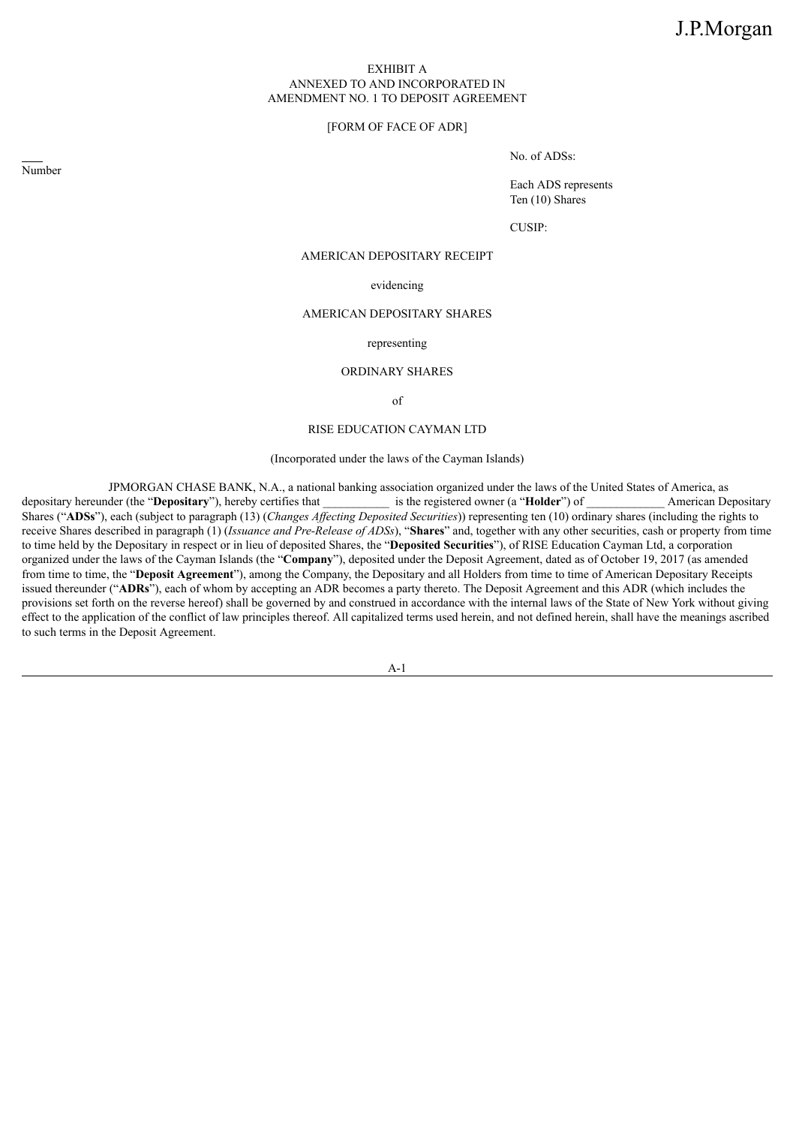### EXHIBIT A ANNEXED TO AND INCORPORATED IN AMENDMENT NO. 1 TO DEPOSIT AGREEMENT

### [FORM OF FACE OF ADR]

No. of ADSs:

Each ADS represents Ten (10) Shares

CUSIP:

## AMERICAN DEPOSITARY RECEIPT

### evidencing

### AMERICAN DEPOSITARY SHARES

### representing

### ORDINARY SHARES

of

#### RISE EDUCATION CAYMAN LTD

#### (Incorporated under the laws of the Cayman Islands)

JPMORGAN CHASE BANK, N.A., a national banking association organized under the laws of the United States of America, as der (the "Depositary"), hereby certifies that \_\_\_\_\_\_\_\_\_\_\_\_ is the registered owner (a "Holder") of Amer depositary hereunder (the "**Depositary**"), hereby certifies that  $\qquad$  is the registered owner (a "**Holder**") of American Depositary Shares ("**ADSs**"), each (subject to paragraph (13) (*Changes Af ecting Deposited Securities*)) representing ten (10) ordinary shares (including the rights to receive Shares described in paragraph (1) (*Issuance and Pre-Release of ADSs*), "**Shares**" and, together with any other securities, cash or property from time to time held by the Depositary in respect or in lieu of deposited Shares, the "**Deposited Securities**"), of RISE Education Cayman Ltd, a corporation organized under the laws of the Cayman Islands (the "**Company**"), deposited under the Deposit Agreement, dated as of October 19, 2017 (as amended from time to time, the "**Deposit Agreement**"), among the Company, the Depositary and all Holders from time to time of American Depositary Receipts issued thereunder ("**ADRs**"), each of whom by accepting an ADR becomes a party thereto. The Deposit Agreement and this ADR (which includes the provisions set forth on the reverse hereof) shall be governed by and construed in accordance with the internal laws of the State of New York without giving effect to the application of the conflict of law principles thereof. All capitalized terms used herein, and not defined herein, shall have the meanings ascribed to such terms in the Deposit Agreement.

A-1

Number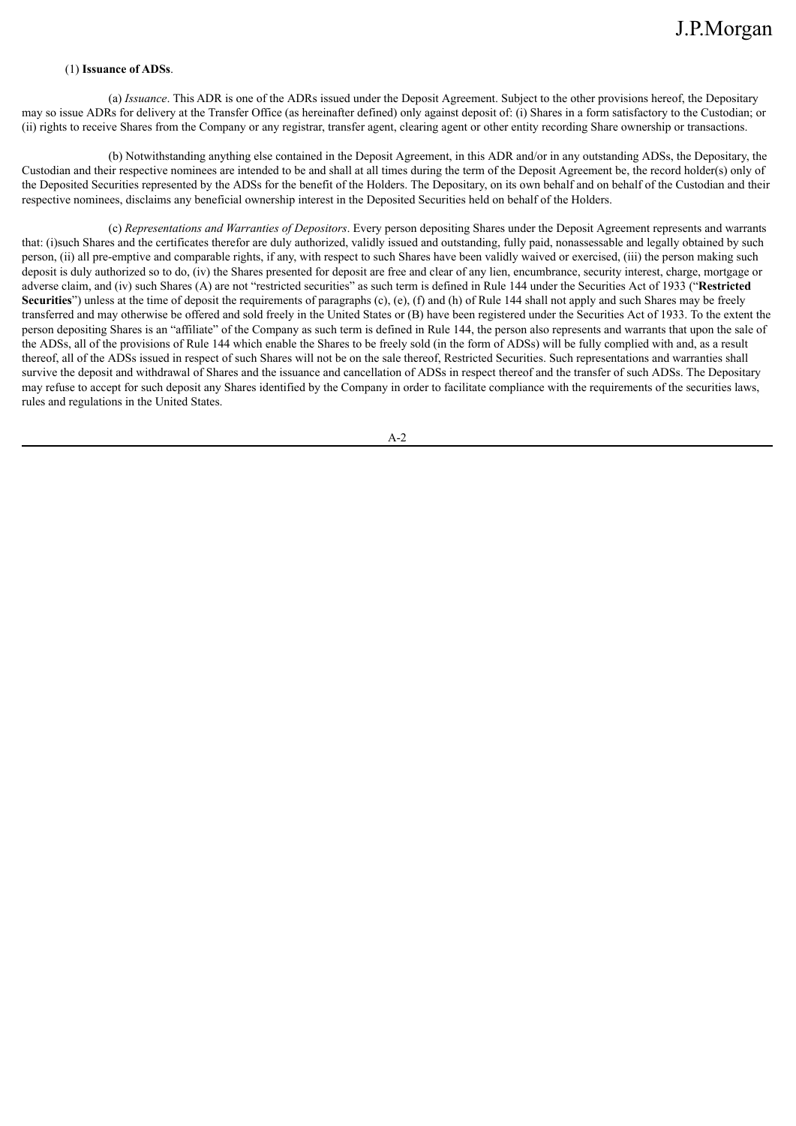### (1) **Issuance of ADSs**.

(a) *Issuance*. This ADR is one of the ADRs issued under the Deposit Agreement. Subject to the other provisions hereof, the Depositary may so issue ADRs for delivery at the Transfer Office (as hereinafter defined) only against deposit of: (i) Shares in a form satisfactory to the Custodian; or (ii) rights to receive Shares from the Company or any registrar, transfer agent, clearing agent or other entity recording Share ownership or transactions.

(b) Notwithstanding anything else contained in the Deposit Agreement, in this ADR and/or in any outstanding ADSs, the Depositary, the Custodian and their respective nominees are intended to be and shall at all times during the term of the Deposit Agreement be, the record holder(s) only of the Deposited Securities represented by the ADSs for the benefit of the Holders. The Depositary, on its own behalf and on behalf of the Custodian and their respective nominees, disclaims any beneficial ownership interest in the Deposited Securities held on behalf of the Holders.

(c) *Representations and Warranties of Depositors*. Every person depositing Shares under the Deposit Agreement represents and warrants that: (i)such Shares and the certificates therefor are duly authorized, validly issued and outstanding, fully paid, nonassessable and legally obtained by such person, (ii) all pre-emptive and comparable rights, if any, with respect to such Shares have been validly waived or exercised, (iii) the person making such deposit is duly authorized so to do, (iv) the Shares presented for deposit are free and clear of any lien, encumbrance, security interest, charge, mortgage or adverse claim, and (iv) such Shares (A) are not "restricted securities" as such term is defined in Rule 144 under the Securities Act of 1933 ("**Restricted Securities**") unless at the time of deposit the requirements of paragraphs (c), (e), (f) and (h) of Rule 144 shall not apply and such Shares may be freely transferred and may otherwise be offered and sold freely in the United States or (B) have been registered under the Securities Act of 1933. To the extent the person depositing Shares is an "affiliate" of the Company as such term is defined in Rule 144, the person also represents and warrants that upon the sale of the ADSs, all of the provisions of Rule 144 which enable the Shares to be freely sold (in the form of ADSs) will be fully complied with and, as a result thereof, all of the ADSs issued in respect of such Shares will not be on the sale thereof, Restricted Securities. Such representations and warranties shall survive the deposit and withdrawal of Shares and the issuance and cancellation of ADSs in respect thereof and the transfer of such ADSs. The Depositary may refuse to accept for such deposit any Shares identified by the Company in order to facilitate compliance with the requirements of the securities laws, rules and regulations in the United States.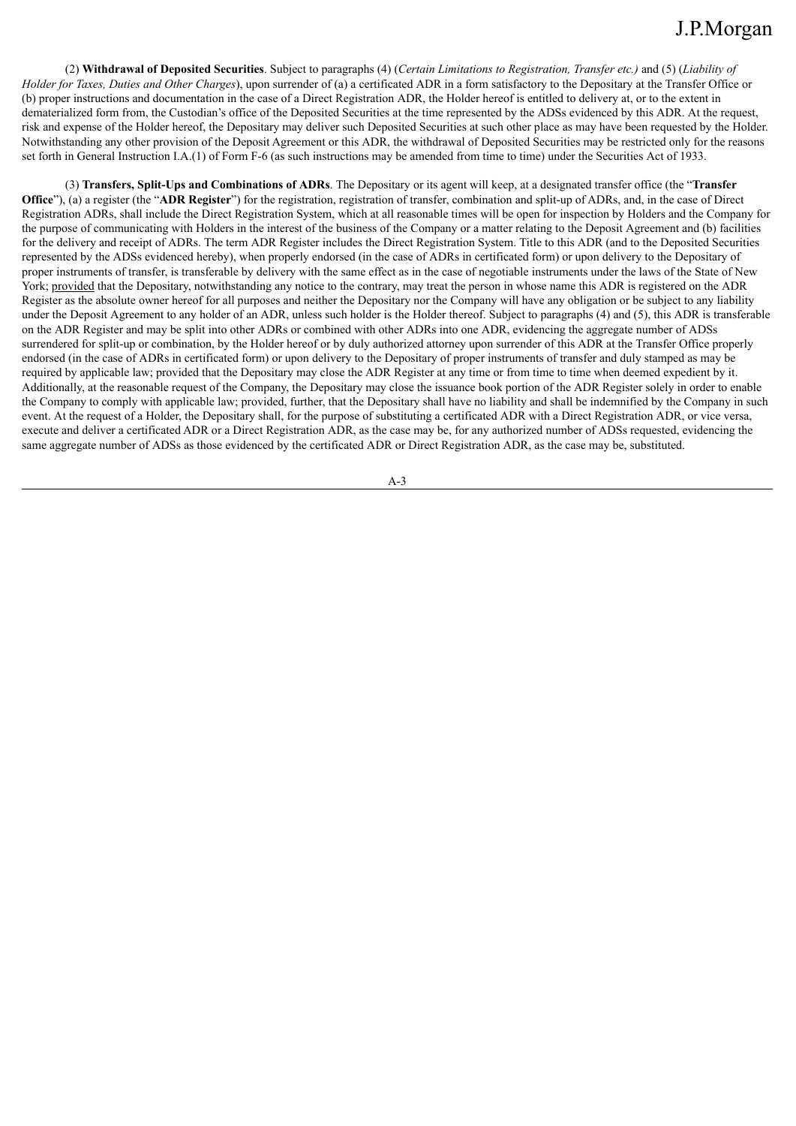(2) **Withdrawal of Deposited Securities**. Subject to paragraphs (4) (*Certain Limitations to Registration, Transfer etc.)* and (5) (*Liability of Holder for Taxes, Duties and Other Charges*), upon surrender of (a) a certificated ADR in a form satisfactory to the Depositary at the Transfer Office or (b) proper instructions and documentation in the case of a Direct Registration ADR, the Holder hereof is entitled to delivery at, or to the extent in dematerialized form from, the Custodian's office of the Deposited Securities at the time represented by the ADSs evidenced by this ADR. At the request, risk and expense of the Holder hereof, the Depositary may deliver such Deposited Securities at such other place as may have been requested by the Holder. Notwithstanding any other provision of the Deposit Agreement or this ADR, the withdrawal of Deposited Securities may be restricted only for the reasons set forth in General Instruction I.A.(1) of Form F-6 (as such instructions may be amended from time to time) under the Securities Act of 1933.

(3) **Transfers, Split-Ups and Combinations of ADRs**. The Depositary or its agent will keep, at a designated transfer office (the "**Transfer Office**"), (a) a register (the "**ADR Register**") for the registration, registration of transfer, combination and split-up of ADRs, and, in the case of Direct Registration ADRs, shall include the Direct Registration System, which at all reasonable times will be open for inspection by Holders and the Company for the purpose of communicating with Holders in the interest of the business of the Company or a matter relating to the Deposit Agreement and (b) facilities for the delivery and receipt of ADRs. The term ADR Register includes the Direct Registration System. Title to this ADR (and to the Deposited Securities represented by the ADSs evidenced hereby), when properly endorsed (in the case of ADRs in certificated form) or upon delivery to the Depositary of proper instruments of transfer, is transferable by delivery with the same effect as in the case of negotiable instruments under the laws of the State of New York; provided that the Depositary, notwithstanding any notice to the contrary, may treat the person in whose name this ADR is registered on the ADR Register as the absolute owner hereof for all purposes and neither the Depositary nor the Company will have any obligation or be subject to any liability under the Deposit Agreement to any holder of an ADR, unless such holder is the Holder thereof. Subject to paragraphs (4) and (5), this ADR is transferable on the ADR Register and may be split into other ADRs or combined with other ADRs into one ADR, evidencing the aggregate number of ADSs surrendered for split-up or combination, by the Holder hereof or by duly authorized attorney upon surrender of this ADR at the Transfer Office properly endorsed (in the case of ADRs in certificated form) or upon delivery to the Depositary of proper instruments of transfer and duly stamped as may be required by applicable law; provided that the Depositary may close the ADR Register at any time or from time to time when deemed expedient by it. Additionally, at the reasonable request of the Company, the Depositary may close the issuance book portion of the ADR Register solely in order to enable the Company to comply with applicable law; provided, further, that the Depositary shall have no liability and shall be indemnified by the Company in such event. At the request of a Holder, the Depositary shall, for the purpose of substituting a certificated ADR with a Direct Registration ADR, or vice versa, execute and deliver a certificated ADR or a Direct Registration ADR, as the case may be, for any authorized number of ADSs requested, evidencing the same aggregate number of ADSs as those evidenced by the certificated ADR or Direct Registration ADR, as the case may be, substituted.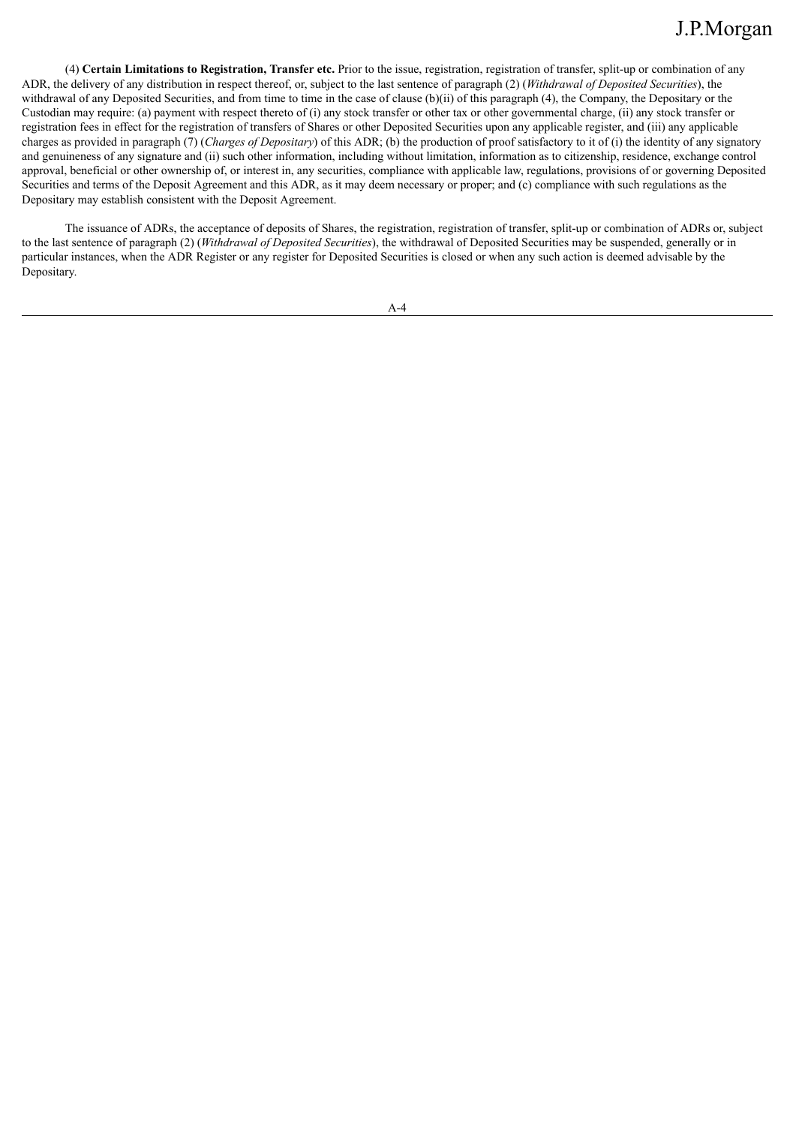(4) **Certain Limitations to Registration, Transfer etc.** Prior to the issue, registration, registration of transfer, split-up or combination of any ADR, the delivery of any distribution in respect thereof, or, subject to the last sentence of paragraph (2) (*Withdrawal of Deposited Securities*), the withdrawal of any Deposited Securities, and from time to time in the case of clause (b)(ii) of this paragraph (4), the Company, the Depositary or the Custodian may require: (a) payment with respect thereto of (i) any stock transfer or other tax or other governmental charge, (ii) any stock transfer or registration fees in effect for the registration of transfers of Shares or other Deposited Securities upon any applicable register, and (iii) any applicable charges as provided in paragraph (7) (*Charges of Depositary*) of this ADR; (b) the production of proof satisfactory to it of (i) the identity of any signatory and genuineness of any signature and (ii) such other information, including without limitation, information as to citizenship, residence, exchange control approval, beneficial or other ownership of, or interest in, any securities, compliance with applicable law, regulations, provisions of or governing Deposited Securities and terms of the Deposit Agreement and this ADR, as it may deem necessary or proper; and (c) compliance with such regulations as the Depositary may establish consistent with the Deposit Agreement.

The issuance of ADRs, the acceptance of deposits of Shares, the registration, registration of transfer, split-up or combination of ADRs or, subject to the last sentence of paragraph (2) (*Withdrawal of Deposited Securities*), the withdrawal of Deposited Securities may be suspended, generally or in particular instances, when the ADR Register or any register for Deposited Securities is closed or when any such action is deemed advisable by the Depositary.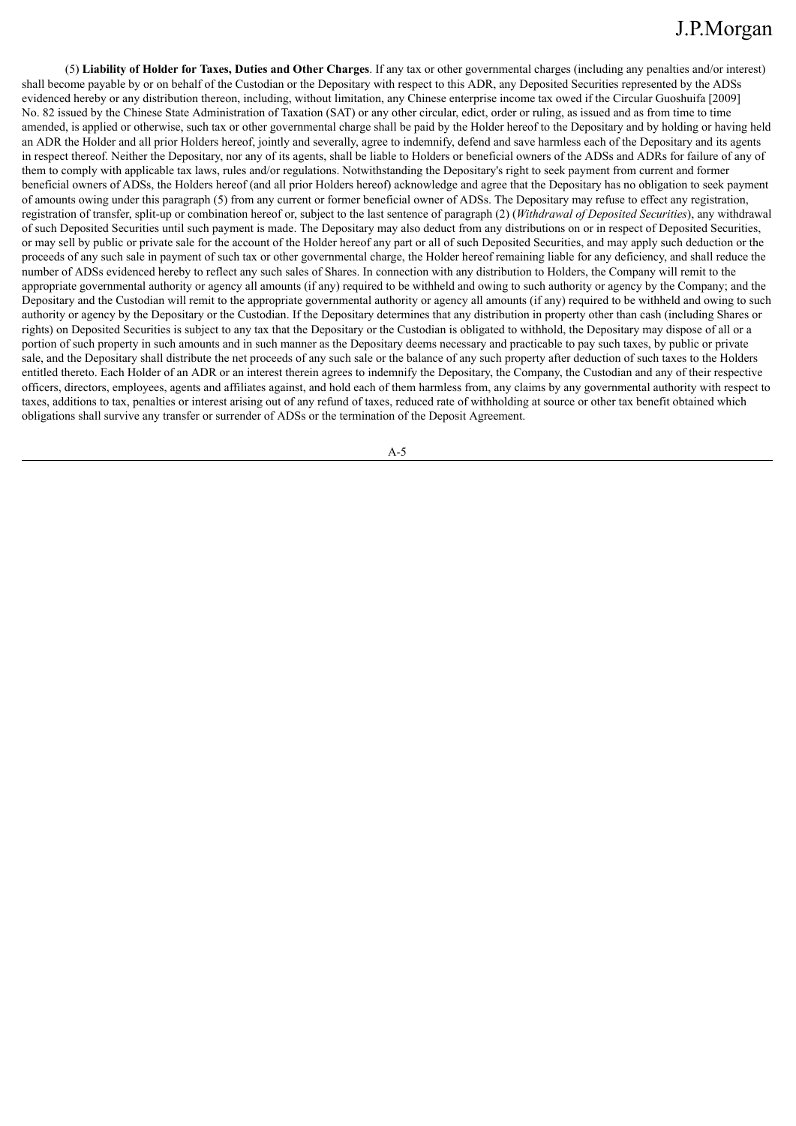(5) **Liability of Holder for Taxes, Duties and Other Charges**. If any tax or other governmental charges (including any penalties and/or interest) shall become payable by or on behalf of the Custodian or the Depositary with respect to this ADR, any Deposited Securities represented by the ADSs evidenced hereby or any distribution thereon, including, without limitation, any Chinese enterprise income tax owed if the Circular Guoshuifa [2009] No. 82 issued by the Chinese State Administration of Taxation (SAT) or any other circular, edict, order or ruling, as issued and as from time to time amended, is applied or otherwise, such tax or other governmental charge shall be paid by the Holder hereof to the Depositary and by holding or having held an ADR the Holder and all prior Holders hereof, jointly and severally, agree to indemnify, defend and save harmless each of the Depositary and its agents in respect thereof. Neither the Depositary, nor any of its agents, shall be liable to Holders or beneficial owners of the ADSs and ADRs for failure of any of them to comply with applicable tax laws, rules and/or regulations. Notwithstanding the Depositary's right to seek payment from current and former beneficial owners of ADSs, the Holders hereof (and all prior Holders hereof) acknowledge and agree that the Depositary has no obligation to seek payment of amounts owing under this paragraph (5) from any current or former beneficial owner of ADSs. The Depositary may refuse to effect any registration, registration of transfer, split-up or combination hereof or, subject to the last sentence of paragraph (2) (*Withdrawal of Deposited Securities*), any withdrawal of such Deposited Securities until such payment is made. The Depositary may also deduct from any distributions on or in respect of Deposited Securities, or may sell by public or private sale for the account of the Holder hereof any part or all of such Deposited Securities, and may apply such deduction or the proceeds of any such sale in payment of such tax or other governmental charge, the Holder hereof remaining liable for any deficiency, and shall reduce the number of ADSs evidenced hereby to reflect any such sales of Shares. In connection with any distribution to Holders, the Company will remit to the appropriate governmental authority or agency all amounts (if any) required to be withheld and owing to such authority or agency by the Company; and the Depositary and the Custodian will remit to the appropriate governmental authority or agency all amounts (if any) required to be withheld and owing to such authority or agency by the Depositary or the Custodian. If the Depositary determines that any distribution in property other than cash (including Shares or rights) on Deposited Securities is subject to any tax that the Depositary or the Custodian is obligated to withhold, the Depositary may dispose of all or a portion of such property in such amounts and in such manner as the Depositary deems necessary and practicable to pay such taxes, by public or private sale, and the Depositary shall distribute the net proceeds of any such sale or the balance of any such property after deduction of such taxes to the Holders entitled thereto. Each Holder of an ADR or an interest therein agrees to indemnify the Depositary, the Company, the Custodian and any of their respective officers, directors, employees, agents and affiliates against, and hold each of them harmless from, any claims by any governmental authority with respect to taxes, additions to tax, penalties or interest arising out of any refund of taxes, reduced rate of withholding at source or other tax benefit obtained which obligations shall survive any transfer or surrender of ADSs or the termination of the Deposit Agreement.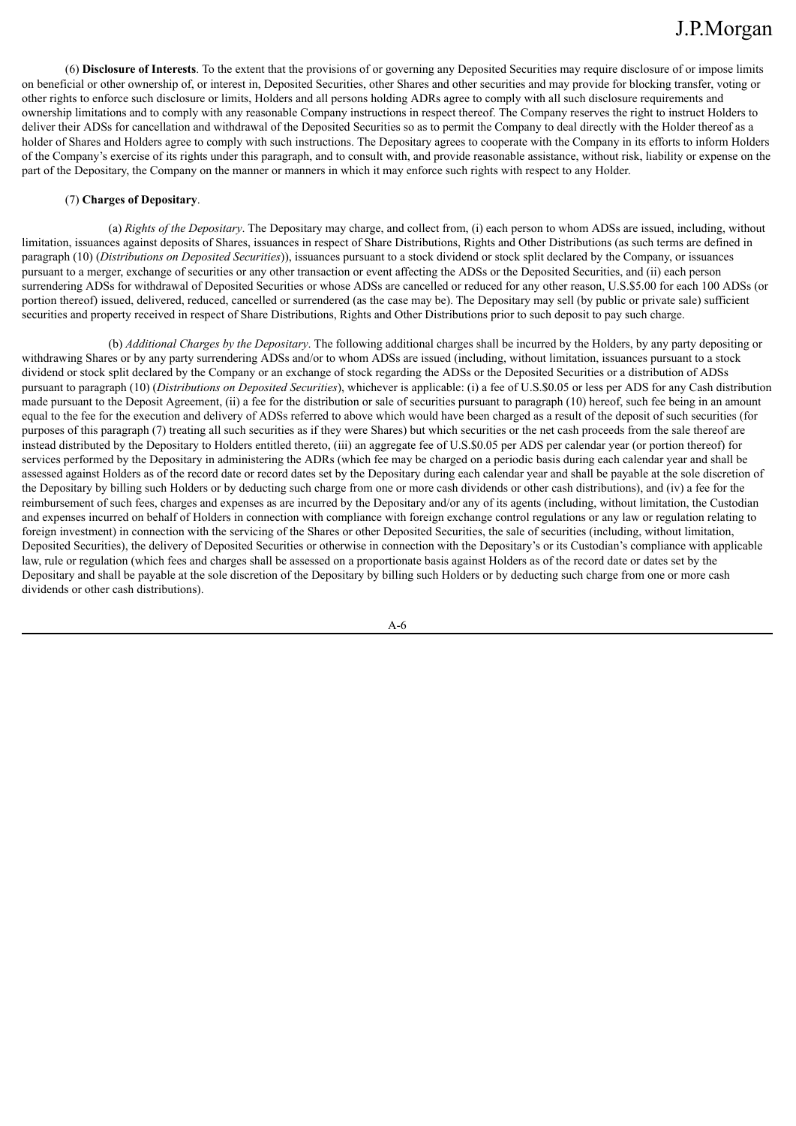(6) **Disclosure of Interests**. To the extent that the provisions of or governing any Deposited Securities may require disclosure of or impose limits on beneficial or other ownership of, or interest in, Deposited Securities, other Shares and other securities and may provide for blocking transfer, voting or other rights to enforce such disclosure or limits, Holders and all persons holding ADRs agree to comply with all such disclosure requirements and ownership limitations and to comply with any reasonable Company instructions in respect thereof. The Company reserves the right to instruct Holders to deliver their ADSs for cancellation and withdrawal of the Deposited Securities so as to permit the Company to deal directly with the Holder thereof as a holder of Shares and Holders agree to comply with such instructions. The Depositary agrees to cooperate with the Company in its efforts to inform Holders of the Company's exercise of its rights under this paragraph, and to consult with, and provide reasonable assistance, without risk, liability or expense on the part of the Depositary, the Company on the manner or manners in which it may enforce such rights with respect to any Holder.

### (7) **Charges of Depositary**.

(a) *Rights of the Depositary*. The Depositary may charge, and collect from, (i) each person to whom ADSs are issued, including, without limitation, issuances against deposits of Shares, issuances in respect of Share Distributions, Rights and Other Distributions (as such terms are defined in paragraph (10) (*Distributions on Deposited Securities*)), issuances pursuant to a stock dividend or stock split declared by the Company, or issuances pursuant to a merger, exchange of securities or any other transaction or event affecting the ADSs or the Deposited Securities, and (ii) each person surrendering ADSs for withdrawal of Deposited Securities or whose ADSs are cancelled or reduced for any other reason, U.S.\$5.00 for each 100 ADSs (or portion thereof) issued, delivered, reduced, cancelled or surrendered (as the case may be). The Depositary may sell (by public or private sale) sufficient securities and property received in respect of Share Distributions, Rights and Other Distributions prior to such deposit to pay such charge.

(b) *Additional Charges by the Depositary*. The following additional charges shall be incurred by the Holders, by any party depositing or withdrawing Shares or by any party surrendering ADSs and/or to whom ADSs are issued (including, without limitation, issuances pursuant to a stock dividend or stock split declared by the Company or an exchange of stock regarding the ADSs or the Deposited Securities or a distribution of ADSs pursuant to paragraph (10) (*Distributions on Deposited Securities*), whichever is applicable: (i) a fee of U.S.\$0.05 or less per ADS for any Cash distribution made pursuant to the Deposit Agreement, (ii) a fee for the distribution or sale of securities pursuant to paragraph (10) hereof, such fee being in an amount equal to the fee for the execution and delivery of ADSs referred to above which would have been charged as a result of the deposit of such securities (for purposes of this paragraph (7) treating all such securities as if they were Shares) but which securities or the net cash proceeds from the sale thereof are instead distributed by the Depositary to Holders entitled thereto, (iii) an aggregate fee of U.S.\$0.05 per ADS per calendar year (or portion thereof) for services performed by the Depositary in administering the ADRs (which fee may be charged on a periodic basis during each calendar year and shall be assessed against Holders as of the record date or record dates set by the Depositary during each calendar year and shall be payable at the sole discretion of the Depositary by billing such Holders or by deducting such charge from one or more cash dividends or other cash distributions), and (iv) a fee for the reimbursement of such fees, charges and expenses as are incurred by the Depositary and/or any of its agents (including, without limitation, the Custodian and expenses incurred on behalf of Holders in connection with compliance with foreign exchange control regulations or any law or regulation relating to foreign investment) in connection with the servicing of the Shares or other Deposited Securities, the sale of securities (including, without limitation, Deposited Securities), the delivery of Deposited Securities or otherwise in connection with the Depositary's or its Custodian's compliance with applicable law, rule or regulation (which fees and charges shall be assessed on a proportionate basis against Holders as of the record date or dates set by the Depositary and shall be payable at the sole discretion of the Depositary by billing such Holders or by deducting such charge from one or more cash dividends or other cash distributions).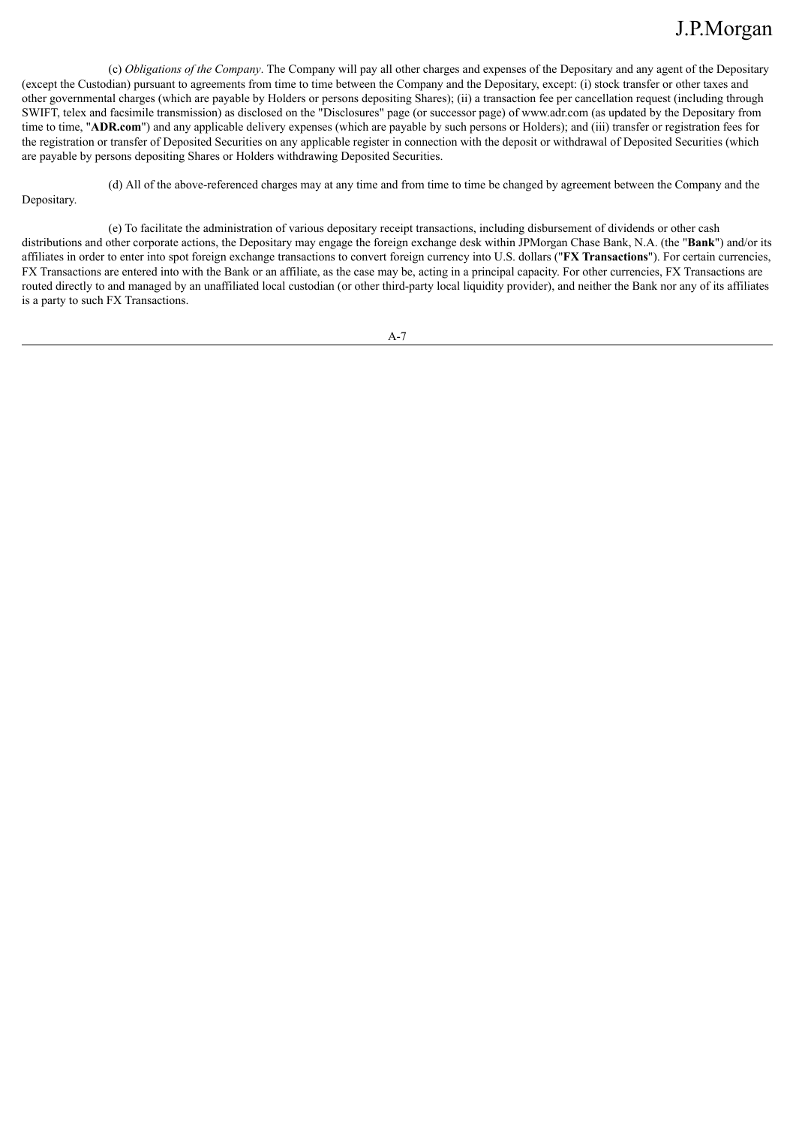(c) *Obligations of the Company*. The Company will pay all other charges and expenses of the Depositary and any agent of the Depositary (except the Custodian) pursuant to agreements from time to time between the Company and the Depositary, except: (i) stock transfer or other taxes and other governmental charges (which are payable by Holders or persons depositing Shares); (ii) a transaction fee per cancellation request (including through SWIFT, telex and facsimile transmission) as disclosed on the "Disclosures" page (or successor page) of www.adr.com (as updated by the Depositary from time to time, "**ADR.com**") and any applicable delivery expenses (which are payable by such persons or Holders); and (iii) transfer or registration fees for the registration or transfer of Deposited Securities on any applicable register in connection with the deposit or withdrawal of Deposited Securities (which are payable by persons depositing Shares or Holders withdrawing Deposited Securities.

(d) All of the above-referenced charges may at any time and from time to time be changed by agreement between the Company and the

## Depositary.

(e) To facilitate the administration of various depositary receipt transactions, including disbursement of dividends or other cash distributions and other corporate actions, the Depositary may engage the foreign exchange desk within JPMorgan Chase Bank, N.A. (the "**Bank**") and/or its affiliates in order to enter into spot foreign exchange transactions to convert foreign currency into U.S. dollars ("**FX Transactions**"). For certain currencies, FX Transactions are entered into with the Bank or an affiliate, as the case may be, acting in a principal capacity. For other currencies, FX Transactions are routed directly to and managed by an unaffiliated local custodian (or other third-party local liquidity provider), and neither the Bank nor any of its affiliates is a party to such FX Transactions.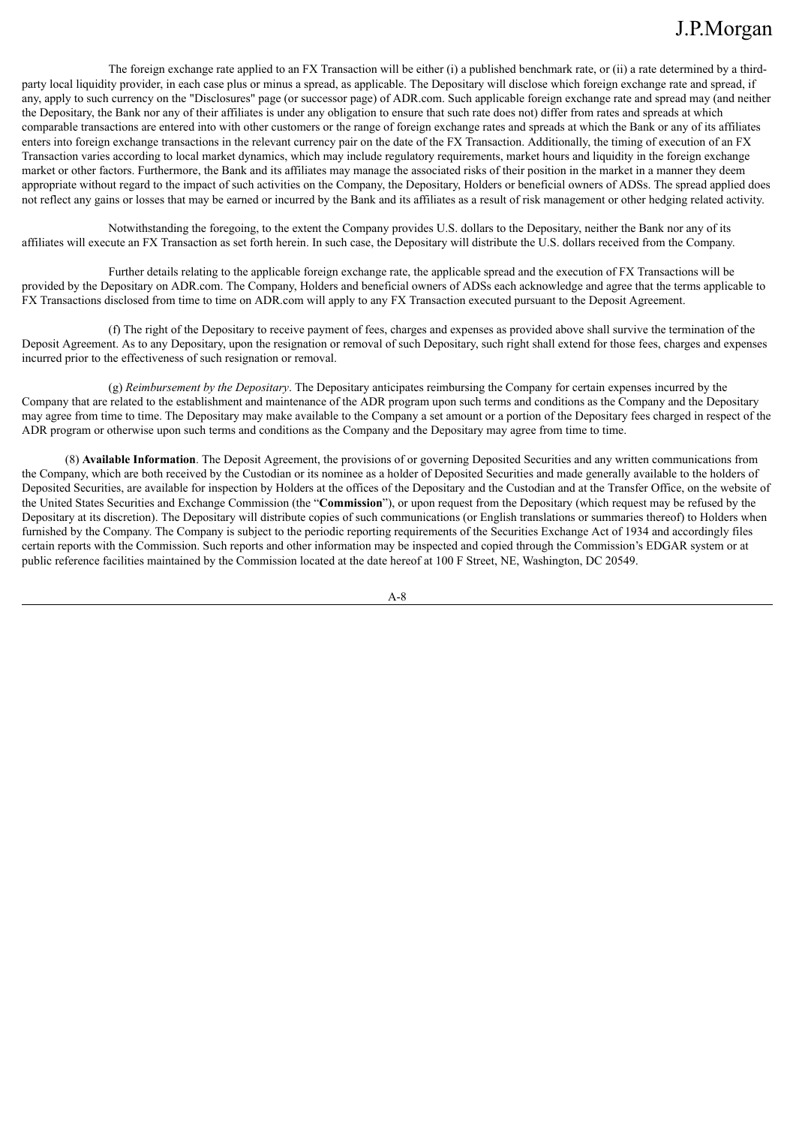The foreign exchange rate applied to an FX Transaction will be either (i) a published benchmark rate, or (ii) a rate determined by a thirdparty local liquidity provider, in each case plus or minus a spread, as applicable. The Depositary will disclose which foreign exchange rate and spread, if any, apply to such currency on the "Disclosures" page (or successor page) of ADR.com. Such applicable foreign exchange rate and spread may (and neither the Depositary, the Bank nor any of their affiliates is under any obligation to ensure that such rate does not) differ from rates and spreads at which comparable transactions are entered into with other customers or the range of foreign exchange rates and spreads at which the Bank or any of its affiliates enters into foreign exchange transactions in the relevant currency pair on the date of the FX Transaction. Additionally, the timing of execution of an FX Transaction varies according to local market dynamics, which may include regulatory requirements, market hours and liquidity in the foreign exchange market or other factors. Furthermore, the Bank and its affiliates may manage the associated risks of their position in the market in a manner they deem appropriate without regard to the impact of such activities on the Company, the Depositary, Holders or beneficial owners of ADSs. The spread applied does not reflect any gains or losses that may be earned or incurred by the Bank and its affiliates as a result of risk management or other hedging related activity.

Notwithstanding the foregoing, to the extent the Company provides U.S. dollars to the Depositary, neither the Bank nor any of its affiliates will execute an FX Transaction as set forth herein. In such case, the Depositary will distribute the U.S. dollars received from the Company.

Further details relating to the applicable foreign exchange rate, the applicable spread and the execution of FX Transactions will be provided by the Depositary on ADR.com. The Company, Holders and beneficial owners of ADSs each acknowledge and agree that the terms applicable to FX Transactions disclosed from time to time on ADR.com will apply to any FX Transaction executed pursuant to the Deposit Agreement.

(f) The right of the Depositary to receive payment of fees, charges and expenses as provided above shall survive the termination of the Deposit Agreement. As to any Depositary, upon the resignation or removal of such Depositary, such right shall extend for those fees, charges and expenses incurred prior to the effectiveness of such resignation or removal.

(g) *Reimbursement by the Depositary*. The Depositary anticipates reimbursing the Company for certain expenses incurred by the Company that are related to the establishment and maintenance of the ADR program upon such terms and conditions as the Company and the Depositary may agree from time to time. The Depositary may make available to the Company a set amount or a portion of the Depositary fees charged in respect of the ADR program or otherwise upon such terms and conditions as the Company and the Depositary may agree from time to time.

(8) **Available Information**. The Deposit Agreement, the provisions of or governing Deposited Securities and any written communications from the Company, which are both received by the Custodian or its nominee as a holder of Deposited Securities and made generally available to the holders of Deposited Securities, are available for inspection by Holders at the offices of the Depositary and the Custodian and at the Transfer Office, on the website of the United States Securities and Exchange Commission (the "**Commission**"), or upon request from the Depositary (which request may be refused by the Depositary at its discretion). The Depositary will distribute copies of such communications (or English translations or summaries thereof) to Holders when furnished by the Company. The Company is subject to the periodic reporting requirements of the Securities Exchange Act of 1934 and accordingly files certain reports with the Commission. Such reports and other information may be inspected and copied through the Commission's EDGAR system or at public reference facilities maintained by the Commission located at the date hereof at 100 F Street, NE, Washington, DC 20549.

 $A - R$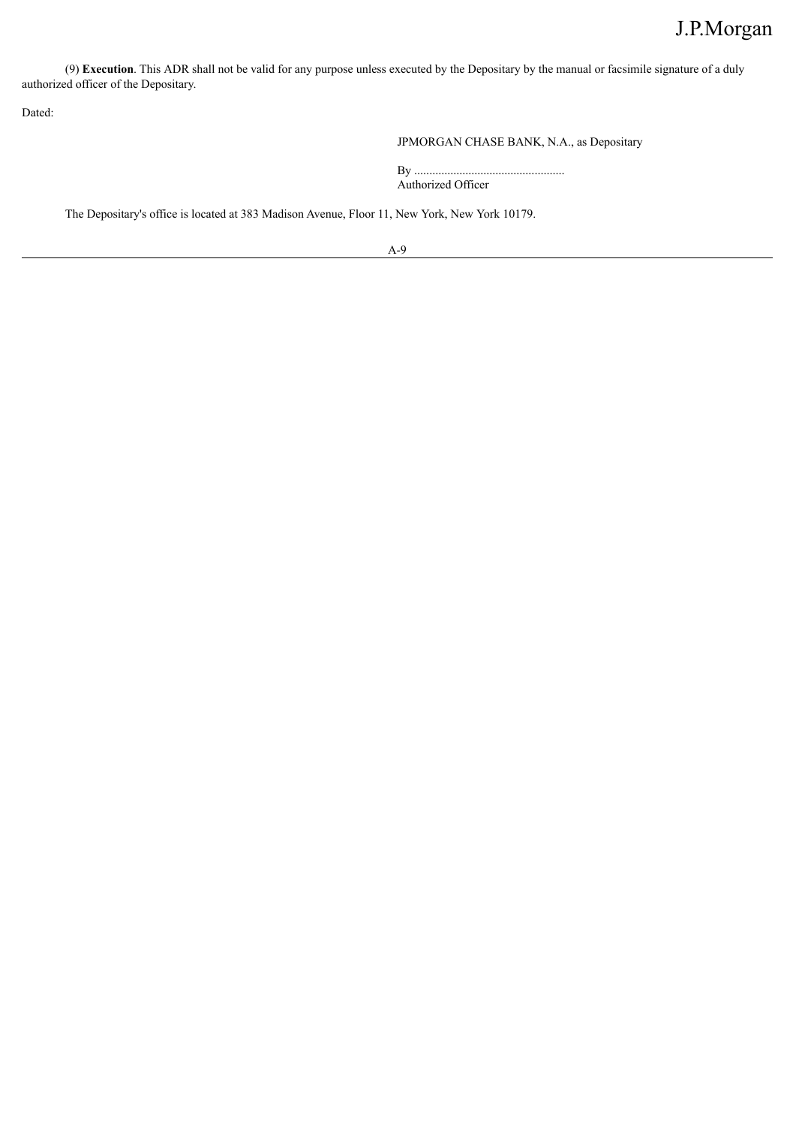(9) **Execution**. This ADR shall not be valid for any purpose unless executed by the Depositary by the manual or facsimile signature of a duly authorized officer of the Depositary.

Dated:

JPMORGAN CHASE BANK, N.A., as Depositary

By .................................................. Authorized Officer

The Depositary's office is located at 383 Madison Avenue, Floor 11, New York, New York 10179.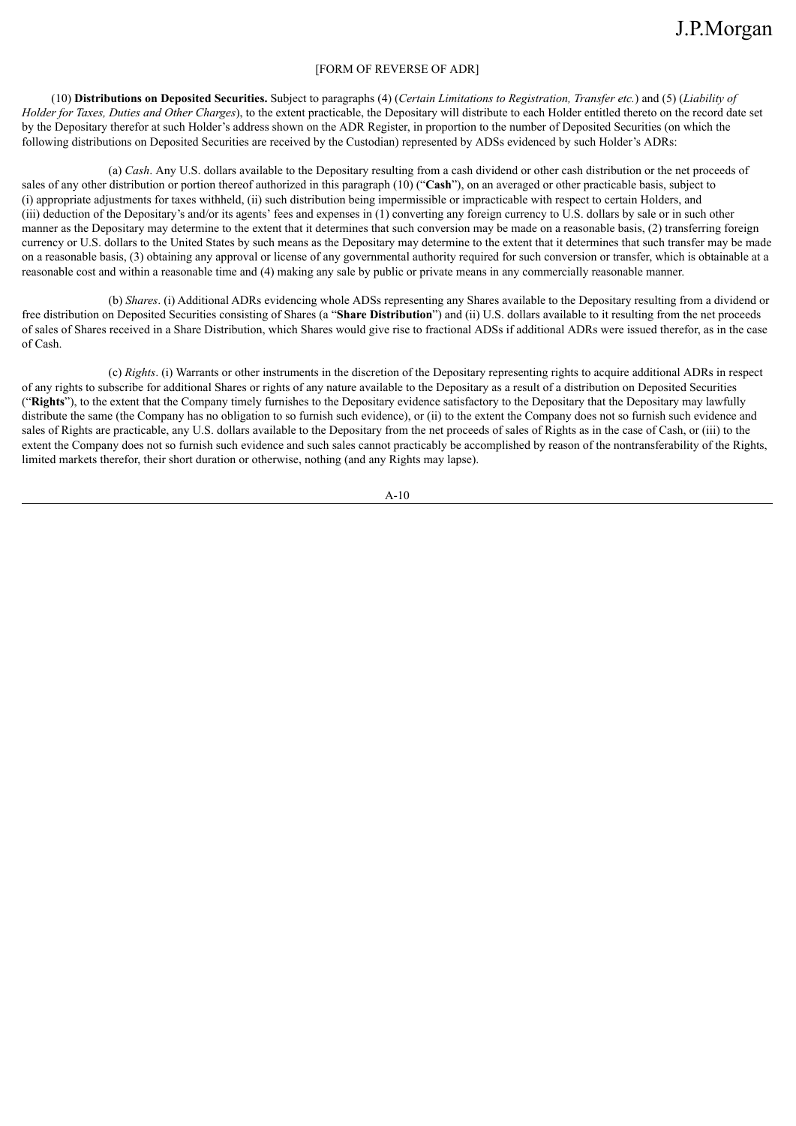## [FORM OF REVERSE OF ADR]

(10) Distributions on Deposited Securities. Subject to paragraphs (4) (Certain Limitations to Registration, Transfer etc.) and (5) (Liability of *Holder for Taxes, Duties and Other Charges*), to the extent practicable, the Depositary will distribute to each Holder entitled thereto on the record date set by the Depositary therefor at such Holder's address shown on the ADR Register, in proportion to the number of Deposited Securities (on which the following distributions on Deposited Securities are received by the Custodian) represented by ADSs evidenced by such Holder's ADRs:

(a) *Cash*. Any U.S. dollars available to the Depositary resulting from a cash dividend or other cash distribution or the net proceeds of sales of any other distribution or portion thereof authorized in this paragraph (10) ("**Cash**"), on an averaged or other practicable basis, subject to (i) appropriate adjustments for taxes withheld, (ii) such distribution being impermissible or impracticable with respect to certain Holders, and (iii) deduction of the Depositary's and/or its agents' fees and expenses in (1) converting any foreign currency to U.S. dollars by sale or in such other manner as the Depositary may determine to the extent that it determines that such conversion may be made on a reasonable basis, (2) transferring foreign currency or U.S. dollars to the United States by such means as the Depositary may determine to the extent that it determines that such transfer may be made on a reasonable basis, (3) obtaining any approval or license of any governmental authority required for such conversion or transfer, which is obtainable at a reasonable cost and within a reasonable time and (4) making any sale by public or private means in any commercially reasonable manner.

(b) *Shares*. (i) Additional ADRs evidencing whole ADSs representing any Shares available to the Depositary resulting from a dividend or free distribution on Deposited Securities consisting of Shares (a "**Share Distribution**") and (ii) U.S. dollars available to it resulting from the net proceeds of sales of Shares received in a Share Distribution, which Shares would give rise to fractional ADSs if additional ADRs were issued therefor, as in the case of Cash.

(c) *Rights*. (i) Warrants or other instruments in the discretion of the Depositary representing rights to acquire additional ADRs in respect of any rights to subscribe for additional Shares or rights of any nature available to the Depositary as a result of a distribution on Deposited Securities ("**Rights**"), to the extent that the Company timely furnishes to the Depositary evidence satisfactory to the Depositary that the Depositary may lawfully distribute the same (the Company has no obligation to so furnish such evidence), or (ii) to the extent the Company does not so furnish such evidence and sales of Rights are practicable, any U.S. dollars available to the Depositary from the net proceeds of sales of Rights as in the case of Cash, or (iii) to the extent the Company does not so furnish such evidence and such sales cannot practicably be accomplished by reason of the nontransferability of the Rights, limited markets therefor, their short duration or otherwise, nothing (and any Rights may lapse).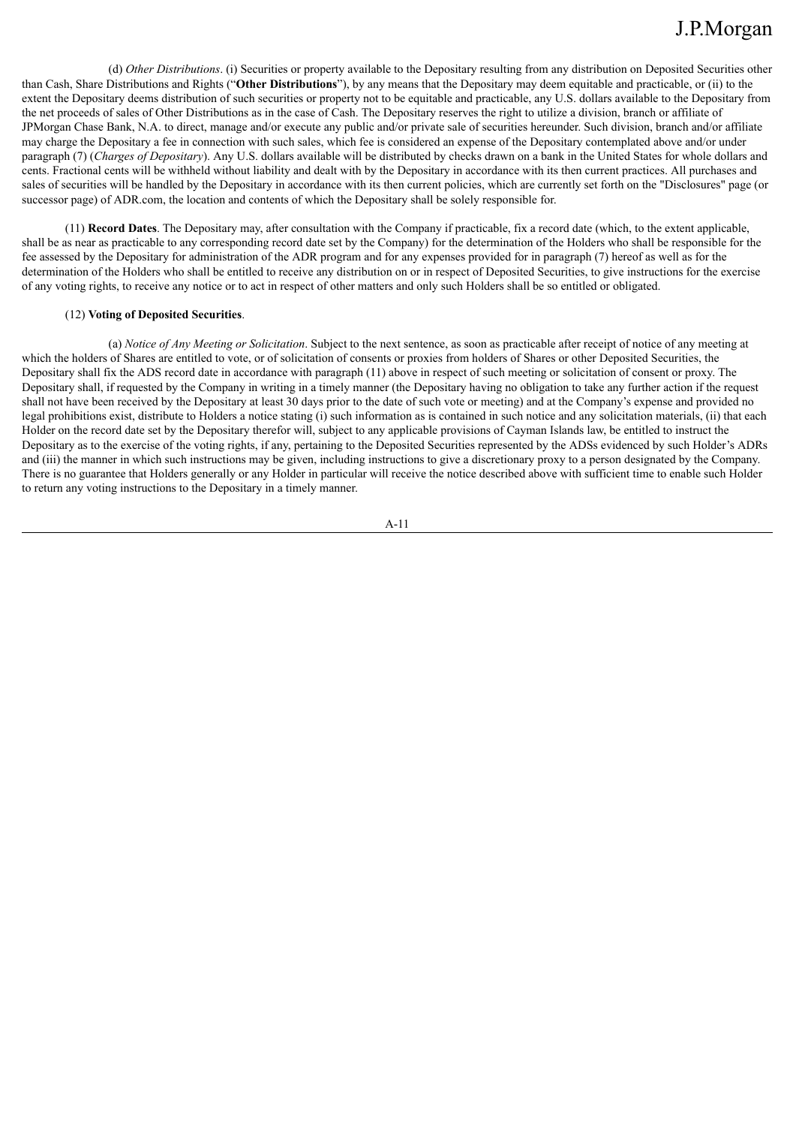(d) *Other Distributions*. (i) Securities or property available to the Depositary resulting from any distribution on Deposited Securities other than Cash, Share Distributions and Rights ("**Other Distributions**"), by any means that the Depositary may deem equitable and practicable, or (ii) to the extent the Depositary deems distribution of such securities or property not to be equitable and practicable, any U.S. dollars available to the Depositary from the net proceeds of sales of Other Distributions as in the case of Cash. The Depositary reserves the right to utilize a division, branch or affiliate of JPMorgan Chase Bank, N.A. to direct, manage and/or execute any public and/or private sale of securities hereunder. Such division, branch and/or affiliate may charge the Depositary a fee in connection with such sales, which fee is considered an expense of the Depositary contemplated above and/or under paragraph (7) (*Charges of Depositary*). Any U.S. dollars available will be distributed by checks drawn on a bank in the United States for whole dollars and cents. Fractional cents will be withheld without liability and dealt with by the Depositary in accordance with its then current practices. All purchases and sales of securities will be handled by the Depositary in accordance with its then current policies, which are currently set forth on the "Disclosures" page (or successor page) of ADR.com, the location and contents of which the Depositary shall be solely responsible for.

(11) **Record Dates**. The Depositary may, after consultation with the Company if practicable, fix a record date (which, to the extent applicable, shall be as near as practicable to any corresponding record date set by the Company) for the determination of the Holders who shall be responsible for the fee assessed by the Depositary for administration of the ADR program and for any expenses provided for in paragraph (7) hereof as well as for the determination of the Holders who shall be entitled to receive any distribution on or in respect of Deposited Securities, to give instructions for the exercise of any voting rights, to receive any notice or to act in respect of other matters and only such Holders shall be so entitled or obligated.

### (12) **Voting of Deposited Securities**.

(a) *Notice of Any Meeting or Solicitation*. Subject to the next sentence, as soon as practicable after receipt of notice of any meeting at which the holders of Shares are entitled to vote, or of solicitation of consents or proxies from holders of Shares or other Deposited Securities, the Depositary shall fix the ADS record date in accordance with paragraph (11) above in respect of such meeting or solicitation of consent or proxy. The Depositary shall, if requested by the Company in writing in a timely manner (the Depositary having no obligation to take any further action if the request shall not have been received by the Depositary at least 30 days prior to the date of such vote or meeting) and at the Company's expense and provided no legal prohibitions exist, distribute to Holders a notice stating (i) such information as is contained in such notice and any solicitation materials, (ii) that each Holder on the record date set by the Depositary therefor will, subject to any applicable provisions of Cayman Islands law, be entitled to instruct the Depositary as to the exercise of the voting rights, if any, pertaining to the Deposited Securities represented by the ADSs evidenced by such Holder's ADRs and (iii) the manner in which such instructions may be given, including instructions to give a discretionary proxy to a person designated by the Company. There is no guarantee that Holders generally or any Holder in particular will receive the notice described above with sufficient time to enable such Holder to return any voting instructions to the Depositary in a timely manner.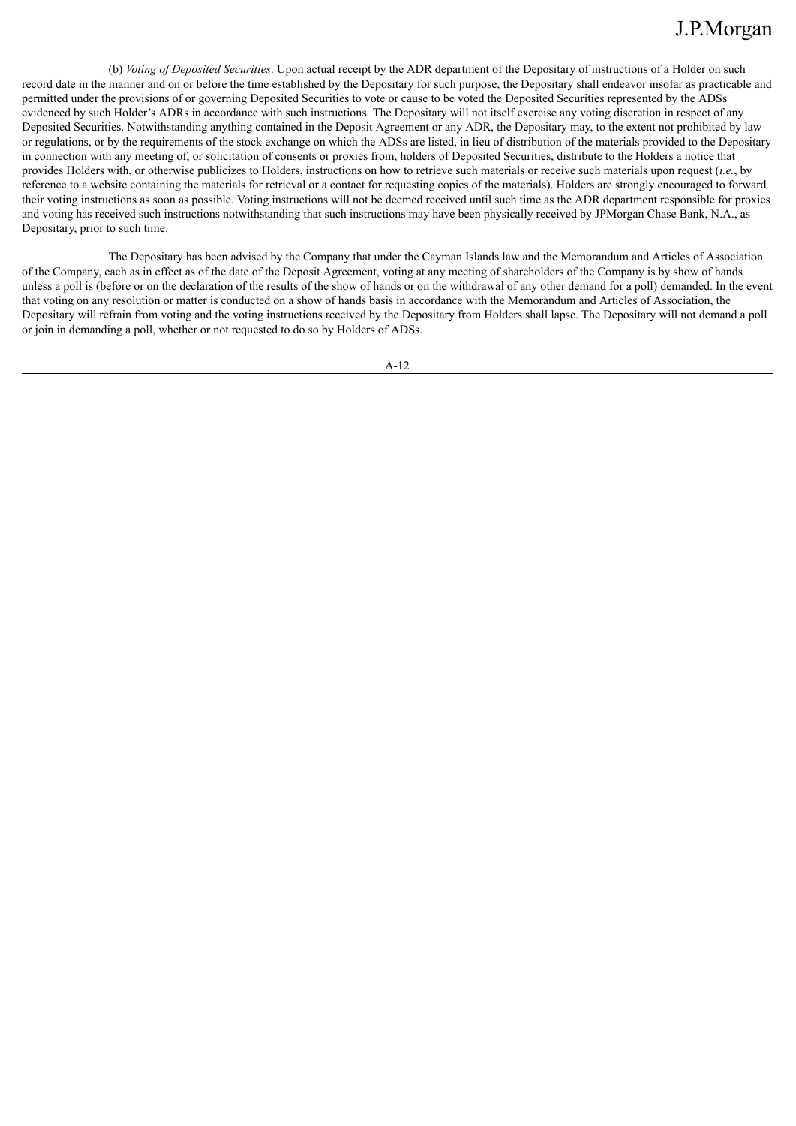(b) *Voting of Deposited Securities*. Upon actual receipt by the ADR department of the Depositary of instructions of a Holder on such record date in the manner and on or before the time established by the Depositary for such purpose, the Depositary shall endeavor insofar as practicable and permitted under the provisions of or governing Deposited Securities to vote or cause to be voted the Deposited Securities represented by the ADSs evidenced by such Holder's ADRs in accordance with such instructions. The Depositary will not itself exercise any voting discretion in respect of any Deposited Securities. Notwithstanding anything contained in the Deposit Agreement or any ADR, the Depositary may, to the extent not prohibited by law or regulations, or by the requirements of the stock exchange on which the ADSs are listed, in lieu of distribution of the materials provided to the Depositary in connection with any meeting of, or solicitation of consents or proxies from, holders of Deposited Securities, distribute to the Holders a notice that provides Holders with, or otherwise publicizes to Holders, instructions on how to retrieve such materials or receive such materials upon request (*i.e.*, by reference to a website containing the materials for retrieval or a contact for requesting copies of the materials). Holders are strongly encouraged to forward their voting instructions as soon as possible. Voting instructions will not be deemed received until such time as the ADR department responsible for proxies and voting has received such instructions notwithstanding that such instructions may have been physically received by JPMorgan Chase Bank, N.A., as Depositary, prior to such time.

The Depositary has been advised by the Company that under the Cayman Islands law and the Memorandum and Articles of Association of the Company, each as in effect as of the date of the Deposit Agreement, voting at any meeting of shareholders of the Company is by show of hands unless a poll is (before or on the declaration of the results of the show of hands or on the withdrawal of any other demand for a poll) demanded. In the event that voting on any resolution or matter is conducted on a show of hands basis in accordance with the Memorandum and Articles of Association, the Depositary will refrain from voting and the voting instructions received by the Depositary from Holders shall lapse. The Depositary will not demand a poll or join in demanding a poll, whether or not requested to do so by Holders of ADSs.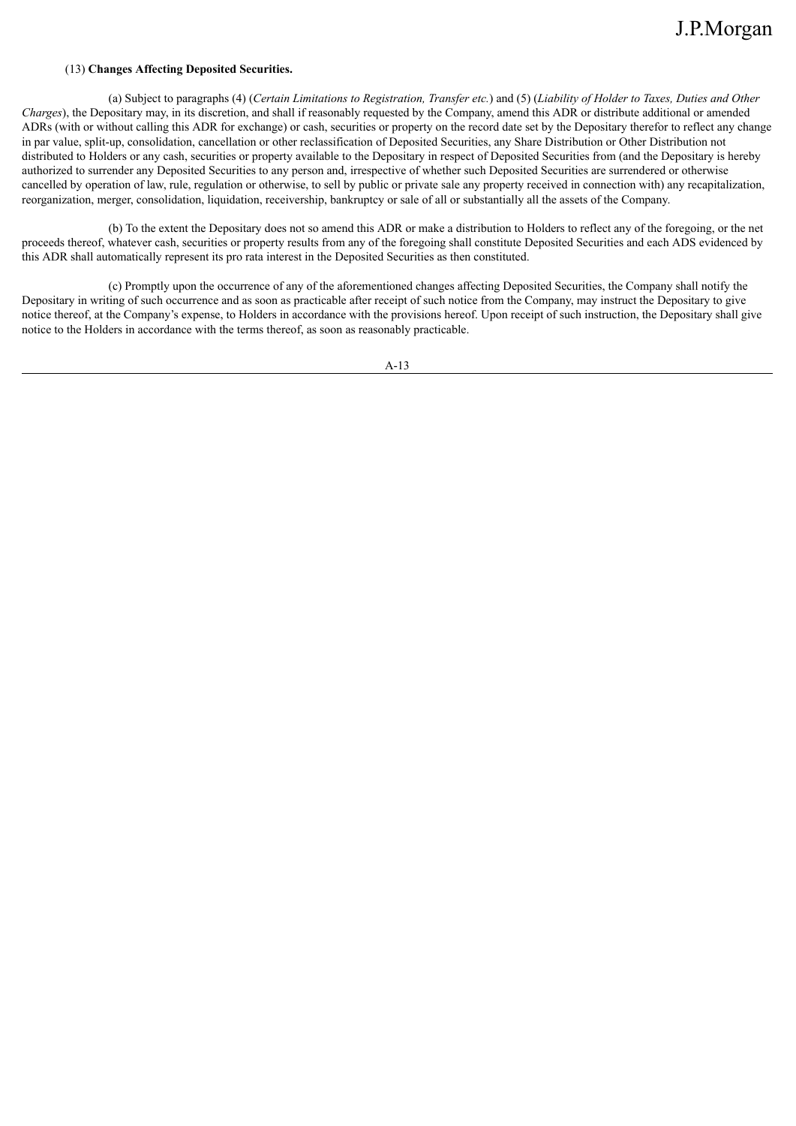### (13) **Changes Affecting Deposited Securities.**

(a) Subject to paragraphs (4) (Certain Limitations to Registration, Transfer etc.) and (5) (Liability of Holder to Taxes, Duties and Other *Charges*), the Depositary may, in its discretion, and shall if reasonably requested by the Company, amend this ADR or distribute additional or amended ADRs (with or without calling this ADR for exchange) or cash, securities or property on the record date set by the Depositary therefor to reflect any change in par value, split-up, consolidation, cancellation or other reclassification of Deposited Securities, any Share Distribution or Other Distribution not distributed to Holders or any cash, securities or property available to the Depositary in respect of Deposited Securities from (and the Depositary is hereby authorized to surrender any Deposited Securities to any person and, irrespective of whether such Deposited Securities are surrendered or otherwise cancelled by operation of law, rule, regulation or otherwise, to sell by public or private sale any property received in connection with) any recapitalization, reorganization, merger, consolidation, liquidation, receivership, bankruptcy or sale of all or substantially all the assets of the Company.

(b) To the extent the Depositary does not so amend this ADR or make a distribution to Holders to reflect any of the foregoing, or the net proceeds thereof, whatever cash, securities or property results from any of the foregoing shall constitute Deposited Securities and each ADS evidenced by this ADR shall automatically represent its pro rata interest in the Deposited Securities as then constituted.

(c) Promptly upon the occurrence of any of the aforementioned changes affecting Deposited Securities, the Company shall notify the Depositary in writing of such occurrence and as soon as practicable after receipt of such notice from the Company, may instruct the Depositary to give notice thereof, at the Company's expense, to Holders in accordance with the provisions hereof. Upon receipt of such instruction, the Depositary shall give notice to the Holders in accordance with the terms thereof, as soon as reasonably practicable.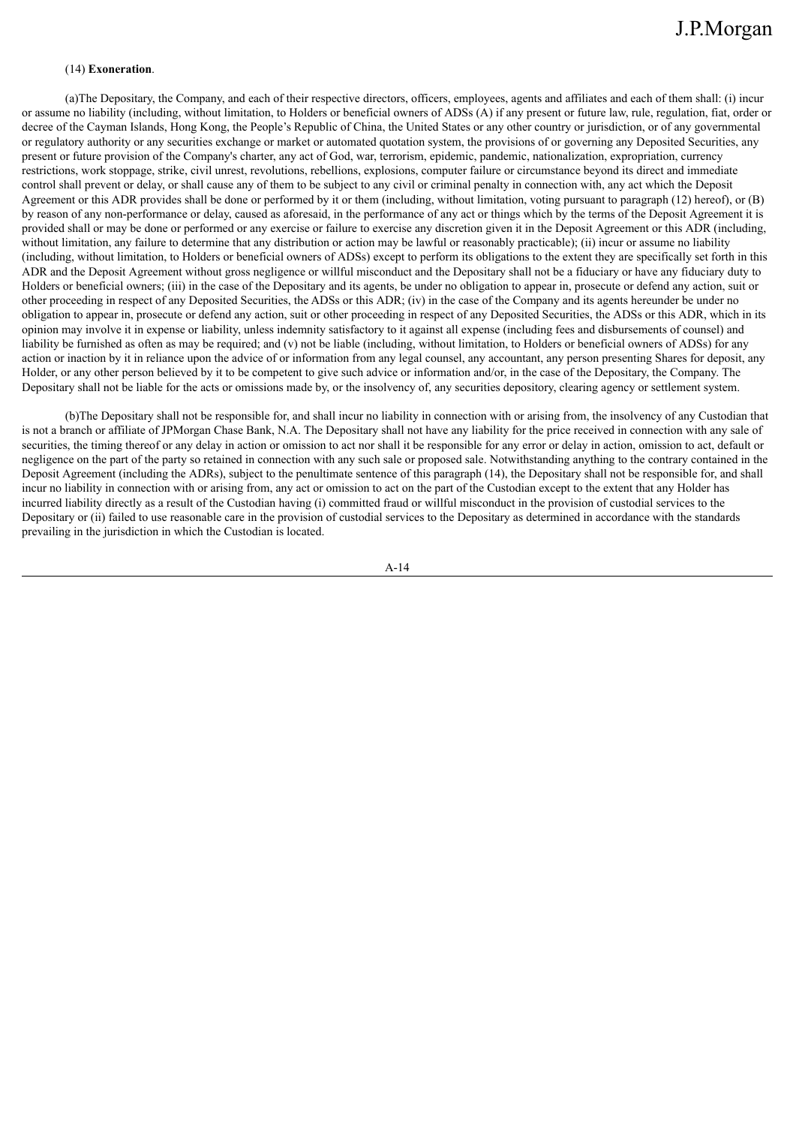### (14) **Exoneration**.

(a)The Depositary, the Company, and each of their respective directors, officers, employees, agents and affiliates and each of them shall: (i) incur or assume no liability (including, without limitation, to Holders or beneficial owners of ADSs (A) if any present or future law, rule, regulation, fiat, order or decree of the Cayman Islands, Hong Kong, the People's Republic of China, the United States or any other country or jurisdiction, or of any governmental or regulatory authority or any securities exchange or market or automated quotation system, the provisions of or governing any Deposited Securities, any present or future provision of the Company's charter, any act of God, war, terrorism, epidemic, pandemic, nationalization, expropriation, currency restrictions, work stoppage, strike, civil unrest, revolutions, rebellions, explosions, computer failure or circumstance beyond its direct and immediate control shall prevent or delay, or shall cause any of them to be subject to any civil or criminal penalty in connection with, any act which the Deposit Agreement or this ADR provides shall be done or performed by it or them (including, without limitation, voting pursuant to paragraph (12) hereof), or (B) by reason of any non-performance or delay, caused as aforesaid, in the performance of any act or things which by the terms of the Deposit Agreement it is provided shall or may be done or performed or any exercise or failure to exercise any discretion given it in the Deposit Agreement or this ADR (including, without limitation, any failure to determine that any distribution or action may be lawful or reasonably practicable); (ii) incur or assume no liability (including, without limitation, to Holders or beneficial owners of ADSs) except to perform its obligations to the extent they are specifically set forth in this ADR and the Deposit Agreement without gross negligence or willful misconduct and the Depositary shall not be a fiduciary or have any fiduciary duty to Holders or beneficial owners; (iii) in the case of the Depositary and its agents, be under no obligation to appear in, prosecute or defend any action, suit or other proceeding in respect of any Deposited Securities, the ADSs or this ADR; (iv) in the case of the Company and its agents hereunder be under no obligation to appear in, prosecute or defend any action, suit or other proceeding in respect of any Deposited Securities, the ADSs or this ADR, which in its opinion may involve it in expense or liability, unless indemnity satisfactory to it against all expense (including fees and disbursements of counsel) and liability be furnished as often as may be required; and (v) not be liable (including, without limitation, to Holders or beneficial owners of ADSs) for any action or inaction by it in reliance upon the advice of or information from any legal counsel, any accountant, any person presenting Shares for deposit, any Holder, or any other person believed by it to be competent to give such advice or information and/or, in the case of the Depositary, the Company. The Depositary shall not be liable for the acts or omissions made by, or the insolvency of, any securities depository, clearing agency or settlement system.

(b)The Depositary shall not be responsible for, and shall incur no liability in connection with or arising from, the insolvency of any Custodian that is not a branch or affiliate of JPMorgan Chase Bank, N.A. The Depositary shall not have any liability for the price received in connection with any sale of securities, the timing thereof or any delay in action or omission to act nor shall it be responsible for any error or delay in action, omission to act, default or negligence on the part of the party so retained in connection with any such sale or proposed sale. Notwithstanding anything to the contrary contained in the Deposit Agreement (including the ADRs), subject to the penultimate sentence of this paragraph (14), the Depositary shall not be responsible for, and shall incur no liability in connection with or arising from, any act or omission to act on the part of the Custodian except to the extent that any Holder has incurred liability directly as a result of the Custodian having (i) committed fraud or willful misconduct in the provision of custodial services to the Depositary or (ii) failed to use reasonable care in the provision of custodial services to the Depositary as determined in accordance with the standards prevailing in the jurisdiction in which the Custodian is located.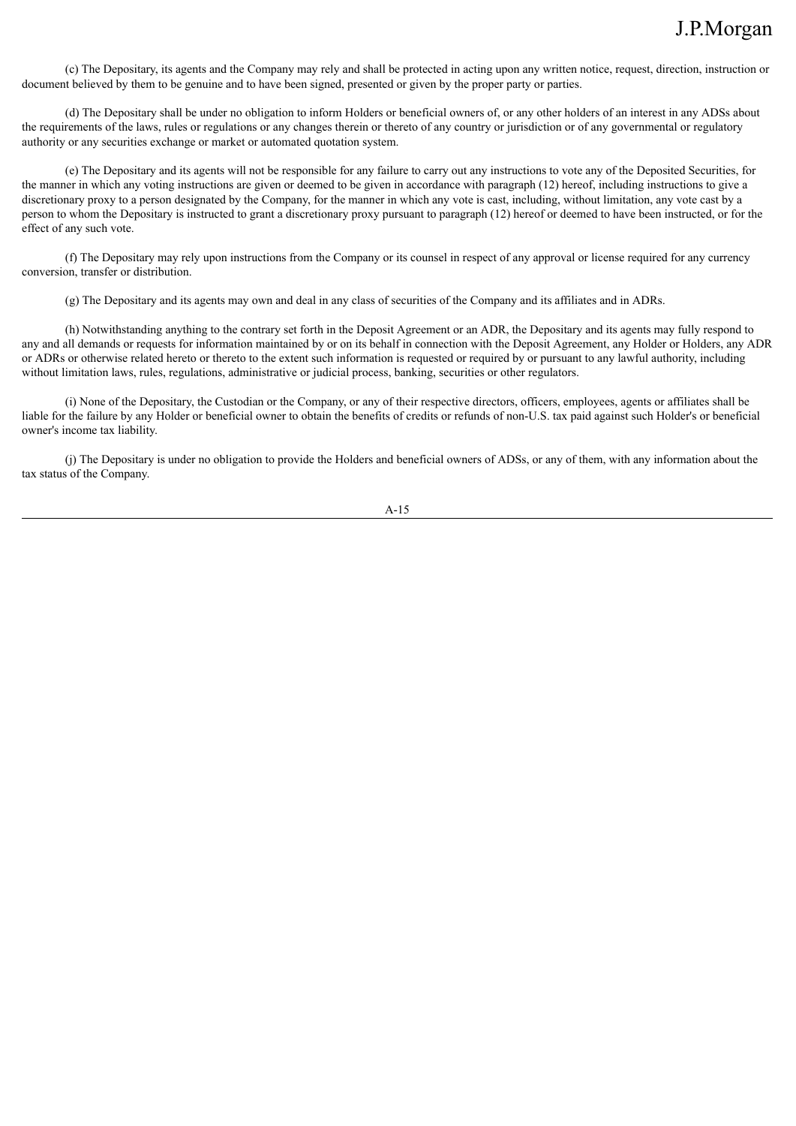(c) The Depositary, its agents and the Company may rely and shall be protected in acting upon any written notice, request, direction, instruction or document believed by them to be genuine and to have been signed, presented or given by the proper party or parties.

(d) The Depositary shall be under no obligation to inform Holders or beneficial owners of, or any other holders of an interest in any ADSs about the requirements of the laws, rules or regulations or any changes therein or thereto of any country or jurisdiction or of any governmental or regulatory authority or any securities exchange or market or automated quotation system.

(e) The Depositary and its agents will not be responsible for any failure to carry out any instructions to vote any of the Deposited Securities, for the manner in which any voting instructions are given or deemed to be given in accordance with paragraph (12) hereof, including instructions to give a discretionary proxy to a person designated by the Company, for the manner in which any vote is cast, including, without limitation, any vote cast by a person to whom the Depositary is instructed to grant a discretionary proxy pursuant to paragraph (12) hereof or deemed to have been instructed, or for the effect of any such vote.

(f) The Depositary may rely upon instructions from the Company or its counsel in respect of any approval or license required for any currency conversion, transfer or distribution.

(g) The Depositary and its agents may own and deal in any class of securities of the Company and its affiliates and in ADRs.

(h) Notwithstanding anything to the contrary set forth in the Deposit Agreement or an ADR, the Depositary and its agents may fully respond to any and all demands or requests for information maintained by or on its behalf in connection with the Deposit Agreement, any Holder or Holders, any ADR or ADRs or otherwise related hereto or thereto to the extent such information is requested or required by or pursuant to any lawful authority, including without limitation laws, rules, regulations, administrative or judicial process, banking, securities or other regulators.

(i) None of the Depositary, the Custodian or the Company, or any of their respective directors, officers, employees, agents or affiliates shall be liable for the failure by any Holder or beneficial owner to obtain the benefits of credits or refunds of non-U.S. tax paid against such Holder's or beneficial owner's income tax liability.

(j) The Depositary is under no obligation to provide the Holders and beneficial owners of ADSs, or any of them, with any information about the tax status of the Company.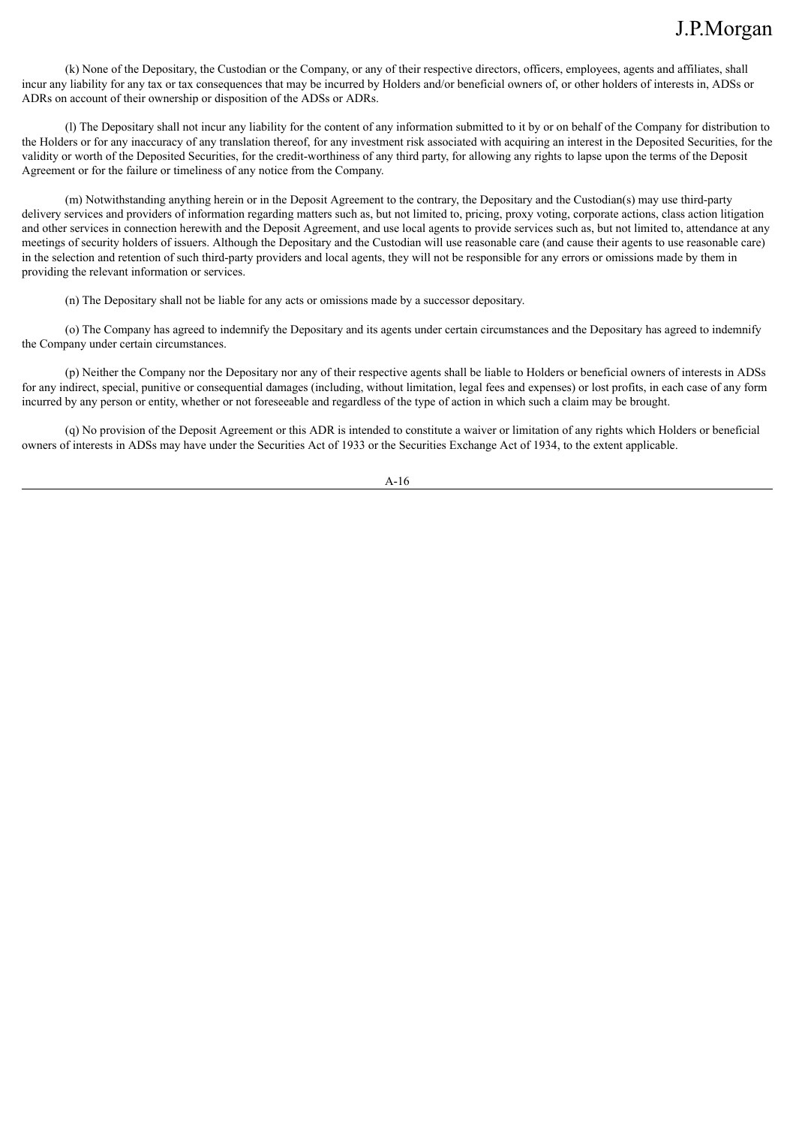(k) None of the Depositary, the Custodian or the Company, or any of their respective directors, officers, employees, agents and affiliates, shall incur any liability for any tax or tax consequences that may be incurred by Holders and/or beneficial owners of, or other holders of interests in, ADSs or ADRs on account of their ownership or disposition of the ADSs or ADRs.

(l) The Depositary shall not incur any liability for the content of any information submitted to it by or on behalf of the Company for distribution to the Holders or for any inaccuracy of any translation thereof, for any investment risk associated with acquiring an interest in the Deposited Securities, for the validity or worth of the Deposited Securities, for the credit-worthiness of any third party, for allowing any rights to lapse upon the terms of the Deposit Agreement or for the failure or timeliness of any notice from the Company.

(m) Notwithstanding anything herein or in the Deposit Agreement to the contrary, the Depositary and the Custodian(s) may use third-party delivery services and providers of information regarding matters such as, but not limited to, pricing, proxy voting, corporate actions, class action litigation and other services in connection herewith and the Deposit Agreement, and use local agents to provide services such as, but not limited to, attendance at any meetings of security holders of issuers. Although the Depositary and the Custodian will use reasonable care (and cause their agents to use reasonable care) in the selection and retention of such third-party providers and local agents, they will not be responsible for any errors or omissions made by them in providing the relevant information or services.

(n) The Depositary shall not be liable for any acts or omissions made by a successor depositary.

(o) The Company has agreed to indemnify the Depositary and its agents under certain circumstances and the Depositary has agreed to indemnify the Company under certain circumstances.

(p) Neither the Company nor the Depositary nor any of their respective agents shall be liable to Holders or beneficial owners of interests in ADSs for any indirect, special, punitive or consequential damages (including, without limitation, legal fees and expenses) or lost profits, in each case of any form incurred by any person or entity, whether or not foreseeable and regardless of the type of action in which such a claim may be brought.

(q) No provision of the Deposit Agreement or this ADR is intended to constitute a waiver or limitation of any rights which Holders or beneficial owners of interests in ADSs may have under the Securities Act of 1933 or the Securities Exchange Act of 1934, to the extent applicable.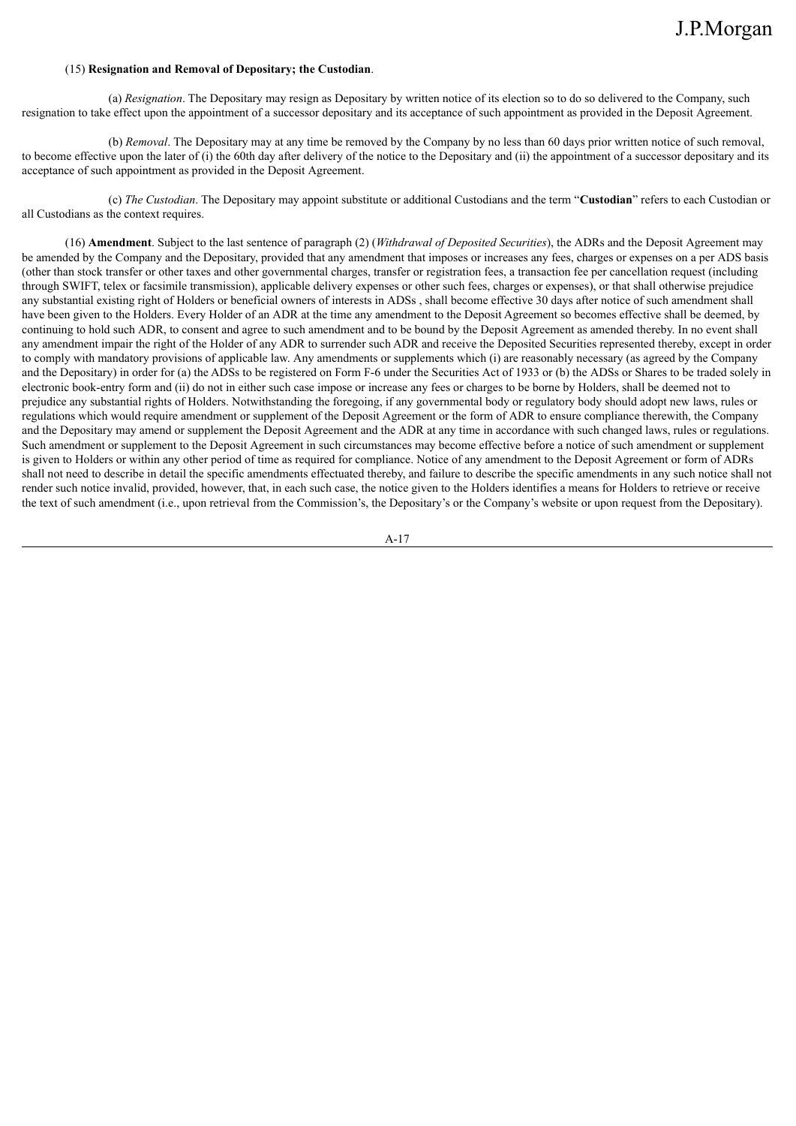### (15) **Resignation and Removal of Depositary; the Custodian**.

(a) *Resignation*. The Depositary may resign as Depositary by written notice of its election so to do so delivered to the Company, such resignation to take effect upon the appointment of a successor depositary and its acceptance of such appointment as provided in the Deposit Agreement.

(b) *Removal*. The Depositary may at any time be removed by the Company by no less than 60 days prior written notice of such removal, to become effective upon the later of (i) the 60th day after delivery of the notice to the Depositary and (ii) the appointment of a successor depositary and its acceptance of such appointment as provided in the Deposit Agreement.

(c) *The Custodian*. The Depositary may appoint substitute or additional Custodians and the term "**Custodian**" refers to each Custodian or all Custodians as the context requires.

(16) **Amendment**. Subject to the last sentence of paragraph (2) (*Withdrawal of Deposited Securities*), the ADRs and the Deposit Agreement may be amended by the Company and the Depositary, provided that any amendment that imposes or increases any fees, charges or expenses on a per ADS basis (other than stock transfer or other taxes and other governmental charges, transfer or registration fees, a transaction fee per cancellation request (including through SWIFT, telex or facsimile transmission), applicable delivery expenses or other such fees, charges or expenses), or that shall otherwise prejudice any substantial existing right of Holders or beneficial owners of interests in ADSs , shall become effective 30 days after notice of such amendment shall have been given to the Holders. Every Holder of an ADR at the time any amendment to the Deposit Agreement so becomes effective shall be deemed, by continuing to hold such ADR, to consent and agree to such amendment and to be bound by the Deposit Agreement as amended thereby. In no event shall any amendment impair the right of the Holder of any ADR to surrender such ADR and receive the Deposited Securities represented thereby, except in order to comply with mandatory provisions of applicable law. Any amendments or supplements which (i) are reasonably necessary (as agreed by the Company and the Depositary) in order for (a) the ADSs to be registered on Form F-6 under the Securities Act of 1933 or (b) the ADSs or Shares to be traded solely in electronic book-entry form and (ii) do not in either such case impose or increase any fees or charges to be borne by Holders, shall be deemed not to prejudice any substantial rights of Holders. Notwithstanding the foregoing, if any governmental body or regulatory body should adopt new laws, rules or regulations which would require amendment or supplement of the Deposit Agreement or the form of ADR to ensure compliance therewith, the Company and the Depositary may amend or supplement the Deposit Agreement and the ADR at any time in accordance with such changed laws, rules or regulations. Such amendment or supplement to the Deposit Agreement in such circumstances may become effective before a notice of such amendment or supplement is given to Holders or within any other period of time as required for compliance. Notice of any amendment to the Deposit Agreement or form of ADRs shall not need to describe in detail the specific amendments effectuated thereby, and failure to describe the specific amendments in any such notice shall not render such notice invalid, provided, however, that, in each such case, the notice given to the Holders identifies a means for Holders to retrieve or receive the text of such amendment (i.e., upon retrieval from the Commission's, the Depositary's or the Company's website or upon request from the Depositary).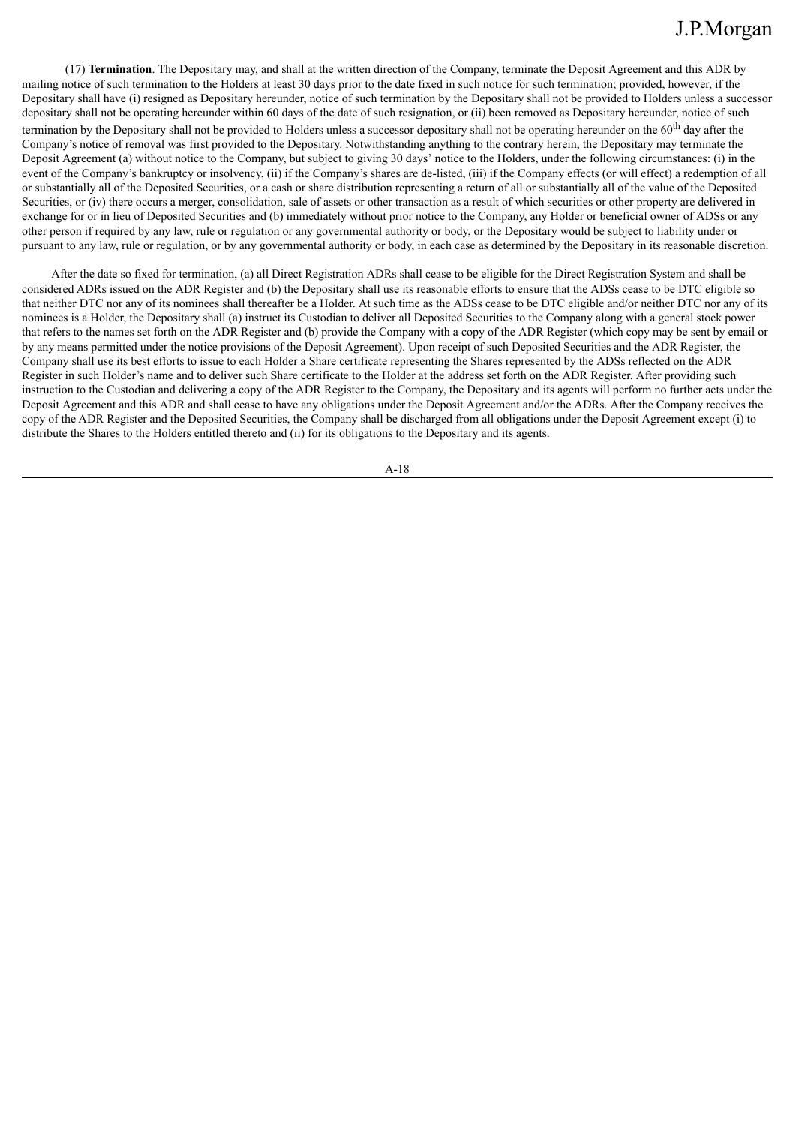(17) **Termination**. The Depositary may, and shall at the written direction of the Company, terminate the Deposit Agreement and this ADR by mailing notice of such termination to the Holders at least 30 days prior to the date fixed in such notice for such termination; provided, however, if the Depositary shall have (i) resigned as Depositary hereunder, notice of such termination by the Depositary shall not be provided to Holders unless a successor depositary shall not be operating hereunder within 60 days of the date of such resignation, or (ii) been removed as Depositary hereunder, notice of such

termination by the Depositary shall not be provided to Holders unless a successor depositary shall not be operating hereunder on the 60<sup>th</sup> day after the Company's notice of removal was first provided to the Depositary. Notwithstanding anything to the contrary herein, the Depositary may terminate the Deposit Agreement (a) without notice to the Company, but subject to giving 30 days' notice to the Holders, under the following circumstances: (i) in the event of the Company's bankruptcy or insolvency, (ii) if the Company's shares are de-listed, (iii) if the Company effects (or will effect) a redemption of all or substantially all of the Deposited Securities, or a cash or share distribution representing a return of all or substantially all of the value of the Deposited Securities, or (iv) there occurs a merger, consolidation, sale of assets or other transaction as a result of which securities or other property are delivered in exchange for or in lieu of Deposited Securities and (b) immediately without prior notice to the Company, any Holder or beneficial owner of ADSs or any other person if required by any law, rule or regulation or any governmental authority or body, or the Depositary would be subject to liability under or pursuant to any law, rule or regulation, or by any governmental authority or body, in each case as determined by the Depositary in its reasonable discretion.

After the date so fixed for termination, (a) all Direct Registration ADRs shall cease to be eligible for the Direct Registration System and shall be considered ADRs issued on the ADR Register and (b) the Depositary shall use its reasonable efforts to ensure that the ADSs cease to be DTC eligible so that neither DTC nor any of its nominees shall thereafter be a Holder. At such time as the ADSs cease to be DTC eligible and/or neither DTC nor any of its nominees is a Holder, the Depositary shall (a) instruct its Custodian to deliver all Deposited Securities to the Company along with a general stock power that refers to the names set forth on the ADR Register and (b) provide the Company with a copy of the ADR Register (which copy may be sent by email or by any means permitted under the notice provisions of the Deposit Agreement). Upon receipt of such Deposited Securities and the ADR Register, the Company shall use its best efforts to issue to each Holder a Share certificate representing the Shares represented by the ADSs reflected on the ADR Register in such Holder's name and to deliver such Share certificate to the Holder at the address set forth on the ADR Register. After providing such instruction to the Custodian and delivering a copy of the ADR Register to the Company, the Depositary and its agents will perform no further acts under the Deposit Agreement and this ADR and shall cease to have any obligations under the Deposit Agreement and/or the ADRs. After the Company receives the copy of the ADR Register and the Deposited Securities, the Company shall be discharged from all obligations under the Deposit Agreement except (i) to distribute the Shares to the Holders entitled thereto and (ii) for its obligations to the Depositary and its agents.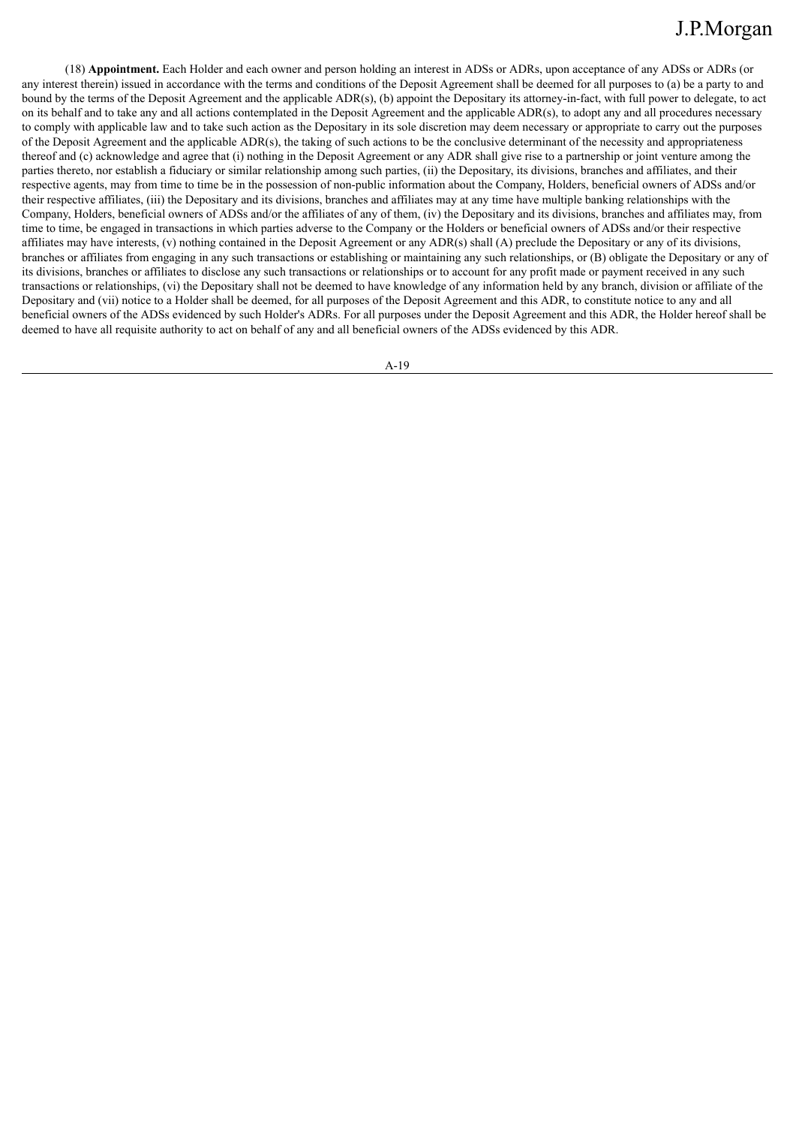(18) **Appointment.** Each Holder and each owner and person holding an interest in ADSs or ADRs, upon acceptance of any ADSs or ADRs (or any interest therein) issued in accordance with the terms and conditions of the Deposit Agreement shall be deemed for all purposes to (a) be a party to and bound by the terms of the Deposit Agreement and the applicable ADR(s), (b) appoint the Depositary its attorney-in-fact, with full power to delegate, to act on its behalf and to take any and all actions contemplated in the Deposit Agreement and the applicable ADR(s), to adopt any and all procedures necessary to comply with applicable law and to take such action as the Depositary in its sole discretion may deem necessary or appropriate to carry out the purposes of the Deposit Agreement and the applicable ADR(s), the taking of such actions to be the conclusive determinant of the necessity and appropriateness thereof and (c) acknowledge and agree that (i) nothing in the Deposit Agreement or any ADR shall give rise to a partnership or joint venture among the parties thereto, nor establish a fiduciary or similar relationship among such parties, (ii) the Depositary, its divisions, branches and affiliates, and their respective agents, may from time to time be in the possession of non-public information about the Company, Holders, beneficial owners of ADSs and/or their respective affiliates, (iii) the Depositary and its divisions, branches and affiliates may at any time have multiple banking relationships with the Company, Holders, beneficial owners of ADSs and/or the affiliates of any of them, (iv) the Depositary and its divisions, branches and affiliates may, from time to time, be engaged in transactions in which parties adverse to the Company or the Holders or beneficial owners of ADSs and/or their respective affiliates may have interests, (v) nothing contained in the Deposit Agreement or any ADR(s) shall (A) preclude the Depositary or any of its divisions, branches or affiliates from engaging in any such transactions or establishing or maintaining any such relationships, or (B) obligate the Depositary or any of its divisions, branches or affiliates to disclose any such transactions or relationships or to account for any profit made or payment received in any such transactions or relationships, (vi) the Depositary shall not be deemed to have knowledge of any information held by any branch, division or affiliate of the Depositary and (vii) notice to a Holder shall be deemed, for all purposes of the Deposit Agreement and this ADR, to constitute notice to any and all beneficial owners of the ADSs evidenced by such Holder's ADRs. For all purposes under the Deposit Agreement and this ADR, the Holder hereof shall be deemed to have all requisite authority to act on behalf of any and all beneficial owners of the ADSs evidenced by this ADR.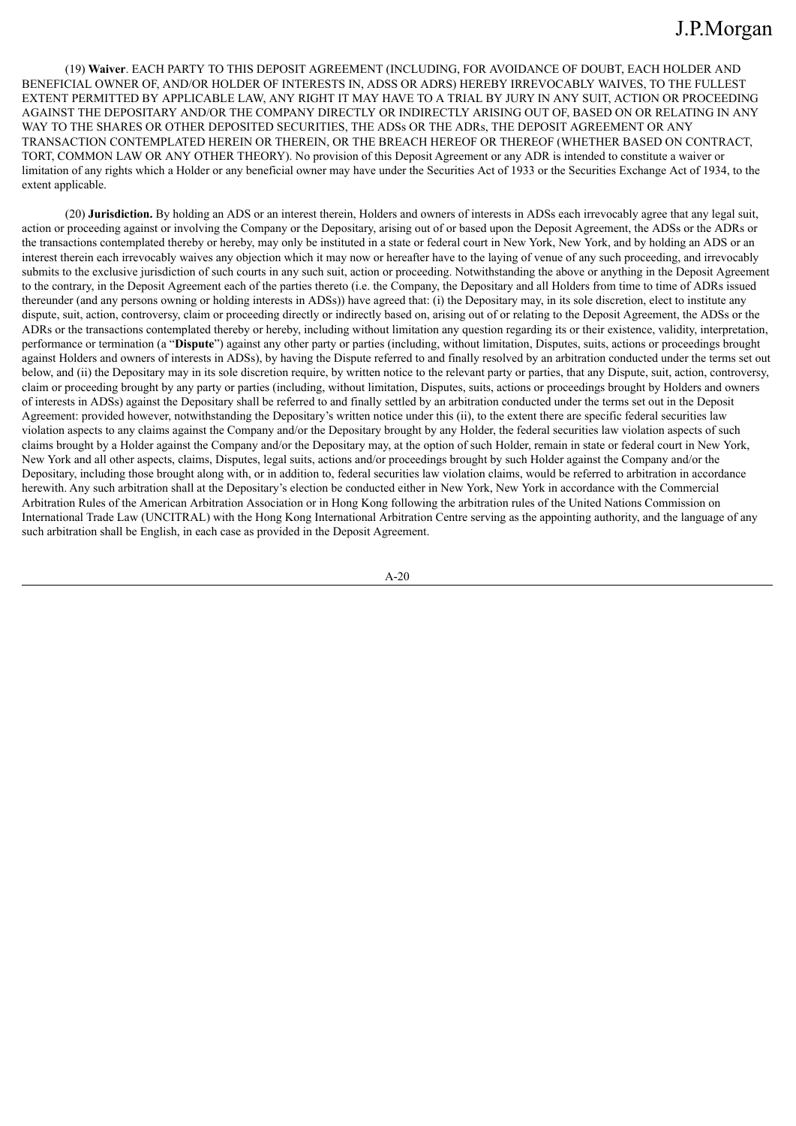(19) **Waiver**. EACH PARTY TO THIS DEPOSIT AGREEMENT (INCLUDING, FOR AVOIDANCE OF DOUBT, EACH HOLDER AND BENEFICIAL OWNER OF, AND/OR HOLDER OF INTERESTS IN, ADSS OR ADRS) HEREBY IRREVOCABLY WAIVES, TO THE FULLEST EXTENT PERMITTED BY APPLICABLE LAW, ANY RIGHT IT MAY HAVE TO A TRIAL BY JURY IN ANY SUIT, ACTION OR PROCEEDING AGAINST THE DEPOSITARY AND/OR THE COMPANY DIRECTLY OR INDIRECTLY ARISING OUT OF, BASED ON OR RELATING IN ANY WAY TO THE SHARES OR OTHER DEPOSITED SECURITIES, THE ADSs OR THE ADRs, THE DEPOSIT AGREEMENT OR ANY TRANSACTION CONTEMPLATED HEREIN OR THEREIN, OR THE BREACH HEREOF OR THEREOF (WHETHER BASED ON CONTRACT, TORT, COMMON LAW OR ANY OTHER THEORY). No provision of this Deposit Agreement or any ADR is intended to constitute a waiver or limitation of any rights which a Holder or any beneficial owner may have under the Securities Act of 1933 or the Securities Exchange Act of 1934, to the extent applicable.

(20) **Jurisdiction.** By holding an ADS or an interest therein, Holders and owners of interests in ADSs each irrevocably agree that any legal suit, action or proceeding against or involving the Company or the Depositary, arising out of or based upon the Deposit Agreement, the ADSs or the ADRs or the transactions contemplated thereby or hereby, may only be instituted in a state or federal court in New York, New York, and by holding an ADS or an interest therein each irrevocably waives any objection which it may now or hereafter have to the laying of venue of any such proceeding, and irrevocably submits to the exclusive jurisdiction of such courts in any such suit, action or proceeding. Notwithstanding the above or anything in the Deposit Agreement to the contrary, in the Deposit Agreement each of the parties thereto (i.e. the Company, the Depositary and all Holders from time to time of ADRs issued thereunder (and any persons owning or holding interests in ADSs)) have agreed that: (i) the Depositary may, in its sole discretion, elect to institute any dispute, suit, action, controversy, claim or proceeding directly or indirectly based on, arising out of or relating to the Deposit Agreement, the ADSs or the ADRs or the transactions contemplated thereby or hereby, including without limitation any question regarding its or their existence, validity, interpretation, performance or termination (a "**Dispute**") against any other party or parties (including, without limitation, Disputes, suits, actions or proceedings brought against Holders and owners of interests in ADSs), by having the Dispute referred to and finally resolved by an arbitration conducted under the terms set out below, and (ii) the Depositary may in its sole discretion require, by written notice to the relevant party or parties, that any Dispute, suit, action, controversy, claim or proceeding brought by any party or parties (including, without limitation, Disputes, suits, actions or proceedings brought by Holders and owners of interests in ADSs) against the Depositary shall be referred to and finally settled by an arbitration conducted under the terms set out in the Deposit Agreement: provided however, notwithstanding the Depositary's written notice under this (ii), to the extent there are specific federal securities law violation aspects to any claims against the Company and/or the Depositary brought by any Holder, the federal securities law violation aspects of such claims brought by a Holder against the Company and/or the Depositary may, at the option of such Holder, remain in state or federal court in New York, New York and all other aspects, claims, Disputes, legal suits, actions and/or proceedings brought by such Holder against the Company and/or the Depositary, including those brought along with, or in addition to, federal securities law violation claims, would be referred to arbitration in accordance herewith. Any such arbitration shall at the Depositary's election be conducted either in New York, New York in accordance with the Commercial Arbitration Rules of the American Arbitration Association or in Hong Kong following the arbitration rules of the United Nations Commission on International Trade Law (UNCITRAL) with the Hong Kong International Arbitration Centre serving as the appointing authority, and the language of any such arbitration shall be English, in each case as provided in the Deposit Agreement.